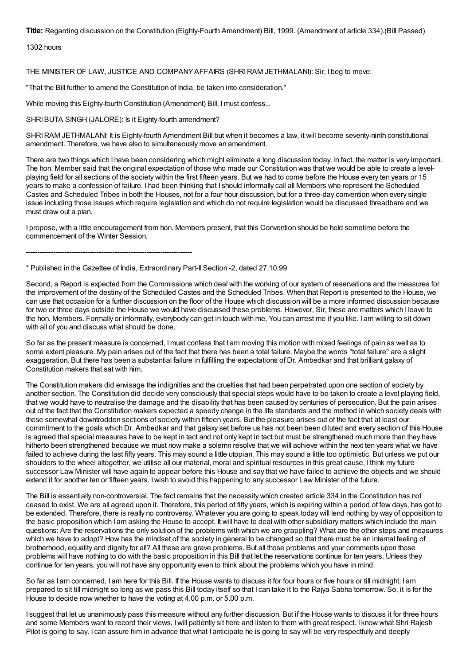**Title:** Regarding discussion on the Constitution (Eighty-Fourth Amendment) Bill, 1999. (Amendment of article 334).(Bill Passed)

1302 hours

THE MINISTER OF LAW, JUSTICE AND COMPANYAFFAIRS (SHRIRAM JETHMALANI): Sir, I beg to move:

"That the Bill further to amend the Constitution of India, be taken into consideration."

While moving this Eighty-fourth Constitution (Amendment) Bill, Imust confess...

SHRIBUTA SINGH (JALORE): Is it Eighty-fourth amendment?

SHRI RAM JETHMALANI: It is Eighty-fourth Amendment Bill but when it becomes a law, it will become seventy-ninth constitutional amendment. Therefore, we have also to simultaneously move an amendment.

There are two things which I have been considering which might eliminate a long discussion today. In fact, the matter is very important. The hon. Member said that the original expectation of those who made our Constitution was that we would be able to create a levelplaying field for all sections of the society within the first fifteen years. But we had to come before the House every ten years or 15 years to make a confession of failure. I had been thinking that I should informally call all Members who represent the Scheduled Castes and Scheduled Tribes in both the Houses, not for a four hour discussion, but for a three-day convention when every single issue including those issues which require legislation and which do not require legislation would be discussed threadbare and we must draw out a plan.

I propose, with a little encouragement from hon. Members present, that this Convention should be held sometime before the commencement of the Winter Session.

-------------------------------------------------------------------------

\* Published in the Gazettee of India, Extraordinary Part-IISection -2, dated 27.10.99

Second, a Report is expected from the Commissions which deal with the working of our system of reservations and the measures for the improvement of the destiny of the Scheduled Castes and the Scheduled Tribes. When that Report is presented to the House, we can use that occasion for a further discussion on the floor of the House which discussion will be a more informed discussion because for two or three days outside the House we would have discussed these problems. However, Sir, these are matters which I leave to the hon. Members. Formally or informally, everybody can get in touch with me. You can arrest me if you like. I am willing to sit down with all of you and discuss what should be done.

So far as the present measure is concerned, Imust confess that I am moving this motion with mixed feelings of pain as well as to some extent pleasure. My pain arises out of the fact that there has been a total failure. Maybe the words "total failure" are a slight exaggeration. But there has been a substantial failure in fulfilling the expectations of Dr. Ambedkar and that brilliant galaxy of Constitution makers that sat with him.

The Constitution makers did envisage the indignities and the cruelties that had been perpetrated upon one section of society by another section. The Constitution did decide very consciously that special steps would have to be taken to create a level playing field, that we would have to neutralise the damage and the disability that has been caused by centuries of persecution. But the pain arises out of the fact that the Constitution makers expected a speedy change in the life standards and the method in which society deals with these somewhat downtrodden sections of society within fifteen years. But the pleasure arises out of the fact that at least our commitment to the goals which Dr. Ambedkar and that galaxy set before us has not been been diluted and every section of this House is agreed that special measures have to be kept in tact and not only kept in tact but must be strengthened much more than they have hitherto been strengthened because we must now make a solemn resolve that we will achieve within the next ten years what we have failed to achieve during the last fifty years. This may sound a little utopian. This may sound a little too optimistic. But unless we put our shoulders to the wheel altogether, we utilise all our material, moral and spiritual resources in this great cause, I think my future successor Law Minister will have again to appear before this House and say that we have failed to achieve the objects and we should extend it for another ten or fifteen years. Iwish to avoid this happening to any successor Law Minister of the future.

The Bill is essentially non-controversial. The fact remains that the necessity which created article 334 in the Constitution has not ceased to exist. We are all agreed upon it. Therefore, this period of fifty years, which is expiring within a period of few days, has got to be extended. Therefore, there is really no controversy. Whatever you are going to speak today will lend nothing by way of opposition to the basic proposition which I am asking the House to accept. It will have to deal with other subsidiary matters which include the main questions: Are the reservations the only solution of the problems with which we are grappling? What are the other steps and measures which we have to adopt? How has the mindset of the society in general to be changed so that there must be an internal feeling of brotherhood, equality and dignity for all? All these are grave problems. But all those problems and your comments upon those problems will have nothing to do with the basic proposition in this Bill that let the reservations continue for ten years. Unless they continue for ten years, you will not have any opportunity even to think about the problems which you have in mind.

So far as I am concerned, I am here for this Bill. If the House wants to discuss it for four hours or five hours or till midnight, I am prepared to sit till midnight so long as we pass this Bill today itself so that I can take it to the Rajya Sabha tomorrow. So, it is for the House to decide now whether to have the voting at 4.00 p.m. or 5.00 p.m.

I suggest that let us unanimously pass this measure without any further discussion. But if the House wants to discuss it for three hours and some Members want to record their views, Iwill patiently sit here and listen to them with great respect. I know what Shri Rajesh Pilot is going to say. I can assure him in advance that what I anticipate he is going to say will be very respectfully and deeply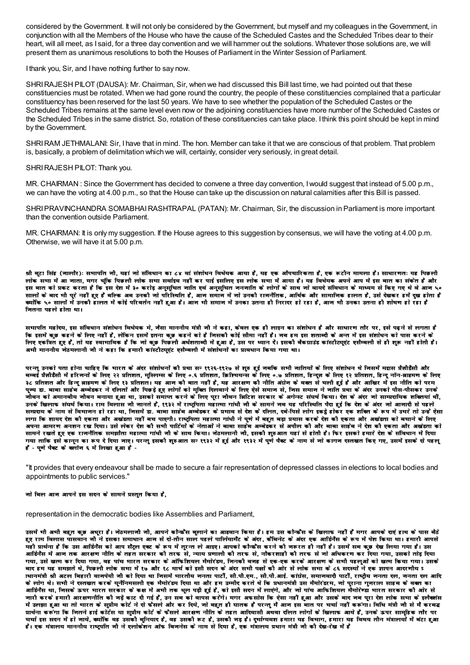considered by the Government, It will not only be considered by the Government, but myself and my colleagues in the Government, in conjunction with all the Members of the House who have the cause of the Scheduled Castes and the Scheduled Tribes dear to their heart, will all meet, as I said, for a three day convention and we will hammer out the solutions. Whatever those solutions are, we will present them as unanimous resolutions to both the Houses of Parliament in the Winter Session of Parliament.

I thank you, Sir, and I have nothing further to say now.

SHRI RAJESH PILOT (DAUSA): Mr. Chairman, Sir, when we had discussed this Bill last time, we had pointed out that these constituencies must be rotated. When we had gone round the country, the people of these constituencies complained that a particular constituency has been reserved for the last 50 years. We have to see whether the population of the Scheduled Castes or the Scheduled Tribes remains at the same level even now or the adjoining constituencies have more number of the Scheduled Castes or the Scheduled Tribes in the same district. So, rotation of these constituencies can take place. I think this point should be kept in mind by the Government.

SHRI RAM JETHMALANI: Sir, I have that in mind. The hon. Member can take it that we are conscious of that problem. That problem is, basically, a problem of delimitation which we will, certainly, consider very seriously, in great detail.

## SHRI RAJESH PILOT: Thank you.

MR. CHAIRMAN : Since the Government has decided to convene a three day convention, Iwould suggest that instead of 5.00 p.m., we can have the voting at 4.00 p.m., so that the House can take up the discussion on natural calamities after this Bill is passed.

SHRIPRAVINCHANDRA SOMABHAIRASHTRAPAL (PATAN): Mr. Chairman, Sir, the discussion in Parliament is more important than the convention outside Parliament.

MR. CHAIRMAN: It is only my suggestion. If the House agrees to this suggestion by consensus, we will have the voting at 4.00 p.m. Otherwise, we will have it at 5.00 p.m.

श्री बटा सिंह (जालौर): सभापति जौ, यहां जो संविधान का ८४ वां संशोधन विधेयक आया है, यह एक औपचारिकता है, एक रूटौन मामला है। साधारणत: यह पिछली लोक सभा में आ नाता, मगर चूंकि पिछली लोक सभा सर्वाइव नहीं कर पाई इसलिए इस लोक सभा में आया है। यह विधेयक अपने आप में इस बात का संकेत है और इस बात को प्रकट करता है कि इस देश में ३० करोड़ अनुसूचित जाति एवं अनुसूचित जनजाति के लोगों के साथ जो वायदे संविधान के माध्यम से किए गए थे वे आज ५० सालों के बाद भी परे नहीं हुए हैं बल्कि अब उनकी जो परिस्थिति है. आज समाज में जो उनकी राजनैतिक, आर्थिक और सामाजिक हालत है. उसे देखकर हमें दख होता है क्योंकि ५० सालों में उनकी हालत में कोई परिवर्तन नहीं हुआ है। आन भी समान में उनका उतना ही निरादर हो रहा है, आन भी उनका उतना ही शोषण हो रहा है चितना पहले होता था।

सभापति महोदय, इस संविधान संशोधन विधेयक मे, जैसा माननीय मंत्री जी ने कहा, केवल एक ही लाइन का संशोधन है और साधारण तौर पर, इसे पढ़ने से लगता है कि इसमें कड़ कहने के लिए नहीं है, लेकिन इसमें इतना कड़ कहने को है जिसकी कोई सौमा नहीं है। जब हम इस शताब्दी के अन्त में इस संशोधन को पास करने के लिए एकत्रित हुए हैं, तो यह स्वाभाविक है कि जो कुछ पिछली अर्धशताब्दी में हुआ है, उस पर ध्यान दें। इसकी बैकग्राउंड कांस्टीटयुएंट एसैम्बली से ही शुरू नहीं होती है। अभी माननीय जेठमलानी जी ने कहा कि हमारी कांस्टीटयूएंट एसैम्बली में संशोधनों का प्रावधान किया गया था।

परन्तु उनको पता होना चाहिए कि भारत के अंदर संशोधनों की प्रथा सन १९२६-१९२७ से शुरु हुई नबकि सभी जातियों के लिए संशोधन थे जिसमें मद्रास प्रैज़ीडैसी और बम्बई प्रैज़ीडैसी में हरिजनों के लिए २२ प्रतिशत, मुस्लिम्स के लिए ०.६ प्रतिशय-स के लिए ०.७ प्रतिशत, हिन्दूज के लिए १२ प्रतिशत, हिन्दू नॉन-ब्राहमण के लिए ३८ प्रतिशत और हिन्दू ब्राहमण के लिए १३ प्रतिशत। यह आज कौ बात नहीं है, यह आरक्षण कौ नौति अंग्रेज के बक्त से चलौ हुई है और आखिर में इस नौति को परम पुज्य डा. बाबा साहेब अम्बेडकर ने दलितों और पिछड़े हुए लोगों को मुक्ति दिलवाने के लिए ऐसे समाज से, जिस समाज ने जाति प्रथा के अंदर उनको पौस-पौसकर उनके VÉÒ´ÉxÉ EòÉä +¨ÉÉxÉ´ÉÒªÉ VÉÒ´ÉxÉ ¤ÉxÉɪÉÉ ½þ Ö+É lÉÉ, =ºÉEòÉä ºÉ¨ÉÉ{iÉ Eò®úxÉä Eòä 汃B {ÉÚ®úÉ VÉÒ´ÉxÉ Ê¥ÉÊ]õ¶É ºÉ®úEòÉ®ú Eòä +MÉäxº]õ ºÉÆPɹÉÇ ÊEòªÉÉ\* nù ä¶É Eòä +Ænù®ú VÉÉä ºÉɨ|ÉnùÉʪÉEò ¶ÉÊEiɪÉÉÆ lÉÒÆ, उनके खिलाफ संघर्ष किया। राम बिलास जी जानते हैं, १९३२ में राष्ट्रपिता महात्मा गांधी जी के सामने जब यह परिस्थिति पैदा हुई कि देश के अंदर जो आजादी से पहले सम्प्रदाय के नाम से विभानन हो रहा था, निसमें डा. बाबा साहेब अम्बेडकर के प्रभाव से देश के दलित, दबे-पिसे लोग इकट्ने होकर एक शक्ति के रूप में उभरे तो उन्हें ऐसा सगा कि शायद देश की एकता और अखंडता नहीं बच पाएगी। राष्ट्रपिता महात्मा गांधी ने पूणे में बहुत बड़ा प्रयास करके देश की एकता और अखंडता को बचाने के लिए अपना आमरण अनशन रख दिया। उसे लेकर देश की सभी पार्टियों के नेताओं ने बाबा साहेब अम्बेडकर से अपील की और बाबा साहेब ने देश की एकता और अखंडता को सामने रखते हुए एक राजनैतिक समझौता महात्मा गांधी जी के साथ किया। जेठमलानी जी, इसकी शुरुआत यहां से होती है। फिर इसको हमारे देश के संविधान में दिया गया ताकि इसे कानून का रूप दे दिया नाए। परन्तु इसकी शुरुआत सन् १९३२ में हुई और १९३२ में पुणे पैक्ट के नाम से नो कागन दस्तखत किए गए, उसमें इसके दो पहलू हैं - पणे पैक्ट के कलोंज ६ में लिखा हुआ हैं -

"It provides that every endeavour shall be made to secure a fair representation of depressed classes in elections to local bodies and appointments to public services."

#### जो बिल आज आपने इस सदन के सामने प्रस्तुत किया है,

representation in the democratic bodies like Assemblies and Parliament,

उसमें भी अभी बहुत कुछ अधुरा है। जेठमलाजी जी, आपने कौन्फ्रैस बुलाने का आहवान किया है। हम उस कौन्फ्रैस के खिलाफ नहीं हैं मगर आपके दाएं हाथ के पास बैठे हुए राम बिलास पासबान जी ने इसका समाधान आज से दो-तीन साल पहले पालियामट के अंदर, कैबिनेट के अंदर एक आर्डिनैस के रूप में पेश किया था। हमारी आपसे चही प्रार्थना है कि उस आर्डिनैस को आप सैट्रल एक्ट के रूप में तुरन्त ले आइए। आपको कौन्फ्रैस करने की नरूरत ही नहीं है। उसमें सब कुछ देख लिया गया है। उस आर्डिनैस में आन तक आरक्षण नौति के तहत सरकार की तरफ से, न्याय प्रणाली की तरफ से, नौकरशाही की तरफ से नो अधिकरण कर दिया गया, उसको तोड़ दिया गया, उसे खत्म कर दिया गया, वह पांच भारत सरकार के ऑफिशियल मैमोरंडम, जिनकी वजह से एक-एक करके आरक्षण के सभी पहलुओं को खत्म किया गया। उसके बाद हम यह समझते थे, पिछली लोक सभा में १७ और १८ मार्च को इसी सदन के अंदर सभी पक्षों की ओर से लोक सभा के ८६ सदस्यों ने एक ज्ञापन आदरणीय <sup>ç</sup> ाधानमंत्री श्री अटल बिहारी वाजपेयी जी को दिया था जिसमें मारतीय जनता पार्टी. सी.पी.एम., सी.पी.आई. कांग्रेस, समाजवादी पार्टी, राष्टीय जनता दल, जनता दल आदि के लोग थे। सभी ने दस्तखत करके यूनैनिमसली एक मैमोरंडम दिया था और हम उम्मीद करते थे कि प्रधानमंत्री उस मैमोरंडरम, जो पुराना गुजराल साहब के वक्त का आर्डिनैस था, जिसके ऊपर भारत सरकार के कक्ष में अभी तक धूल पड़ी हुई है, को इसी सदन में लाएंगे, और जो पांच आफिशियल मैमोरेण्डा भारत सरकार की ओर से जारी करके हमारी आरक्षणनीति की जड़े काट दी गई हैं, उन सब को वापस करेंगे। मगर अफसोस कि ऐसा नहीं हुआ और उसके बाद जब पूरा देश लोक सभा के इलैक्शंस में उलझा हुआ था तो भारत के सुप्रीम कोर्ट ने दो फैसले और कर दिये, जो बहुत ही घातक हैं परन्तु मैं आज इस बात पर चर्चा नहीं करूंगा। विधि मंत्री जी से मैं करबद्ध प्रार्थना करूँगा कि जितने हाई कोर्टेस या सुप्रीम कोर्ट के फैसले आरक्षण नीति के तहत आदिवासी अथवा दलित लोगों के खिलाफ आये हैं, उनके ऊपर सामूहिक तौर पर SÉSÉÉÇ <ºÉ ºÉnùxÉ ¨Éä Æ ½þ Éä VÉɪÉä, EªÉÉä ÆÊEò ´É½þ =ºÉEòÒ ¤ÉÖÊxɪÉÉnù ½þ è, ´É½þ =ºÉEòÒ °ü]õ ½þ è, =ºÉEòÒ VÉc÷ ½þ è\* nù Ö¦ÉÉÇMªÉ´É¶É ½þ¨ÉÉ®úÉ ªÉ½þ ʴɦÉÉMÉ, ½þ¨ÉÉ®úÉ ªÉ½þ ʴɹɪÉ iÉÒxÉ ¨ÉÆjÉɱɪÉÉä Æ ¨Éä Æ¤ÉÆ]õÉ ½þ Ö+É है। एक मंत्रालय माननीय राष्ट्रपति जी ने एलोकेशन ऑफ बिजनेस के नाम से दिया है, एक मंत्रालय प्रधान मंत्री जी की देख-रेख में है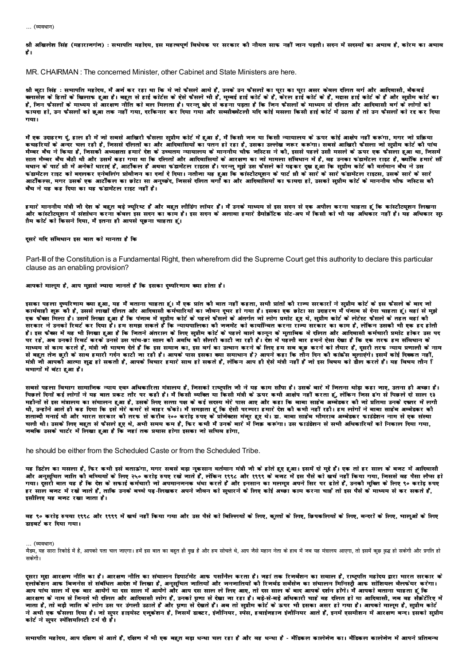... (व्यवधान)

श्री अखिलेश सिंह (महाराजगंज) : सभापति महोदय, इस महत्वपूर्ण विधेयक पर सरकार कौ नौयत साफ नहीं जान पड़ती। सदन में सदस्यों का अभाव है, कोरम का अभाव  $\rightarrow$ 

MR. CHAIRMAN: The concerned Minister, other Cabinet and State Ministers are here.

श्री बूटा सिंह : समापति महोदय, मैं अर्ज कर रहा था कि ये जो फैसले आये हैं, उनके उन फैसलों का पूरा असर कवल दलित वर्ग और आदिवासी, बैकवर्ड<br>क्लासेज़ के हितों के खिलाफ हुआ है। बहुत से हाई कोर्टस के ऐसे फैसले मी हैं, मुम्बई हाई है, जिन फैसलों के माध्यम से आरक्षण नौति को बल मिलता है। परन्तु खेद से कहना पड़ता है कि जिन फैसलों के माध्यम से दलित और आदिवासी वर्ग के लोगों को गया।

मैं एक उदाहरण दूं, हाल ही में जो सबसे आखिरी फैसला सप्रीम कोर्ट में हुआ है, मैं किसी जज या किसी न्यायालय के ऊपर कोई आक्षेप नहीं करूंगा, मगर जो प्रक्रिया कचढरियों के अन्दर चल रही है. जिससे दलितों का और आदिवासियों का पतन हो रहा है. उसका उल्लेख जरूर करूंगा। सबसे आखिरी फैसला जो सप्रीम कोर्ट की पांच मेम्बर बैच ने किया है, जिसकी अध्यक्षता हमारे देश के उच्चतम न्यायालय के माननीय चौफ जस्टिस ने की, इससे पहले उसी मसले के ऊपर एक फैसला हुआ था, जिसमें सात मैम्बर बैच बैठी थी और उसमें कहा गया था कि दलितों और आदिवासियों के आरक्षण का जो मामला संविधान में है, वह उनका फंडामेंटल राइट है, क्योंकि हमारे सी बधान के पार्ट थी में अनेकों धाराएं हैं, आर्टीकल हैं अथवा फंडामेंटल राइटस हैं। परन्तु मुझे उस फैसले को पढ़कर दुख हुआ कि सुप्रीम कोर्ट की वर्तमान बैच ने उस फंडामेंटल राइट को बदलकर एनेबलिंग प्रोवीजन का दर्जा दे दिया। नतीजा यह हआ कि कांस्टीट्यशन के पार्ट थी के सारे के सारे फंडामेंटल राइटस. उसके सारे के सारे आर्टीकल्स, मगर उसके एक आर्टीकल का छोटा सा अनुच्छेद, जिससे दलित वर्गों का और आदिवासियों का फायदा हो, उसको सुप्रीम कोर्ट के माननीय चीफ जस्टिस कौ बँच ने यह कह दिया का यह फंडामेंटल राइट नहीं है।

हमारे माननीय मंत्री जी देश के बहुत बड़े ज्युरिष्ट हैं और बहुत लीडिंग लॉयर हैं। मैं उनके माध्यम से इस सदन से एक अपील करना चाहता हूं कि कांस्टीटयुशन लिखना .<br>और कांस्टीटयशन में संशोधन करना कवल इस सदन का काम है। इस सदन के अलावा हमारे डैमोक्रोटक सेट-अप में किसी को भी यह अधिकार अधिकार सप्र ाीम कोर्ट को किसने दिया, मैं इतना ही आपसे पूछना चाहता हूं।

#### दसरे यदि संविधान इस बात को मानता है कि

Part-III of the Constitution is a Fundamental Right, then wherefrom did the Supreme Court get this authority to declare this particular clause as an enabling provision?

#### आपको मालम है, आप मझसे ज्यादा जानते हैं कि इसका दष्परिणाम क्या होता है।

इसका पहला दुष्परिणाम क्या हुआ, यह मैं बताना चाहता हूं। मैं एक प्रांत की बात नहीं कहता, सभी प्रांतों की राज्य सरकारों ने सुप्रीम कोर्ट के इस फैसले के बाद जो रतना रूपमा उत्तर का है.<br>कार्यवाही शरू की है. उससे लाखों दलित और आदिवासी कर्मचारियों का नीवन दपर हो गया है। इसका एक छोटा सा उदाहरण में पंनाब से देना चाहता हूं। वहां से मुझे एक फैक्स मिला है। उसमें लिखा हुआ है कि पंजाब में सुप्रीम कोर्ट के पहले फैसले के अंतर्गत जो लोग प्रमोट हुए थे, सुप्रीम कोर्ट के लेटेस्ट फैसले के तहत वहां की सरकार ने उनको रिवर्ट कर दिया है। हम समझ सकते हैं कि न्यायपालिका कौ जनमेंट को कार्यान्वित करना राज्य सरकार का काम है, लेकिन उसकौ भी एक हद होती हैं। इस फैक्स में यह भी लिखा हुआ है कि जितने अंतराल के लिए सप्रीम कोर्ट के पहले वाले कानून के मुताबिक वे दलित और आदिवासी कर्मचारी प्रमोट होकर उस पद पर रहे. अब उनको रिवर्ट करके उनसे उस पांच-छः साल कौ अवधि को सैलरी काटी जा रही है। देश में पहली बार हमने ऐसा देखा है कि एक तरफ हम संविधान के माध्यम से काम करते हैं, मंत्री नी भाषण देते हैं कि इस समान का, इस वर्ग का उत्थान करने के लिए हम सब कुछ करने को तैयार हैं, दूसरी तरफ न्याय प्रणाली के नाम से बहुत तेन छरी के साथ हमारी गर्दन काटी ना रही है। आपके पास इसका क्या समाधान है? आपने कहा कि तौन दिन की कांफ्रेंस बलाएंगे। इसमें कोई दिककत नहीं, मंत्री जी आपको आत्मा शद्ध हो सकती है. आपके विचार हमारे साथ हो सकते हैं. लेकिन आप ही ऐसे मंत्री नहीं है जो इस विषय को डील करते हैं। यह विषय तीन ि वभागों में बंटा हुआ है।

सबसे पहला विभाग सामानिक न्याय एवम अधिकारिता मंत्रालय है, जिसको राष्ट्रपति जौ ने यह काम साँपा है। उसके बारे में जितना थोड़ा कहा जाए, उतना ही अच्छा है। पिछले दिनों कई लोगों ने यह बात प्रकट तौर पर कही है। मैं किसी व्यक्ति या किसी मंत्री के ऊपर कभी आक्षेप नहीं करता हूं, लेकिन जिस ढंग से पिछले दो साल १३ महीनों से इस मंत्रालय का संचालन हुआ है, उसके लिए सत्ता पक्ष के कई सदस्य मेरे पास आए और कहा कि बाबा साहेब अम्बेडकर की जो प्रतिमा उनके दफ्तर में लगी थी, उन्होंने आते ही कह दिया कि इसे मेरे कमरे से बाहर फेंको। मैं समझता हूं कि ऐसी परम्परा हमारे रेश की कभी नहीं रही। हम लोगों ने बाबा साहेब अम्बेडकर की शताब्दी मनाई थी और भारत सरकार की तरफ से करौब २०० करोड़ रुपए के प्रोजेक्टस मंजूर हुए थे। डा. बाबा साहब भीमराव अम्बेडकर फाउंडेशन नाम से एक संस्था चली थी। उसके लिए बहुत से फैसले हुए थे, अभी समय कम है, फिर कभी मैं उनके बारे में जिक़ करूंगा। उस फाउंडेशन से सभी अधिकारियों को निकाल दिया गया, .<br>जबकि उसके चार्टर में लिखा हुआ है कि जहां तक प्रयास होगा इसका जो सचिव होगा.

he should be either from the Scheduled Caste or from the Scheduled Tribe.

यह डिटेल का मसला है, फिर कभी इसे बताऊंगा, मगर सबसे बड़ा नुकसान वर्तमान मंत्री जी के होते हुए हुआ। इसमें दो मुद्दे हैं। एक तो हर साल के बजट में आदिवासी और अनुसूचित जाति की बच्चियों के लिए २५० करोड़ रुपए रखे जाते हैं, लेकिन १९९८ और १९९९ के बजट में इस पैसे को खर्च नहीं किया गया, जिससे वह पैसा लैप्स हो गया। दसरौ बात यह है कि देश के सफाई कर्मचारी जो अपमानजनक धंधा करते हैं और इनसान का मलमत्र अपने सिर पर ढोते हैं. उनकौ मक्ति के लिए ९० करोड रुपए हर साल बनट में रखे नाते हैं, ताकि उनके बच्चे पढ़-लिखकर अपने नीवन को सुधारने के लिए कोई अच्छा काम करना चाहे तो इस पैसे के माध्यम से कर सकते हैं, इसौलिए यह बजट रखा जाता है।

वह ९० करोड़ रुपया १९९८ और १९९९ में खर्च नहीं किया गया और उस पैसे को बिल्लियों के लिए, कुत्तों के लिए, ब्रिणन को लिए, बन्दरों के लिए, भालुओं के लिए डाइवर्ट कर दिया गया।

... (व्यवधान)

.<br>मैडम, यह सारा रिकोर्ड में है, आपको पता चल जाएगा। हमें इस बात का बहुत ही दुख है और हम सोचले थे, आप नैसे महाने तल हम ने जब यह मंत्रालय आएगा, तो इसमें कुछ व्रद्ध हो सकेगी और प्रगति हो मकोरी।

दुसरा मुद्दा आरक्षण नीति का है। आरक्षण नीति का संचालन डिपार्टमेंट आफ पर्सोनैल करता है। जहां तक रिजर्वेशन का सवाल है, राष्ट्रपति महोदय द्वारा भारत सरकार के रूलोकेशन आफ बिजनेस से संबंधित आरंश में लिखा है. अनसचित जातियों और जनजातियों को रिजर्वड सर्वेसेज का संचालन मिनिस्टी आफ सोशियल बैलफेयर करेगा। .<br>आप पांच साल में एक बार आयेंगे या दस साल में आयेंगे और आप दस साल ले लिए आए, तो दस साल के बाद आपके दर्शन होंगे। मै आपको बताना चाहता हूं कि आरक्षण के नाम से निनते भी दलित और आदिवासी लोग हैं, उनको घृणा से देखा जा रहा है। बड़े-से-बड़े अधिकारी चाहे वह दलित हो या आदिवासी, जब वह सैक़टेरिए में जाता है, तो बड़ी जाति के लोग उस पर उंगली उठाते हैं और घ्रणा से देखते हैं। अब तो सुप्रीम कोर्ट के ऊपर भी इसका असर हो गया है। आपको मालूम है, सुप्रीम कोर्ट ने अभी एक फैसला दिया है। जो सुपर हाइयेस्ट एनुकेशन है, जिसमें डाक्टर, इंजीनियर, स्पेस, हवाईजहाज इंजीनियर आते हैं, इनमें एसमौशन में आरक्षण बन्द। इसको सुप्रीम कोर्ट ने सूपर स्पेशियलिटी टर्म दौ है।

सभापति महोदय, आप दक्षिण से आते हैं, दक्षिण में भी एक बहुत बड़ा धन्धा चल रहा है और वह धन्धा है - मैडिकल कालेनेज कालेनेज में आपने प्रतिबन्ध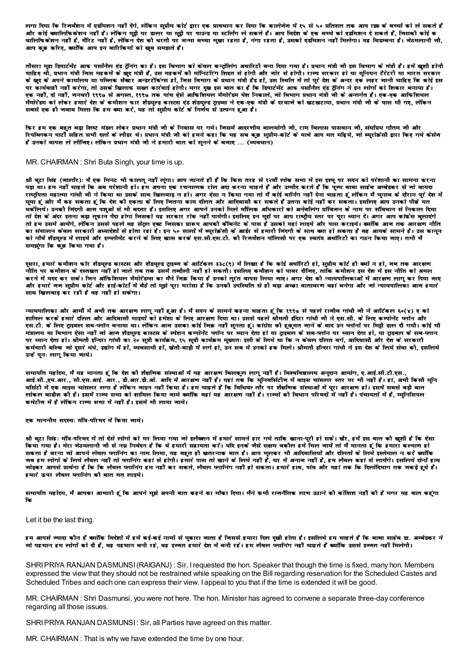लगा दिया कि रिजर्वशन में एडमिशन नहीं देंगे, लेकिन सुप्रीम कोर्ट द्वारा एक प्रावधान कर दिया कि कालेजेज में १५ से ५० प्रतिशत तक आप !डक्ष के बच्चों को ले सकते हैं और कोई क्वालिफिकेशन नहीं है। लेकिन मुट्ठी पर डालर या मुट्ठी पर पाउन्ड या स्टलिंग ले सकते हैं। आप विदेश के एक बच्चे को एडमिशन दे सकते हैं, जिसकी कोई क .<br>वालिफिकेशन नहीं है, मैरिट नहीं है, लेकिन देश की धरती पर जन्मा बच्चा मुखा रहता है, नंगा रहता है, उसको एडमिशन नहीं मिलेगा। यह विडम्बना है। जेठमलानी जी, आप कुछ करिए, क्योंकि आप इन बारिकियों को खूब समझते हैं।

तीसरा मद्य डिपार्टमेंट आफ पर्सोनेल एंड टेनिंग का है। इस विभाग को केवल कन्टोलिंग अधारिटी बना दिया गया है। प्रधान मंत्री नी इस विभाग के मंत्री हैं। हमें खुशी होनी चाहिए थो, प्रधान मंत्री जिस महकमें के खुद मंत्री हैं, उस महकमें की मोनिटरिंग शिइत से होगी और जोर से होगी। राज्य सरकार हो या युनियन टैरेटरी या भारत सरकार के खुद के अपने कार्यालय या पब्लिक सैक्टर अन्डरटेकिंग्स हो, जिस विभाग के प्रधान मंत्री हैड हो, उस स्थिति में तो परे देश के अन्दर एक लहर जानी चाहिए कि कोई इस पर कार्यवाही नहीं करेगा, तो उसके खिलाफ सख्त कार्रवाई होगी। मगर दुख इस बात का है कि डिपार्टमेंट आफ पसानेल एंड ट्रेनिंग ने इन लोगों को शिकार बनाया है। एक नहीं. दो नहीं. जनवरी १९९७ से अगस्त. १९९७ तक पांच ऐसे आफिशियल मैमोरेंडम पेश निकाले. जो विभाग प्रधान मंत्री जी के अन्तर्गत है। एक-एक आफिशियल .<br>मैमोरेडम को लेकर हमारे देश के कमीशन फार शैडयल्ड कास्टस एंड शेडयल्ड टाडब्स ने एक-एक मंत्री के दरवाने को खटखटाया. प्रधान मंत्री जी के पास भी गए. लेकिन सबसे एक ही जवाब मिला कि हम क्या करें. यह तो सप्रीम कोर्ट के निर्णय से उत्पन्न हुआ है।

फिर हम एक बहुत बड़ा शिष्ट मंडल लेकर प्रधान मंत्री जौ के निवास पर गये। जिसमें आदरणौय बालयोगी जी, राम विलास पासवान जी, संघप्रिय गौतम जौ और रिपब्लिकन पार्टी सहित सभी दलों के लौडर थे। प्रधान मंत्री जी को हमने कहा कि यह सब कुछ सुप्रीम-कोर्ट के माथे आप मत मढ़िये, जो ब्यूरोक्नेसी द्वारा किए गये केसेज र उनको वापस ले लीजिए। लेकिन प्रधान मंत्री जी ने हमारी बात को सनने के बजाए ... (व्यवधान)

#### MR. CHAIRMAN: Shri Buta Singh, your time is up.

श्री बूटा सिंह (जालौर): मैं एक मिनट भी फालतू नहीं लूंगा। आप जानते ही हैं कि किस तरह से १२वीं लोक सभा में इस इश्यु पर सदन को परेशानी का सामना करना ण के पालिस की चाहते कि अब परेशानी हो। हम अपना एक रचनात्मक रोल अदा करना चाहते हैं और उम्मीद करते हैं कि पज्य बाबा साहेब अम्बेडकर से जो वायदा राष्ट्रपिता महात्मा गांधी नी ने किया था उसके साथ खिलवाड़ न हो। अगर ऐसा न किया गया तो मैं कोई वानिंग नहीं देना चाहता हूं लेकिन मैं चुनाव के दौरान पूरे देश में घुमा हूं और मैं कह सकता हूं कि देश की एकता के लिए जितना काम दलित और आदिवासी कर सकते हैं उतना कोई नहीं कर सकता। इसलिए आप उनको पीछे मत धकोलये। उनकी निंदगी आन पशओं से भी बदतर है। इसलिए अगर आपने उनको मिले मौलिक अधिकारों को अनेबलिंग प्रॉविजन के नाम पर संविधान से निकाल दिया तो देश के अंदर इतना बड़ा तुफान पैदा होगा निसको यह सरकार रोक नहीं पायेगी। इसलिए इन मुद्दों पर आप राष्ट्रीय स्तर पर पूरा ध्यान दें। अगर आप कांफ्रेस बुलाएंगे तो हम उसमें आयेंगे, लेकिन उससे पहले वह सेंटल एक्ट निसका प्रारूप आपकी कैबिनेट के पास है उसको यहां लाइये और पास कराइये। क्योंकि आन तक आरक्षण नीति का संचालन केवल सरकारी अध्यादेशों से होता रहा है। इन ५० सालों में व्यरोक्रेसी के आर्डर से हमारी निंदगी के साथ क्या हो सकता है वह आपके सामने हैं। उस कानन को नौवे शैडयल्ड में लाइये और इम्प्लीमेंट करने के लिए खास करके एस.सी.एस.टी. की रिजर्वेशन पॉलिसी पर एक स्वतंत्र अथॉरिटी का गठन किया नाए। तभी मै समझूंगा कि कुछ किया गया है।

दुसरा, हमारे कमीशन फॉर शैडयल्ड कास्टस और शैडयल्ड ट्राइब्ज के आर्टिकल ३३८(९) में लिखा है कि कोई अथॉरिटी हो, सुप्रीम कोर्ट ही क्यों न हो, जब तक आरक्षण .<br>नीति पर कमीशन के दस्तखत नहीं हो जाते तब तक उसमें तब्दीली नहीं हो सकती। इसलिए कमीशन को पावर दीजिए. ताकि कमीशन इस देश में इस नीति को अमल करने में मदद कर सके। जिन ऑफिशियल मैमोरेडम्स का मैने जिक्र किया है उनको तुरंत वापस लिया जाए। अगर देश को न्यायपालिकाओं में आरक्षण लागू कर दिया जाए .<br>और हमारे नन सुप्रीम कोर्ट और हाई-कोर्टो में बैठे तो मुझे पूरा भरोसा है कि उनकी उपस्थिति से ही बड़ा अच्छा वातावरण वहां बनेगा और नो न्यायपालिका आन हमारे साथ खिलवाड कर रही है वह नहीं हो सकेगा।

न्यायपालिका और आर्मी में अभी तक आरक्षण लाग नहीं हुआ है। मैं सदन के सामने कहना चाहता हूं कि १९९७ से पहले राजीव गांधी जी ने आर्टिकल ६०(x) ए को शामिल करके हमारे दलित और आदिवासी भाइयों को हमेशा के लिए आरक्षण दिया था। उससे पहले श्रीमती इंदिरा गांधी नी ने एस.सी. के लिए कम्पोनेट प्लॉन और एस.टी. के लिए ट्राइबल सब-प्लॉन बनाया था। लेकिन आज उसका कोई जिक़ नहीं सुनता हूं। कांग्रेस कौ हुकुमत जाने के बाद उन प्लॉनों पर मिट्टी डाल दी गयी। कोई भी .<br>मंत्रालय या विभाग ऐसा नहीं जो आज शैडयल्ड कास्टस के स्पेशन कम्पोनेट प्लॉन पर ध्यान देता हो या दाइबल के सब-पतान पर ध्यान देता हो। श्रीमती इन्दिरा गांधी का २० सूत्री कार्यक्रम, १५ सूत्री कार्यक्रम मुख्यतः इसी के लिये था कि न केवल दलित बर्ग, आदिवासी और देश के सरकारी कर्मचारी बल्कि जो दूसरे धंधे, उद्योग में हो, व्यवसायी हो, खेती-बाड़ी में लगे हो, उन सब में उनको हक मिले। श्रीमती इन्दिरा गांधी ने इस देश के लिये सेवा की, इसलिये उन्हें पुनः लागू किया जाये।

.<br>सभापति महोदय. मैं यह मानता हूं कि देश की शैक्षणिक संस्थाओं में यह आरक्षण बिलकूल लागू नहीं है। विश्वविद्यालय अनुदान आयोग, ए.आई.सौ.टी.एस., .<br>आई.सी.,एम.आर., सी.एस.आई. आर., डी.आर.डी.ओ. आदि में आरक्षण नहीं है। यहां तक कि यूनिवर्सिटीन में वाइस चांसलर स्तर पर भी नहीं है। हां, अभी किसी यूनि .<br>वर्सिटी में एक वाइस चांसलर लगा है लेकिन जाइन नहीं किया है। हम चाहते हैं कि विधिवत तौर पर शैक्षणिक संस्थाओं में पूरा आरक्षण हो। इसमें सबसे बड़ी बात लोकल बाडीज़ को है। इसमें राज्य सभा को शामिल किया जाये क्योंकि वहां यह आरक्षण नहीं है। राज्यों को विधान परिषदों में नहीं है। पंचायतों में है, म्यानसिपल कमेटीज में है लेकिन राज्य सभा में नहीं है। इसमें भी लाया जाये।

#### एक माननीय सदस्यः मंत्रि-परिषद में किया जाये।

श्री बटा सिंह: मंत्रि-परिषद में तो ऐसे लोगो को भर लिया गया जो इलैक्शन में हमारे सामने हार गये ताकि खाना-परी हो सके। खैर, हमें इस बात की खशी है कि ऐसा किया गया है। मेरा नेठमलानी नी से नम्र निबेदन है कि वे हमारी सहायता करें। यदि इनके नैसे सक्षम बकौल हमें मिल नाये तो मैं मानता हूं कि हमारा कल्याण हो सकता है बरना नो आपने लेबल प्लानिंग का नाम लिया, यह बहुत ही खतरनाक बात है। आप मुलकर भी आदिवासियों और दलितों के लिये इस्तेमाल न करें क्योंकि .<br>जब हम लोगो के लिये लैबल नहीं तो प्लानिंग कहां से होगी। हमारे पास तो खाने के लिये नहीं है, घर में अनाज नहीं है, हम लैबल कहां से लायेंगे। इसलिये दोनों हाथ नोड़कर आपसे प्रार्थना है कि कि लैवल प्लानिंग हम नहीं कर सकते, लैवल प्लानिंग नहीं हो सकता। हमारे हाथ, पांव और यहां तक कि दिलोदिमाग तक नकड़े हुये हैं। इमारे ऊपर लैवल प्लानिंग कौ बात मत लाइये।

सभापति महोदय, मैं आपका आभारी हूं कि आपने मुझे अपनी बात कहने का मौका दिया। मैंने कभी राजनैतिक लाभ उठाने की कोशिश नहीं को है मगर यह बात कहूंगा <u>ਜਿਸ</u>

#### Let it be the last thing.

हम आपसे ज्यादा कौन है क्योंकि विदेशों में हमें कई-कई नामों से पुकारा जाता है जिससे हमारा दिल दुखी होता है। इसलिये हम चाहते हैं कि बाबा साहेब डा. अम्बेडकर ने नो पहचान हम लोगों को दी है, वह पहचान बनी रहे, वह इन्नत हमारे देश में बनी रहे। हम लैवल प्लानिंग नहीं चाहते हैं क्योंकि उससे इन्नत नहीं मिलेगी।

SHRI PRIYA RANJAN DASMUNSI (RAIGANJ): Sir, I requested the hon. Speaker that though the time is fixed, many hon. Members expressed the view that they should not be restrained while speaking on the Bill regarding reservation for the Scheduled Castes and Scheduled Tribes and each one can express their view. I appeal to you that if the time is extended it will be good.

MR. CHAIRMAN: Shri Dasmunsi, you were not here. The hon. Minister has agreed to convene a separate three-day conference regarding all those issues.

SHRI PRIYA RANJAN DASMUNSI: Sir, all Parties have agreed on this matter.

MR. CHAIRMAN: That is why we have extended the time by one hour.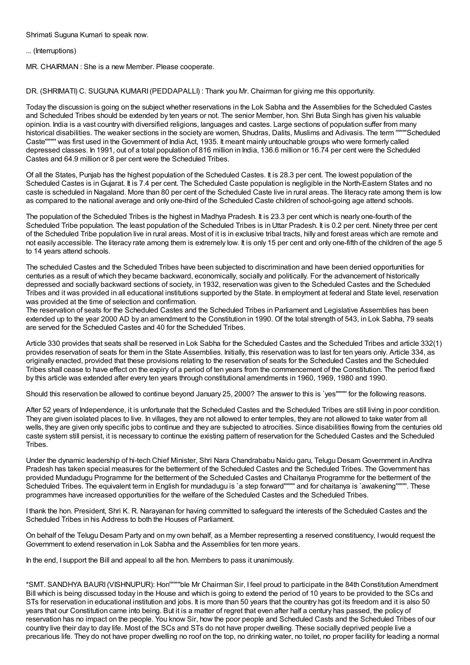Shrimati Suguna Kumari to speak now.

## ... (Interruptions)

MR. CHAIRMAN : She is a new Member. Please cooperate.

DR. (SHRIMATI) C. SUGUNA KUMARI(PEDDAPALLI) : Thank you Mr. Chairman for giving me this opportunity.

Today the discussion is going on the subject whether reservations in the Lok Sabha and the Assemblies for the Scheduled Castes and Scheduled Tribes should be extended by ten years or not. The senior Member, hon. Shri Buta Singh has given his valuable opinion. India is a vast country with diversified religions, languages and castes. Large sections of population suffer from many historical disabilities. The weaker sections in the society are women, Shudras, Dalits, Muslims and Adivasis. The term """"Scheduled Caste'''''''' was first used in the Government of India Act, 1935. It meant mainly untouchable groups who were formerly called depressed classes. In 1991, out of a total population of 816 million in India, 136.6 million or 16.74 per cent were the Scheduled Castes and 64.9 million or 8 per cent were the Scheduled Tribes.

Of all the States, Punjab has the highest population of the Scheduled Castes. It is 28.3 per cent. The lowest population of the Scheduled Castes is in Gujarat. It is 7.4 per cent. The Scheduled Caste population is negligible in the North-Eastern States and no caste is scheduled in Nagaland. More than 80 per cent of the Scheduled Caste live in rural areas. The literacy rate among them is low as compared to the national average and only one-third of the Scheduled Caste children of school-going age attend schools.

The population of the Scheduled Tribes is the highest in Madhya Pradesh. It is 23.3 per cent which is nearly one-fourth of the Scheduled Tribe population. The least population of the Scheduled Tribes is in Uttar Pradesh. It is 0.2 per cent. Ninety three per cent of the Scheduled Tribe population live in rural areas. Most of it is in exclusive tribal tracts, hilly and forest areas which are remote and not easily accessible. The literacy rate among them is extremely low. It is only 15 per cent and only one-fifth of the children of the age 5 to 14 years attend schools.

The scheduled Castes and the Scheduled Tribes have been subjected to discrimination and have been denied opportunities for centuries as a result of which they became backward, economically, socially and politically. For the advancement of historically depressed and socially backward sections of society, in 1932, reservation was given to the Scheduled Castes and the Scheduled Tribes and it was provided in all educational institutions supported by the State. In employment at federal and State level, reservation was provided at the time of selection and confirmation.

The reservation of seats for the Scheduled Castes and the Scheduled Tribes in Parliament and Legislative Assemblies has been extended up to the year 2000 AD by an amendment to the Constitution in 1990. Of the total strength of 543, in Lok Sabha, 79 seats are served for the Scheduled Castes and 40 for the Scheduled Tribes.

Article 330 provides that seats shall be reserved in Lok Sabha for the Scheduled Castes and the Scheduled Tribes and article 332(1) provides reservation of seats for them in the State Assemblies. Initially, this reservation was to last for ten years only. Article 334, as originally enacted, provided that these provisions relating to the reservation of seats for the Scheduled Castes and the Scheduled Tribes shall cease to have effect on the expiry of a period of ten years from the commencement of the Constitution. The period fixed by this article was extended after every ten years through constitutional amendments in 1960, 1969, 1980 and 1990.

Should this reservation be allowed to continue beyond January 25, 2000? The answer to this is `yes'''''''' for the following reasons.

After 52 years of Independence, it is unfortunate that the Scheduled Castes and the Scheduled Tribes are still living in poor condition. They are given isolated places to live. In villages, they are not allowed to enter temples, they are not allowed to take water from all wells, they are given only specific jobs to continue and they are subjected to atrocities. Since disabilities flowing from the centuries old caste system still persist, it is necessary to continue the existing pattern of reservation for the Scheduled Castes and the Scheduled Tribes.

Under the dynamic leadership of hi-tech Chief Minister, Shri Nara Chandrababu Naidu garu, Telugu Desam Government in Andhra Pradesh has taken special measures for the betterment of the Scheduled Castes and the Scheduled Tribes. The Government has provided Mundadugu Programme for the betterment of the Scheduled Castes and Chaitanya Programme for the betterment of the Scheduled Tribes. The equivalent term in English for mundadugu is `a step forward"""" and for chaitanya is `awakening"""". These programmes have increased opportunities for the welfare of the Scheduled Castes and the Scheduled Tribes.

I thank the hon. President, Shri K. R. Narayanan for having committed to safeguard the interests of the Scheduled Castes and the Scheduled Tribes in his Address to both the Houses of Parliament.

On behalf of the Telugu Desam Party and on my own behalf, as a Member representing a reserved constituency, Iwould request the Government to extend reservation in Lok Sabha and the Assemblies for ten more years.

In the end, I support the Bill and appeal to all the hon. Members to pass it unanimously.

\*SMT. SANDHYA BAURI(VISHNUPUR): Hon''''''''ble Mr Chairman Sir, I feel proud to participate in the 84th Constitution Amendment Bill which is being discussed today in the House and which is going to extend the period of 10 years to be provided to the SCs and STs for reservation in educational institution and jobs. It is more than 50 years that the country has got its freedom and it is also 50 years that our Constitution came into being. But it is a matter of regret that even after half a century has passed, the policy of reservation has no impact on the people. You know Sir, how the poor people and Scheduled Casts and the Scheduled Tribes of our country live their day to day life. Most of the SCs and STs do not have proper dwelling. These socially deprived people live a precarious life. They do not have proper dwelling no roof on the top, no drinking water, no toilet, no proper facility for leading a normal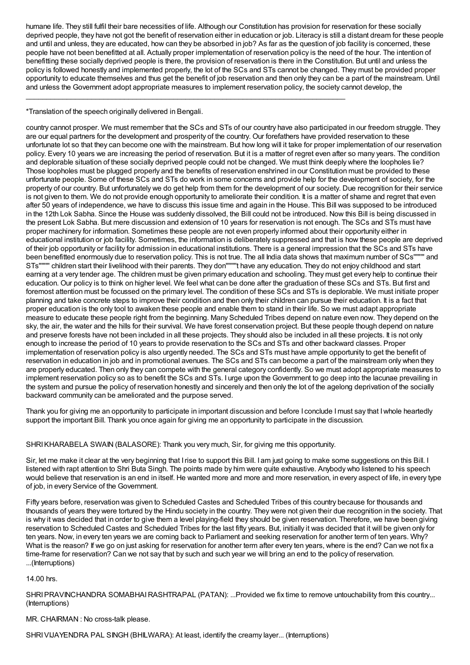humane life. They still fulfil their bare necessities of life. Although our Constitution has provision for reservation for these socially deprived people, they have not got the benefit of reservation either in education or job. Literacy is still a distant dream for these people and until and unless, they are educated, how can they be absorbed in job? As far as the question of job facility is concerned, these people have not been benefitted at all. Actually proper implementation of reservation policy is the need of the hour. The intention of benefitting these socially deprived people is there, the provision of reservation is there in the Constitution. But until and unless the policy is followed honestly and implemented properly, the lot of the SCs and STs cannot be changed. They must be provided proper opportunity to educate themselves and thus get the benefit of job reservation and then only they can be a part of the mainstream. Until and unless the Government adopt appropriate measures to implement reservation policy, the society cannot develop, the

\_\_\_\_\_\_\_\_\_\_\_\_\_\_\_\_\_\_\_\_\_\_\_\_\_\_\_\_\_\_\_\_\_\_\_\_\_\_\_\_\_\_\_\_\_\_\_\_\_\_\_\_\_\_\_\_\_\_\_\_\_\_\_\_\_\_\_\_\_\_\_\_\_\_\_\_\_\_

\*Translation of the speech originally delivered in Bengali.

country cannot prosper. We must remember that the SCs and STs of our country have also participated in our freedom struggle. They are our equal partners for the development and prosperity of the country. Our forefathers have provided reservation to these unfortunate lot so that they can become one with the mainstream. But how long will it take for proper implementation of our reservation policy. Every 10 years we are increasing the period of reservation. But it is a matter of regret even after so many years. The condition and deplorable situation of these socially deprived people could not be changed. We must think deeply where the loopholes lie? Those loopholes must be plugged properly and the benefits of reservation enshrined in our Constitution must be provided to these unfortunate people. Some of these SCs and STs do work in some concerns and provide help for the development of society, for the property of our country. But unfortunately we do get help from them for the development of our society. Due recognition for their service is not given to them. We do not provide enough opportunity to ameliorate their condition. It is a matter of shame and regret that even after 50 years of independence, we have to discuss this issue time and again in the House. This Bill was supposed to be introduced in the 12th Lok Sabha. Since the House was suddenly dissolved, the Bill could not be introduced. Now this Bill is being discussed in the present Lok Sabha. But mere discussion and extension of 10 years for reservation is not enough. The SCs and STs must have proper machinery for information. Sometimes these people are not even properly informed about their opportunity either in educational institution or job facility. Sometimes, the information is deliberately suppressed and that is how these people are deprived of their job opportunity or facility for admission in educational institutions. There is a general impression that the SCs and STs have been benefitted enormously due to reservation policy. This is not true. The all India data shows that maximum number of SCs'''''''' and STs'''''''' children start their livelihood with their parents. They don''''''''t have any education. They do not enjoy childhood and start earning at a very tender age. The children must be given primary education and schooling. They must get every help to continue their education. Our policy is to think on higher level. We feel what can be done after the graduation of these SCs and STs. But first and foremost attention must be focussed on the primary level. The condition of these SCs and STs is deplorable. We must initiate proper planning and take concrete steps to improve their condition and then only their children can pursue their education. It is a fact that proper education is the only tool to awaken these people and enable them to stand in their life. So we must adapt appropriate measure to educate these people right from the beginning. Many Scheduled Tribes depend on nature even now. They depend on the sky, the air, the water and the hills for their survival. We have forest conservation project. But these people though depend on nature and preserve forests have not been included in all these projects. They should also be included in all these projects. It is not only enough to increase the period of 10 years to provide reservation to the SCs and STs and other backward classes. Proper implementation of reservation policy is also urgently needed. The SCs and STs must have ample opportunity to get the benefit of reservation in education in job and in promotional avenues. The SCs and STs can become a part of the mainstream only when they are properly educated. Then only they can compete with the general category confidently. So we must adopt appropriate measures to implement reservation policy so as to benefit the SCs and STs. I urge upon the Government to go deep into the lacunae prevailing in the system and pursue the policy of reservation honestly and sincerely and then only the lot of the agelong deprivation of the socially backward community can be ameliorated and the purpose served.

Thank you for giving me an opportunity to participate in important discussion and before I conclude Imust say that Iwhole heartedly support the important Bill. Thank you once again for giving me an opportunity to participate in the discussion.

SHRIKHARABELA SWAIN (BALASORE): Thank you very much, Sir, for giving me this opportunity.

Sir, let me make it clear at the very beginning that Irise to support this Bill. I am just going to make some suggestions on this Bill. I listened with rapt attention to Shri Buta Singh. The points made by him were quite exhaustive. Anybody who listened to his speech would believe that reservation is an end in itself. He wanted more and more and more reservation, in every aspect of life, in every type of job, in every Service of the Government.

Fifty years before, reservation was given to Scheduled Castes and Scheduled Tribes of this country because for thousands and thousands of years they were tortured by the Hindu society in the country. They were not given their due recognition in the society. That is why it was decided that in order to give them a level playing-field they should be given reservation. Therefore, we have been giving reservation to Scheduled Castes and Scheduled Tribes for the last fifty years. But, initially it was decided that it will be given only for ten years. Now, in every ten years we are coming back to Parliament and seeking reservation for another term of ten years. Why? What is the reason? If we go on just asking for reservation for another term after every ten years, where is the end? Can we not fix a time-frame for reservation? Can we not say that by such and such year we will bring an end to the policy of reservation. ...(Interruptions)

14.00 hrs.

SHRI PRAVINCHANDRA SOMABHAI RASHTRAPAL (PATAN): ...Provided we fix time to remove untouchability from this country... (Interruptions)

# MR. CHAIRMAN : No cross-talk please.

SHRIVIJAYENDRA PAL SINGH (BHILWARA): At least, identify the creamy layer... (Interruptions)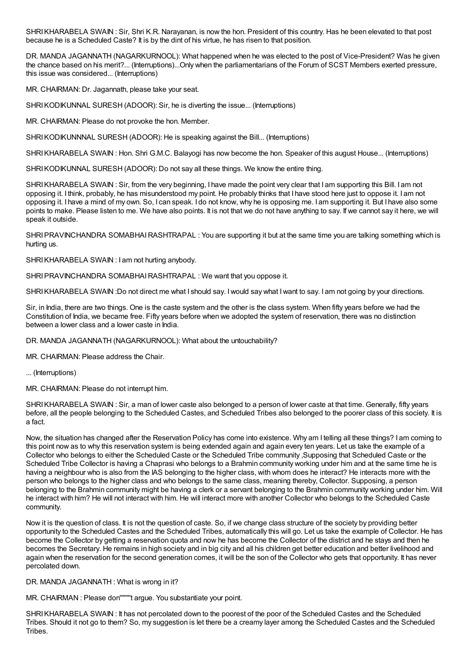SHRIKHARABELA SWAIN : Sir, Shri K.R. Narayanan, is now the hon. President of this country. Has he been elevated to that post because he is a Scheduled Caste? It is by the dint of his virtue, he has risen to that position.

DR. MANDA JAGANNATH (NAGARKURNOOL): What happened when he was elected to the post of Vice-President? Was he given the chance based on his merit?... (Interruptions)...Only when the parliamentarians of the Forum of SCST Members exerted pressure, this issue was considered... (Interruptions)

MR. CHAIRMAN: Dr. Jagannath, please take your seat.

SHRIKODIKUNNAL SURESH (ADOOR): Sir, he is diverting the issue... (Interruptions)

MR. CHAIRMAN: Please do not provoke the hon. Member.

SHRIKODIKUNNNAL SURESH (ADOOR): He is speaking against the Bill... (Interruptions)

SHRI KHARABELA SWAIN : Hon. Shri G.M.C. Balayogi has now become the hon. Speaker of this august House... (Interruptions)

SHRI KODIKUNNAL SURESH (ADOOR): Do not say all these things. We know the entire thing.

SHRIKHARABELA SWAIN : Sir, from the very beginning, I have made the point very clear that I am supporting this Bill. I am not opposing it. I think, probably, he has misunderstood my point. He probably thinks that I have stood here just to oppose it. I am not opposing it. I have a mind of my own. So, I can speak. I do not know, why he is opposing me. I am supporting it. But I have also some points to make. Please listen to me. We have also points. It is not that we do not have anything to say. If we cannot say it here, we will speak it outside.

SHRIPRAVINCHANDRA SOMABHAIRASHTRAPAL : You are supporting it but at the same time you are talking something which is hurting us.

SHRIKHARABELA SWAIN : I am not hurting anybody.

SHRIPRAVINCHANDRA SOMABHAIRASHTRAPAL : We want that you oppose it.

SHRIKHARABELA SWAIN :Do not direct me what I should say. Iwould say what Iwant to say. I am not going by your directions.

Sir, in India, there are two things. One is the caste system and the other is the class system. When fifty years before we had the Constitution of India, we became free. Fifty years before when we adopted the system of reservation, there was no distinction between a lower class and a lower caste in India.

DR. MANDA JAGANNATH (NAGARKURNOOL): What about the untouchability?

MR. CHAIRMAN: Please address the Chair.

... (Interruptions)

MR. CHAIRMAN: Please do not interrupt him.

SHRIKHARABELA SWAIN : Sir, a man of lower caste also belonged to a person of lower caste at that time. Generally, fifty years before, all the people belonging to the Scheduled Castes, and Scheduled Tribes also belonged to the poorer class of this society. It is a fact.

Now, the situation has changed after the Reservation Policy has come into existence. Why am I telling all these things? I am coming to this point now as to why this reservation system is being extended again and again every ten years. Let us take the example of a Collector who belongs to either the Scheduled Caste or the Scheduled Tribe community ,Supposing that Scheduled Caste or the Scheduled Tribe Collector is having a Chaprasi who belongs to a Brahmin community working under him and at the same time he is having a neighbour who is also from the IAS belonging to the higher class, with whom does he interact? He interacts more with the person who belongs to the higher class and who belongs to the same class, meaning thereby, Collector. Supposing, a person belonging to the Brahmin community might be having a clerk or a servant belonging to the Brahmin community working under him. Will he interact with him? He will not interact with him. He will interact more with another Collector who belongs to the Scheduled Caste community.

Now it is the question of class. It is not the question of caste. So, if we change class structure of the society by providing better opportunity to the Scheduled Castes and the Scheduled Tribes, automatically this will go. Let us take the example of Collector. He has become the Collector by getting a reservation quota and now he has become the Collector of the district and he stays and then he becomes the Secretary. He remains in high society and in big city and all his children get better education and better livelihood and again when the reservation for the second generation comes, it will be the son of the Collector who gets that opportunity. It has never percolated down.

DR. MANDA JAGANNATH : What is wrong in it?

MR. CHAIRMAN : Please don''''''''t argue. You substantiate your point.

SHRIKHARABELA SWAIN : It has not percolated down to the poorest of the poor of the Scheduled Castes and the Scheduled Tribes. Should it not go to them? So, my suggestion is let there be a creamy layer among the Scheduled Castes and the Scheduled Tribes.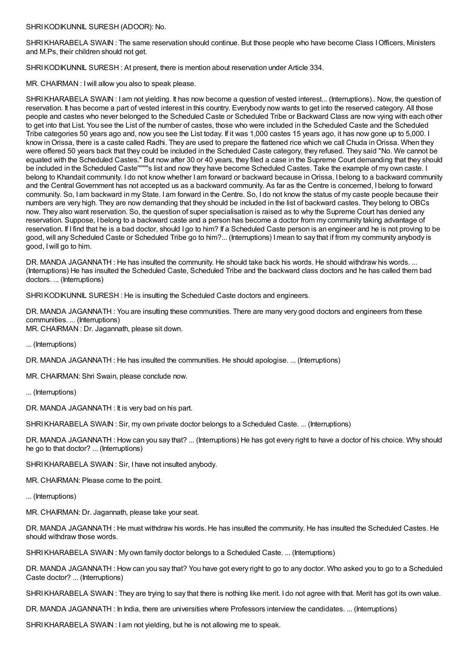SHRIKODIKUNNIL SURESH (ADOOR): No.

SHRI KHARABELA SWAIN : The same reservation should continue. But those people who have become Class I Officers, Ministers and M.Ps, their children should not get.

SHRIKODIKUNNIL SURESH : At present, there is mention about reservation under Article 334.

MR. CHAIRMAN : Iwill allow you also to speak please.

SHRIKHARABELA SWAIN : I am not yielding. It has now become a question of vested interest... (Interruptions).. Now, the question of reservation. It has become a part of vested interest in this country. Everybody now wants to get into the reserved category. All those people and castes who never belonged to the Scheduled Caste or Scheduled Tribe or Backward Class are now vying with each other to get into that List. You see the List of the number of castes, those who were included in the Scheduled Caste and the Scheduled Tribe categories 50 years ago and, now you see the List today. If it was 1,000 castes 15 years ago, it has now gone up to 5,000. I know inOrissa, there is a caste called Radhi. They are used to prepare the flattened rice which we call Chuda inOrissa. When they were offered 50 years back that they could be included in the Scheduled Caste category, they refused. They said "No. We cannot be equated with the Scheduled Castes." But now after 30 or 40 years, they filed a case in the Supreme Court demanding that they should be included in the Scheduled Caste''''''''s list and now they have become Scheduled Castes. Take the example of my own caste. I belong to Khandait community. I do not know whether I am forward or backward because in Orissa, I belong to a backward community and the Central Government has not accepted us as a backward community. As far as the Centre is concerned, I belong to forward community. So, I am backward in my State. I am forward in the Centre. So, I do not know the status of my caste people because their numbers are very high. They are now demanding that they should be included in the list of backward castes. They belong to OBCs now. They also want reservation. So, the question of super specialisation is raised as to why the Supreme Court has denied any reservation. Suppose, I belong to a backward caste and a person has become a doctor from my community taking advantage of reservation. If I find that he is a bad doctor, should I go to him? If a Scheduled Caste person is an engineer and he is not proving to be good, will any Scheduled Caste or Scheduled Tribe go to him?... (Interruptions) Imean to say that if from my community anybody is good, Iwill go to him.

DR. MANDA JAGANNATH : He has insulted the community. He should take back his words. He should withdraw his words. ... (Interruptions) He has insulted the Scheduled Caste, Scheduled Tribe and the backward class doctors and he has called them bad doctors. ... (Interruptions)

SHRIKODIKUNNIL SURESH : He is insulting the Scheduled Caste doctors and engineers.

DR. MANDA JAGANNATH : You are insulting these communities. There are many very good doctors and engineers from these communities. ... (Interruptions) MR. CHAIRMAN : Dr. Jagannath, please sit down.

... (Interruptions)

DR. MANDA JAGANNATH : He has insulted the communities. He should apologise. ... (Interruptions)

MR. CHAIRMAN: Shri Swain, please conclude now.

... (Interruptions)

DR. MANDA JAGANNATH : It is very bad on his part.

SHRI KHARABELA SWAIN : Sir, my own private doctor belongs to a Scheduled Caste. ... (Interruptions)

DR. MANDA JAGANNATH : How can you say that? ... (Interruptions) He has got every right to have a doctor of his choice. Why should he go to that doctor? ... (Interruptions)

SHRIKHARABELA SWAIN : Sir, I have not insulted anybody.

MR. CHAIRMAN: Please come to the point.

... (Interruptions)

MR. CHAIRMAN: Dr. Jagannath, please take your seat.

DR. MANDA JAGANNATH : He must withdraw his words. He has insulted the community. He has insulted the Scheduled Castes. He should withdraw those words.

SHRIKHARABELA SWAIN : My own family doctor belongs to a Scheduled Caste. ... (Interruptions)

DR. MANDA JAGANNATH : How can you say that? You have got every right to go to any doctor. Who asked you to go to a Scheduled Caste doctor? ... (Interruptions)

SHRI KHARABELA SWAIN : They are trying to say that there is nothing like merit. I do not agree with that. Merit has got its own value.

DR. MANDA JAGANNATH : In India, there are universities where Professors interview the candidates. ... (Interruptions)

SHRIKHARABELA SWAIN : I am not yielding, but he is not allowing me to speak.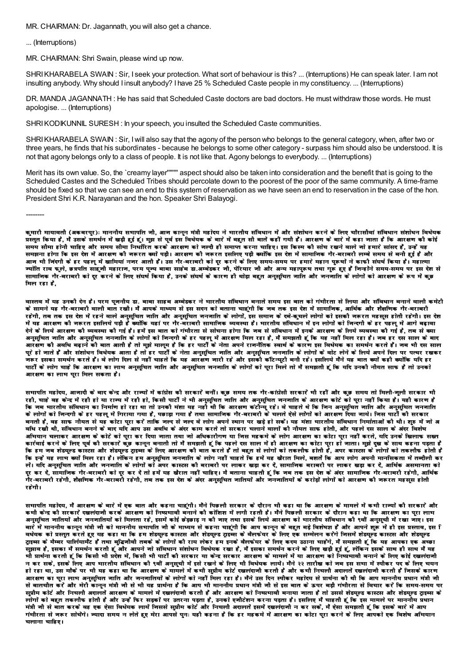MR. CHAIRMAN: Dr. Jagannath, you will also get a chance.

... (Interruptions)

MR. CHAIRMAN: Shri Swain, please wind up now.

SHRI KHARABELA SWAIN : Sir, I seek your protection. What sort of behaviour is this? ... (Interruptions) He can speak later. I am not insulting anybody. Why should I insult anybody? I have 25 % Scheduled Caste people in my constituency. ... (Interruptions)

DR. MANDA JAGANNATH : He has said that Scheduled Caste doctors are bad doctors. He must withdraw those words. He must apologise. ... (Interruptions)

SHRIKODIKUNNIL SURESH : In your speech, you insulted the Scheduled Caste communities.

SHRIKHARABELA SWAIN : Sir, Iwill also say that the agony of the person who belongs to the general category, when, after two or three years, he finds that his subordinates - because he belongs to some other category - surpass him should also be understood. It is not that agony belongs only to a class of people. It is not like that. Agony belongs to everybody. ... (Interruptions)

Merit has its own value. So, the `creamy layer'''''''' aspect should also be taken into consideration and the benefit that is going to the Scheduled Castes and the Scheduled Tribes should percolate down to the poorest of the poor of the same community. A time-frame should be fixed so that we can see an end to this system of reservation as we have seen an end to reservation in the case of the hon. President Shri K.R. Narayanan and the hon. Speaker Shri Balayogi.

--------

कमारी मायावती (अकबरपर): माननीय सभापति जी. आज कानन मंत्री महोदय ने भारतीय संविधान में और संशोधन करने के लिए चौरासौवां संविधान संशोधन विधेयक प्रस्तत किया है. मैं उसके समर्थन में खड़ी हुई हूं। मझ से पर्व इस विधेयक के बारे में बहत सी बातों को बारी में आरक्षण के बारे में कहा जाता है कि आरक्षण की कोई समय सौमा होनी चाहिए और समय सौमा निर्धारित करके आरक्षण को जल्दी ही समाप्त करना चाहिए। इस किस्म को सोच रखने वाले जो हमारे सांसद है, उन्हें यह समझना होगा कि इस देश में आरक्षण को जरूरत क्यों पड़ी। आरक्षण को जरूरत इसलिए पड़ी क्योंकि इस देश में सामाजिक गैर-बराबरो लम्बे समय से बना हुई है और आज भी जिंदगी के हर पहलू में खामियां नजर आती हैं। उस गैर-बराबरी को दूर करने के लिए समय-समय पर हमारे महान पूरूषों ने काफी संघर्ष किया है। महात्मा ज्योति राव फले. छत्रपति साहजी महाराज, परम पज्य बाबा साहेब द्वा.अम्बेडकर जी. पेरियार जी और अन्य महापरूष तथा गरूँ हुए हैं जिन्होंने समय-समय पर इस देश से सामानिक गैर-बराबरी को दूर करने के लिए संघर्ष किया है, उनके संघर्ष के कारण ही थोड़ा बहुत अनुसुचित जाति और जनजाति के लोगों को आरक्षण के रूप में कड़ <u>मिल रहा है.</u>

वास्तव में यह उनकी देन है। परम पुननीय डा. बाबा साहब अम्बेडकर ने भारतीय संविधान बनाते समय इस बात को गंभीरता से लिया और संविधान बनाने वाली कमेटी \_<br>के सामने यह गैर-बराबरी वाली बात रखी। मैं आपके माध्यम से इस सदन को बताना चाहगी कि जब तक इस देश में सामाजिक, आर्थिक और शैक्षणिक गैर-बराबरी रहेगी, तब तक इस देश में रहने वाले अनुसुचित जाति और अनुसुचित जनजाति के लोगों, इस समाज के दबे-कचले लोगो को इसकी जरूरत महसूस होती रहेगी। इस देश में यह आरक्षण की जरूरत इसलिये पड़ी हैं क्योंकि यहां पर गैर-बराबरी सामाजिक व्यवस्था है। मारतीय संविधान में इन लोगों को जिन्दगी के हर पहलू में आगे बढ़ावा देने के लिये आरक्षण कौ व्यवस्था की गई है। हमें इस बात को गंभीरता से सोचना होगा कि जब से संविधान में इनके आरक्षण के लिये व्यवस्था की गई है. तब से क्या अनुसूचित जाति और अनुसूचित जनजाति के लोगों को जिन्दगी के हर पहलू में आरक्षण मिल रहा है, मैं समझती हूं कि यह नहीं मिल रहा है। जब हर दस साल के बाद आरक्षण की अवधि बढ़ाने की बात आती है तो मुझे मालूम है कि हर पार्टी के नेता अपने राजनैतिक स्वार्थ के कारण इस विधेयक का समर्थन करते हैं। जब भी दस साल परे हो नाते हैं और संशोधन विधेयक आता है तो हर पार्टी के नेता अनसचित जाति और अनसचित नननाति के लोगों के बोट लेने के लिये अपने दिल पर पत्थर रखकर \_<br>जरूर इसका समर्थन करते हैं। वे लोग दिल से नहीं चाहते कि यह आरसण जारी रहे और इसको कॉटन्यटी बनी रहे। इसलिये मैंने यह बात क्यों कही क्योंकि यदि हर ्<br>पार्टी के लोग चाहे कि आरक्षण का लाभ अनुसूचित जाति और अनुसूचित जनजाति के लोगों को पूरा मिले तो मैं समझती हूं कि यदि उनको नौयत साफ है तो उनको आरक्षण का लाभ पुरा मिल सकता है।

सभापति महोदय, आजादी के बाद केन्द्र और राज्यों में कांग्रेस की सरकार बनीं। कुछ समय तक गैर-कांग्रेसी सरकार भी रहीं और कुछ समय तो मिली-जुली सरकार भी रही, चाहे वह केन्द्र में रही हो या राज्य में रही हो, किसी पार्टी ने भी अनुसुचित जाति और अनुसुचित जनजाति के आरक्षण कोटे को पूरा नहीं किया है। यही कारण है ÊEò VɤÉ ¦ÉÉ®úiÉÒªÉ ºÉÆÊ´ÉvÉÉxÉ EòÉ ÊxɨÉÉÇhÉ ½þ Éä ®ú½þ É lÉÉ iÉÉä =xÉEòÒ ¨ÉƶÉÉ ªÉ½þ xɽþ Ò lÉÒ ÊEò +É®úIÉhÉ EòÆ]õÒxªÉÚ ®ú½þ ä\* ´Éä SÉɽþiÉä lÉä ÊEò ÊVÉxÉ +xÉÚºÉÚÊSÉiÉ VÉÉÊiÉ +Éè®ú +xÉÖºÉÚÊSÉiÉ VÉxÉVÉÉÊiÉ के लोगों को निन्दगी के हर पहलू में गिराया गया है, पछाड़ा गया है तथा सामानिक गैर-बराबरी के चलते ऐसे लोगों को आरक्षण दिया नाये। निस पार्टी की सरकार बनती है. वह साफ नौयत से यह कोटा परा करें ताकि जल्द से जल्द वे लोग अपने स्थान पर खडे हो सकें। यह मंशा भारतीय संविधान निर्माताओं की थी। शरु में जो अ ँ विधान को बैंदि छंटिक छंटिक को बाद यदि आप उस अवधि के अंदर काम करते तो सरकार चलाने वालों को नौयत साफ होती, और पहले दस साल के अंदर विशेष अभियान चलाकर आरक्षण के कोटे को पूरा कर दिया जाता तथा जो अधिकारौगण या जिस महकमे के लोग आरक्षण का कोटा पूरा नहीं करते, यदि उनके खिलाफ सख्त कार्रवाई करने के लिए पूर्व की सरकारे कुछ कानून बनाती तो मैं समझती हूं कि पहले दस साल में ही आरक्षण का कोटा पूरा हो जाता। मुझे दुख के साथ कहना पड़ता है कि हम जब शेडयल्ड कास्टस और शेडयल्ड टाइब्स के लिए आरक्षण की बात करते हैं तो बहुत से लोगों को तकलीफ की इंधिक के लोगों को तकलीफ होती है ÊEò <x½þ äÆ ªÉ½þ ±ÉɦÉ EªÉÉä ÆÊ¨É±É ®ú½þ É ½þ è\* ±ÉäÊEòxÉ ½þ¨É +xÉÖºÉÚÊSÉiÉ VÉxÉVÉÉÊiÉ Eòä ±ÉÉäMÉ xɽþ ÒÆ SÉɽþiÉä ÊEò ½þ¨Éä Æ ªÉ½þ JÉè®úÉiÉ ʨɱÉä, ¤É¶ÉiÉÇ äÊEò +É{É ±ÉÉäMÉ +{ÉxÉÒ ¨ÉÉxÉʺÉEòiÉÉ ¨Éä Æ iɤnùÒ±ÉÒ Eò®ú सें। यदि अनुसूचित जाति और जनजाति के लोगों को अपर कास्टस की बराबरी पर लाकर खड़ा कर दें, सामाजिक बराबरी पर लाकर खड़ा कर दें, आर्थिक असमानता को दर कर दे. सामाजिक गैर-बराबरी को दर कर दे तो हमें यह खैरात नहीं चाहिए। मै बताना चाहती हूं कि जब तक इस देश के अंदर सामाजिक गैर-बराबरी रहेगी, आर्थिक .<br>गैर-बराबरी रहेगी, शैक्षणिक गैर-बराबरी रहेगी, तब तक इस देश के अंदर अनुसचित जातियों और जनजातियों के करोड़ों लोगों को आरक्षण की जरूरत महसूस होती रहेगौ।

सभापति महोदय, मैं आरक्षण के बारे में एक बात और कहना चाहंगी। मैंने पिछली सरकार के दौरान भी कहा था कि आरक्षण के मामले में कभी राज्यों कौ सरकारें और कभी केन्द्र की सरकारें दखलंदानी करके आरक्षण को निष्प्रभावी बनाने की कोशिश में लगी रहती है। मैंने पिछली सरकार के दौरान कहा था कि आरक्षण का परा लाभ मनसचित जातियों और जनजातियों को मिलता रहे, इसमें कोई छेड़छाड़ न कौ जाए तथा इसके लिये आरक्षण को भारतीय संविधान कौ ९वीं अनसची में रखा जाए। इस बारे में माननीय कानून मंत्री जी को माननीय सभापति जी के माध्यम से कहना चाहूंगी कि आप कानून के बहुत बड़े विशेषज्ञ हैं और आपने शुरू में ही इस प्रस्ताव, इस ि वर्धयक को प्रस्तत करते हुए यह कहा था कि हम शेडयल्ड कास्टस और शेडयल्ड टाङस के बैलफेयर के लिए एक सम्मेलन करेंगे निसमें शेडयल्ड कास्टस और शेडयल्ड टाइब्स के मैम्बर पार्लियामेंट है तथा बुद्धिजीवी तबके के लोगों की राय लेकर हम इनके वैलक्यर के लिए करम उठाना चाहेगे, मैं समझती हूं कि यह आपका एक अच्छा .<br>सुझाव है, इसका मैं समर्थन करती हूँ और आपने नो संविधान संशोधन विधेयक रखा है, मैं इसका समर्थन करने के लिए खड़ी हुई हूं, लेकिन इसके साथ ही साथ मैं यह भी प्रार्थना करती हूं कि किसी भी प्रदेश में, किसी भी पार्टी की सरकार या केन्द्र सरकार आरक्षण के मामले में या आरक्षण को निष्प्रभावी बनाने के लिए कोई दखलंदाजी न कर सके. इसके लिए आप भारतीय संविधान की ९वीं अनुसची में इसे रखने के लिए भी विधेयक लायें। मैंने २२ तारीख को जब इस सभा में स्पीकर पद के लिए चयन हो रहा था, उस मौके पर भी यह कहा था कि आरक्षण के मामले में कभी सप्रीम कोर्ट दखलदाजी करती है और कभी निचली अदालते दखलदाजी करती है जिसके कारण आरक्षण का पुरा लाभ अनुसुचित नाति और नननातियों के लोगों को नहीं मिल रहा है। मैंने उस दिन स्पीकर महोदय से प्रार्थना कौ थी कि आप माननीय प्रधान मंत्री नी से बातचीत करें और मेरी कानन मंत्री नौ से भी यह प्रार्थना है कि आप भी माननीय प्रधान मंत्री नौ से इस बात के ऊपर बडी गंभीरता से विचार करें कि समय-समय पर सुप्रीम कोर्ट और निचली अदालते आरक्षण के मामले में दखलदानी करती है और आरक्षण को निष्प्रमानी बनाया नाता है तो उससे शेडयूर कास्टस और शेडयूल्ड ट्राइव्स के सोगों को बहुत तकलीफ होती है और उन्हें फिर सड़कों पर उतरना पड़ता है, उनको एनीटेशन करना पड़ता है। इसलिए मैं चाहती हूं कि इस मामले पर माननीय प्रधान मंत्री जी से बात करके वह एक ऐसा विधेयक लाये जिससे सप्रीम कोर्ट और निचली अदालते इसमें दखलंदाजी न कर सके. मैं ऐसा समझती हूं कि इसके बारे में आप गंभीरता से जरूर सोचेंगे। ज्यादा समय न लेते हुए मेरा आपसे पनः यहाँ कहना है कि हर महकमे में आरक्षण का कोटा परा करने के लिए आपको एक विशेष अभियान चलाना चाहिए।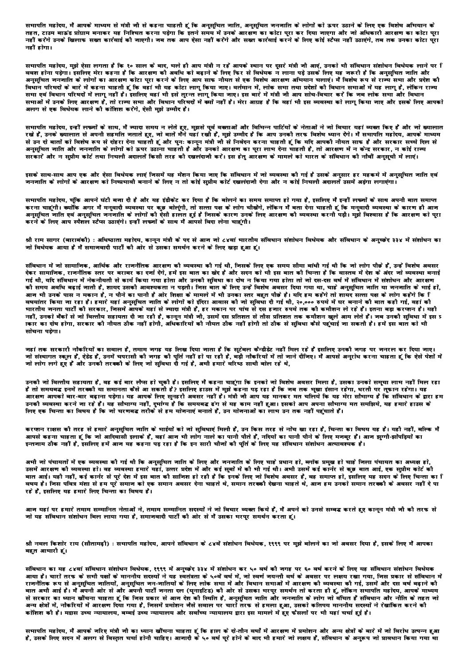सभापति महोदय, मैं आपके माध्यम से मंत्री जी से कहना चाहती हूं कि अनुसूचित जाति, अनुसूचित जनजाति के लोगों को ऊपर उठाने के लिए एक विशेष अभियान के तहत, टाउम बाऊंड प्रोग्राम बनाकर यह निश्चित करना पड़ेगा कि इतने समय में उनके आरक्षण का कोटा पूरा कर दिया जाएगा और जो अधिकारी आरक्षण का कोटा पूरा नहीं करेंगे उनके खिलाफ सख्त कार्रवाई को नाएगी। नव तक आप ऐसा नहीं करेंगे और सख्त कार्रवाई करने के लिए कोई स्टैप्स नहीं उठाएंगे, तब तक उनका कोटा पुरा नहीं होगा।

सभापति महोदय, मुझे ऐसा लगता है कि १० साल के बाद, भले ही आप मंत्री न रहे आपके स्थान पर दूसरे मंत्री जी आएं, उनको भी संविधान संशोधन विधेयक लाने पर ि बवश होना पड़ेगा। इसलिए मेरा कहना है कि आरक्षण को अवधि को बढ़ाने के लिए फिर से विधेयक न लाना पड़े उसके लिए यह जरूरी है कि अनुसूचित जाति और अनुसुचित जनजाति के लोगों का आरक्षण कोटा पुरा करने के लिए आप साफ नीयत से एक विशेष आरक्षण अभियान चलाएं। मैं विशेष रूप से राज्य सभा और प्रदेश की विषान परिषदों के बारे में कहना चाहती हूं कि वहां भी यह कोटा लागू किया जाए। वर्तमान में, लोक सभा तथा प्रदेशों की विधान सभाओं में यह लागू है, लेकिन राज्य सभा एवं विधान परिषदों में लागू नहीं है। इसलिए वहां भी इसे तुरन्त लागू किया जाए। इस बारे में मंत्री जी आप सोच-विचार करें कि जब लोक सभा और विधान समाओं में उनके लिए आरक्षण है, तो राज्य समा और विधान परिषदों में क्यों नहीं है। मेरा आग्रह है कि वहां भी इस व्यवस्था को लागू किया जाए और इसके लिए आपको जन्म से एक विधेयक लाने की कोशिश करेंगे. ऐसी मझे उम्मीद है।

समापति महोदय, इन्हीं लफ्जों के साथ, मैं ज्यादा समय न लेते हुए, मुझसे पूर्व वक्ताओं और विभिन्न पार्टियों के नेताओं ने जो विचार यहां व्यक्त किए हैं और जो ख्यालात<br>रखे हैं, उनके ख्यालात से अपनी सहमति जताते हुए, जो बातें मैंने से उन दो बातों को विशेष रूप से दोहरा देना चाहती हूं और पुनः कानून मंत्री जी से निवेदन करना चाहती हूं कि यदि आपकी नीयत साफ है और सरकार सच्चे दिल से अनुसूचित जाति और जनजाति के लोगों को ऊपर उठाना चाहती है और उनको आरक्षण का पूरा लाभ देना चाहती है, तो आरक्षण में न केन्द्र सरकार, न कोई राज्य जन्तु का नाता आर ना मात्र रहे तथा है। उनके उनके साथ के साथ करने कर से कहा है। इस होने को मान को मात्र के संविधान को नौवीं अनुसूची में लाएं।<br>सरकार और न सप्रीम कोर्ट तथा निचली अदालतें किसी तरह को दखलंदाजी करें। इस हेतु आरक्

इसके साथ-साथ आप एक और ऐसा विधेयक लाएं जिसमें यह मेंशन किया जाए कि संविधान में जो व्यवस्था की गई है उसके अनुसार हर महकमे में अनुसूचित जाति एवं .<br>जनजाति के लोगों के आरक्षण को निष्प्रमावी बनाने के लिए न तो कोई सुप्रीम कोर्ट रखलंदाजी देगा और न कोई निचली अदालते उसमें अड़ंगा लगाएंगा।

सभापति महोदय, चूंकि आपने घंटी बजा दी है और यह इंडीकेट कर दिया है कि बोलने का समय समाप्त हो गया है, इसलिए मैं इन्हीं लफ्जों के साथ अपनी बात समाप्त<br>करना चाहूंगी। क्योंकि अगर मैं मनुवादी व्यवस्था पर कुछ बोलूंगी, तो सत्ता पक् करने के लिए आप स्पैशल स्टैप्स उठाएंगे। इन्हीं लफनों के साथ मैं आपसे बिदा लेना चाहंगी।

श्री राम सागर (बाराबंकी) : अधिष्ठाता महोदय. कानन मंत्री के पद से आज जो ८४वां मारतीय संविधान क्रिशेयक और संविधान के अनच्छेद ३३४ में संशोधन का नो विधेयक आया है मैं समानवादी पार्टी की ओर से उसका समर्थन करने के लिए खड़ा हुआ हूं।

संविधान में नो सामानिक, आर्थिक और राननैतिक आरक्षण कौ व्यवस्था कौ गई थी, निसके लिए एक समय सौमा बांधी गई थी कि नो लोग पौछे हैं, उन्हें विशेष अवसर देकर सामानिक, राजनैतिक स्तर पर बराबर का दर्ना देंगे, हमें इस बात का खेद है और सदन को मी इस बात की चिन्ता है कि वास्तव में देश के अंदर जो व्यवस्था बनाई .<br>गई थी, यदि संविधान में नेकनीयती से कार्य किया गया होता और उनकी सविधा का दोष न किया गया होता तो जो दस-दस वर्ष में संविधान में संशोधन और आरक्षण को समय अवधि बढ़ाई जाती है, शायद उसको आवश्यकता न पड़ती। जिस बात के लिए उन्हें विशेष अवसर दिया गया था, चाहे अनुसूचित जाति या जनजाति के भाई हों, आज भी उनके पास न मकान है, न पीने का पानी है ओर शिक्षा के मामले में भी उनका स्तर बहुत पीछे है। यदि हम कहेंगे तो शायद सत्ता पक्ष के लोग कहेंगे कि ि वषयांतर किया ना रहा है। हमारे यहां अनुसूचित नाति के लोगों को इंदिरा आवास की नो सुविधा दी गई थी, २०,००० रुपये में घर बनाने की बात कही गई, वहां की ना सारे कि साथ सारे रहे हैं।<br>भारतीय जनता पार्टी की सरकार, जिसमें आपके यहां से ज्यादा मंत्री हैं, हर मकान पर पांच से दस हजार रुपये तक की कमीशन ले रहे हैं। इतना बड़ा करप्शन है। यही नहीं, उनको बैंकों से जो वित्तीय सहायता दी जा रही है, कानून मंत्री जी, उसमें दस प्रतिशत से तीस प्रतिशत तक कमीशन खुले आम लेते हैं। जब उनकी सुविधा में इस प्र ाकार का दोष होगा, सरकार को नौयत ठीक नहीं होगी, अधिकारियों को नीयत ठीक नहीं होगी तो ठीक से सुविधा कैसे पहुंचाई जा सकती है। हमें इस बात को भी मोचना पडेगा।

नहां तक सरकारी नौकरियों का सवाल है, तमाम नगह यह लिख दिया नाता है कि सुटेबल कैन्डीडेट नहीं मिल रहे हैं इसलिए उनकी नगह पर ननरल कर दिया नाए। नो संस्थागत स्कूल हैं, ऐडेड हैं, उनमें चपरासी की नगह की पूर्ति नहीं हो पा रही है, बड़ी नौकरियों में तो नाने दीनिए। मैं आपसे अनुरोध करना चाहता हूं कि ऐसे पेशों में नो लोग लगे हुए हैं और उनकी तरकानी के लिए नो संविधा दौ गई है. अभी हमारे वरिष्ठ साथी बोल रहे थे.

उनकी जो वित्तीय सहायता है, वह कई बार लैप्स हो चुकी है। इसलिए मैं कहना चाहूंगा कि इनको जो विशेष अवसर मिला है, उसका उनको समूचा लाम नहीं मिल रहा<br>है तो समयबद इनमें तरककी या समानता कैसे आ सकती है? इसलिए हाउस में मुझे कहना पड़ आरक्षण आपको बार-बार बढ़ाना पड़ेगा। यह आपके लिए सुनहरी अवसर नहीं है। मंत्री जी आप यह मानकर मत चलिये कि यह मेरा सौभाग्य है कि संविधान के द्वारा हम जारत करना का मान करना करना है। यह सौभाग्य नहीं, दुर्भाष्य है कि समयबद्ध हंग से यह काम नहीं हुआ। इसको आप अपना सौभाग्य मत समझिये, यह हमारे हाउस के<br>उनकी व्यवस्था करने ना रहे हैं। यह सौभाग्य नहीं, दुर्भाग्य है कि समयबद्ध ढंग

करपान राक्षस की तरह से हमारे अनुसूचित नाति के भाईयों को नो सुविधाएं मिली हैं, उन किस तरह से नोंच खा रहा है, चिन्ता का विषय यह है। यही नहीं, बल्कि मैं आपसे कहना चाहता हूं कि जो आदिवासी इलाके हैं, वहां आज भी लोग नाले का पानी पीते हैं, नदियों का पानी पीने के लिए मजबूर हैं। आज झूग्गी-झोंपड़ियों का इन्तजाम ठीक नहीं है, इसलिए हमें आज यह कहना पड़ रहा है कि इन सारी चौजों की पूर्ति के लिए यह संविधान संशोधन अत्यावश्यक है।

अभी जो पंचायतों में एक व्यवस्था की गई थी कि अनुसुचित जाति के लिए और जनजाति के लिए चाहे प्रधान हो, ब्लॉक प्रमुख हो चाहे जिला पंचायत का अध्यक्ष हो, उसमें आरक्षण को व्यवस्था हो। वह व्यवस्था हमारे यहाँ, उत्तर प्रदेश में और कई सूबों में की भी गई थी। अभी उसमें कई कार्नर से कुछ बात आई, एक सुप्रीम कोर्ट कौ बात आई। यही नहीं, कई कार्नर से पूरे देश में इस बात की साजिश हो रही है कि इनके लिए जो विशेष अवसर है, वह समाप्त हो, इसलिए यह सदन के लिए चिन्ता का ि वषय है। जिस पवित्र मंशा से हम पूरे समान को एक समान अवसर देना चाहते थे, समान तरक्की देखना चाहते थे, आज हम उनको समान तरक्की के अवसर नहीं दे पा रहे हैं. इसलिए यह हमारे लिए चिन्ता का विषय है।

आन यहां पर हमारे तमाम सम्मानित नेताओं ने, तमाम सम्मानित सदस्यों ने नो विचार व्यक्त किये हैं, मैं अपने को उनसे सम्बद्ध करते हुए कानून मंत्री नौ कौ तरफ से नो यह संविधान संशोधन बिल लाया गया है. समानवादी पार्टी की ओर से मैं उसका भरपर समर्थन करता हूं।

श्री नवल किशोर राय (सीतामढ़ी) : सभापति महोदय, आपने संविधान के ८४वें संशोधन विधेयक, १९९९ पर मुझे बोलने का नो अवसर दिया है, इसके लिए मैं आपका बहुत आभारी हूं।

संविधान का यह ८४वां संविधान संशोधन विधेयक, १९९९ में अनुच्छेद ३३४ में संशोधन कर ५० वर्ष की नगह पर ६० वर्ष करने के लिए यह संविधान संशोधन विधेयक आया है। चारों तरफ के सभी पक्षों के माननीय सदस्यों ने यह स्वतंत्रता के ५०वें वर्ष में, नो स्वर्ण नयन्ती वर्ष के अवसर पर लक्षय रखा गया, निस प्रकार से संविधान में राजनैतिक रूप से अनुसूचित जातियों, अनुसूचित जन-जातियों के लिए लोक सभा में और विधान सभाओं में आरक्षण की जई, असमें और दस वर्ष बढ़ाने की बात अभी आई है। मैं अपनी आर से और अपनी पार्टी जनता दल (यूनाइटिड) की ओर से उसका भरपूर समर्थन तो करता ही हूं, लेकिन सभापति महोदय, आपके माध्यम से सरकार का ध्यान खाँचना चाहता हूं कि जिस प्रकार से आज देश को स्थिति है, अनुसूचित जाति और जनजाति के लोग जो बंचित है संविधान और नीति के तहत जो अन्य क्षेत्रों में, नौकरियों में आरक्षण दिया गया है, निसमें प्रमोशन नैसे सवाल पर चारों तरफ से हमला हुआ, उसको कतिपय माननौय सदस्यों ने रेखांकित करने कौ कोशिश कौ है। मद्रास उच्च न्यायालय, बम्बई उच्च न्यायालय और सर्वोच्च न्यायालय द्वारा इस मामले में हुए फैसलों पर भी यहां चर्चा हुई है।

सभापति महोदय, मैं आपके नरिए मंत्री नी का ध्यान खींचना चाहता हूं कि हाल के दो-तीन वर्षों में आरक्षण में प्रमोशन और अन्य क्षेत्रों के बारे में नो विरोध उत्पन्न हुआ है, उसके लिए सदन में अलग से विस्तत चर्चा होनी चाहिए। आजादी के ५० वर्ष पूरे होने के बाद भी हमारे जो लक्षय है, संविधान के अनुरूप जो प्रावधान किया गया था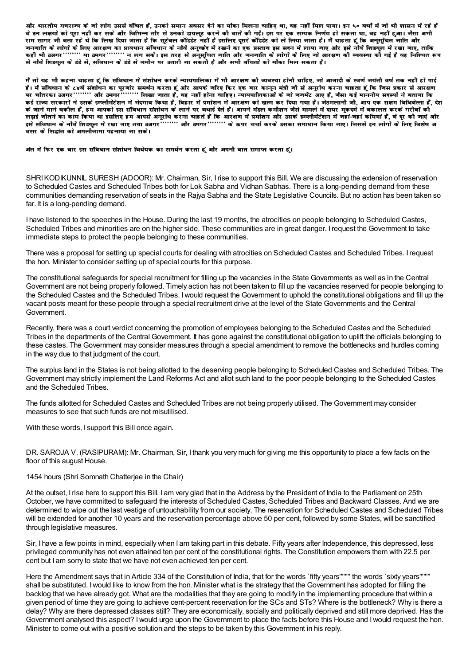और भारतीय गणराज्य के जो लोग उससे वंचित हैं, उनको समान अवसर देने का मौका मिलना चाहिए था, वह नहीं मिल पाया। इन ५० वर्षों में जो भी शासन में रहे हैं वे उन लक्षयों को पुरा नहीं कर सके और विभिन्न तौर से उनको डायलूट करने की बातें की गईं। इस पर एक सम्यक निर्णय हो सकता था, वह नहीं हुआ। जैसा अभी राम सागर जी बता रहे थे कि लिख दिया जाता है कि सटेबल कोंडडेट नहीं है इसलिए दसरे कोंडडेट को ले लिया जाता है। मैं चाहता हूं कि अनसचित जाति और सार साहित्या के लिए आरक्षण का प्रावधान संविधान के नौवें अनुस्कृति में रखने का एक प्रस्ताव इस सदन में लाग और इस<br>जनजाति के लोगों के लिए आरक्षण का प्रावधान संविधान के नौवें अनुस्कृद में रखने का एक प्रस्ताव इस सदन में लाया जा से नौबे शिडयूल के डंडे से, संविधान के डंडे से जमीन पर उतारी जा सकती है और सभी वंचितों को मौका मिल सकता है।

मैं तो यह भी कहना चाहता हूं कि संविधान में संशोधन करके न्यायपालिका में भी आरक्षण को व्यवस्था होनी चाहिए, नो आनादी के स्वर्ण नयंती वर्ष तक नहीं हो पाई न आप नहीं को कहता की कहा का पूराना ने समयन करना ना करकर ने आरंभन का स्वचन मंत्री जी से अनुरोध करना चाहता हूँ कि जिस प्रकार से आरक्षण<br>है। मैं संविधान के ८४वें संशोधन का पुरजोर समर्थन करता हूँ और आपके जरिए किर एक बार कानून लड़ाई जीतने का काम किया था इसलिए हम आपसे अनुरोध करना चाहते हैं कि आरक्षण में प्रमोशन और उसके इम्प्लीमेंटेशन में जहां-जहां कमियां हैं, वे दूर की जाएं और इसे संविधान के नौवे शिडयूल में रखा जाए तथा ठअगर ''''''' और ठमगर'''''''' के ऊपर चर्चा करके उसका समाधान किया जाए। जिससे इन लोगों के लिए विशेष अ वसर के सिद्धांत को अमलीजामा पहनाया जा सके।

अंत में फिर एक बार इस संविधान संशोधन विधेयक का समर्थन करता हूं और अपनौ बात समाप्त करता हूं।

SHRI KODIKUNNIL SURESH (ADOOR): Mr. Chairman, Sir, I rise to support this Bill. We are discussing the extension of reservation to Scheduled Castes and Scheduled Tribes both for Lok Sabha and Vidhan Sabhas. There is a long-pending demand from these communities demanding reservation of seats in the Rajya Sabha and the State Legislative Councils. But no action has been taken so far. It is a long-pending demand.

I have listened to the speeches in the House. During the last 19 months, the atrocities on people belonging to Scheduled Castes, Scheduled Tribes and minorities are on the higher side. These communities are in great danger. I request the Government to take immediate steps to protect the people belonging to these communities.

There was a proposal for setting up special courts for dealing with atrocities on Scheduled Castes and Scheduled Tribes. I request the hon. Minister to consider setting up of special courts for this purpose.

The constitutional safequards for special recruitment for filling up the vacancies in the State Governments as well as in the Central Government are not being properly followed. Timely action has not been taken to fill up the vacancies reserved for people belonging to the Scheduled Castes and the Scheduled Tribes. I would request the Government to uphold the constitutional obligations and fill up the vacant posts meant for these people through a special recruitment drive at the level of the State Governments and the Central Government.

Recently, there was a court verdict concerning the promotion of employees belonging to the Scheduled Castes and the Scheduled Tribes in the departments of the Central Government. It has gone against the constitutional obligation to uplift the officials belonging to these castes. The Government may consider measures through a special amendment to remove the bottlenecks and hurdles coming in the way due to that judgment of the court.

The surplus land in the States is not being allotted to the deserving people belonging to Scheduled Castes and Scheduled Tribes. The Government may strictly implement the Land Reforms Act and allot such land to the poor people belonging to the Scheduled Castes and the Scheduled Tribes.

The funds allotted for Scheduled Castes and Scheduled Tribes are not being properly utilised. The Government may consider measures to see that such funds are not misutilised.

With these words, I support this Bill once again.

DR. SAROJA V. (RASIPURAM): Mr. Chairman, Sir, I thank you very much for giving me this opportunity to place a few facts on the floor of this august House.

## 1454 hours (Shri Somnath Chatterjee in the Chair)

At the outset, I rise here to support this Bill. I am very glad that in the Address by the President of India to the Parliament on 25th October, we have committed to safeguard the interests of Scheduled Castes, Scheduled Tribes and Backward Classes. And we are determined to wipe out the last vestige of untouchability from our society. The reservation for Scheduled Castes and Scheduled Tribes will be extended for another 10 years and the reservation percentage above 50 per cent, followed by some States, will be sanctified through legislative measures.

Sir, I have a few points in mind, especially when I am taking part in this debate. Fifty years after Independence, this depressed, less privileged community has not even attained ten per cent of the constitutional rights. The Constitution empowers them with 22.5 per cent but I am sorry to state that we have not even achieved ten per cent.

Here the Amendment says that in Article 334 of the Constitution of India, that for the words `fifty years"""" the words `sixty years"""" shall be substituted. I would like to know from the hon. Minister what is the strategy that the Government has adopted for filling the backlog that we have already got. What are the modalities that they are going to modify in the implementing procedure that within a given period of time they are going to achieve cent-percent reservation for the SCs and STs? Where is the bottleneck? Why is there a delay? Why are there depressed classes still? They are economically, socially and politically deprived and still more deprived. Has the Government analysed this aspect? I would urge upon the Government to place the facts before this House and I would request the hon. Minister to come out with a positive solution and the steps to be taken by this Government in his reply.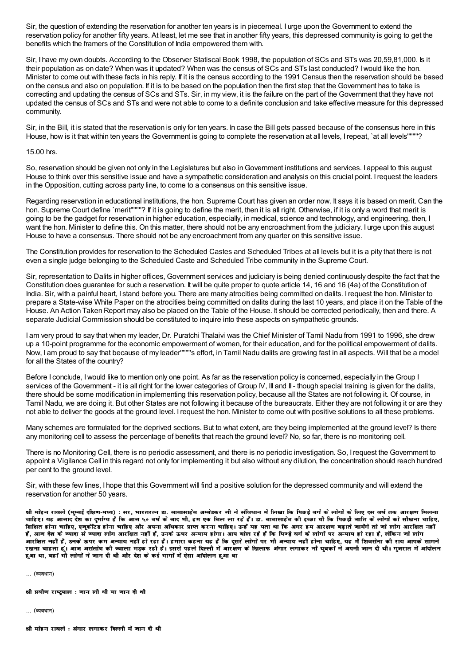Sir, the question of extending the reservation for another ten years is in piecemeal. I urge upon the Government to extend the reservation policy for another fifty years. At least, let me see that in another fifty years, this depressed community is going to get the benefits which the framers of the Constitution of India empowered them with.

Sir, I have my own doubts. According to the Observer Statiscal Book 1998, the population of SCs and STs was 20,59,81,000. Is it their population as on date? When was it updated? When was the census of SCs and STs last conducted? Iwould like the hon. Minister to come out with these facts in his reply. If it is the census according to the 1991 Census then the reservation should be based on the census and also on population. If it is to be based on the population then the first step that the Government has to take is correcting and updating the census of SCs and STs. Sir, in my view, it is the failure on the part of the Government that they have not updated the census of SCs and STs and were not able to come to a definite conclusion and take effective measure for this depressed community.

Sir, in the Bill, it is stated that the reservation is only for ten years. In case the Bill gets passed because of the consensus here in this House, how is it that within ten years the Government is going to complete the reservation at all levels. I repeat, `at all levels''''''?

## 15.00 hrs.

So, reservation should be given not only in the Legislatures but also in Government institutions and services. I appeal to this august House to think over this sensitive issue and have a sympathetic consideration and analysis on this crucial point. Irequest the leaders in the Opposition, cutting across party line, to come to a consensus on this sensitive issue.

Regarding reservation in educational institutions, the hon. Supreme Court has given an order now. It says it is based on merit. Can the hon. Supreme Court define `merit'"""? If it is going to define the merit, then it is all right. Otherwise, if it is only a word that merit is going to be the gadget for reservation in higher education, especially, in medical, science and technology, and engineering, then, I want the hon. Minister to define this. On this matter, there should not be any encroachment from the judiciary. I urge upon this august House to have a consensus. There should not be any encroachment from any quarter on this sensitive issue.

The Constitution provides for reservation to the Scheduled Castes and Scheduled Tribes at all levels but it is a pity that there is not even a single judge belonging to the Scheduled Caste and Scheduled Tribe community in the Supreme Court.

Sir, representation to Dalits in higher offices, Government services and judiciary is being denied continuously despite the fact that the Constitution does guarantee for such a reservation. It will be quite proper to quote article 14, 16 and 16 (4a) of the Constitution of India. Sir, with a painful heart, I stand before you. There are many atrocities being committed on dalits. Irequest the hon. Minister to prepare a State-wise White Paper on the atrocities being committed on dalits during the last 10 years, and place it on the Table of the House. An Action Taken Report may also be placed on the Table of the House. It should be corrected periodically, then and there. A separate Judicial Commission should be constituted to inquire into these aspects on sympathetic grounds.

I am very proud to say that when my leader, Dr. Puratchi Thalaivi was the Chief Minister of Tamil Nadu from 1991 to 1996, she drew up a 10-point programme for the economic empowerment of women, for their education, and for the political empowerment of dalits. Now, I am proud to say that because of my leader''''''''s effort, in Tamil Nadu dalits are growing fast in all aspects. Will that be a model for all the States of the country?

Before I conclude, Iwould like to mention only one point. As far as the reservation policy is concerned, especially in the Group I services of the Government - it is all right for the lower categories of Group IV. III and II - though special training is given for the dalits, there should be some modification in implementing this reservation policy, because all the States are not following it. Of course, in Tamil Nadu, we are doing it. But other States are not following it because of the bureaucrats. Either they are not following it or are they not able to deliver the goods at the ground level. Irequest the hon. Minister to come out with positive solutions to all these problems.

Many schemes are formulated for the deprived sections. But to what extent, are they being implemented at the ground level? Is there any monitoring cell to assess the percentage of benefits that reach the ground level? No, so far, there is no monitoring cell.

There is no Monitoring Cell, there is no periodic assessment, and there is no periodic investigation. So, Irequest the Government to appoint a Vigilance Cell in this regard not only for implementing it but also without any dilution, the concentration should reach hundred per cent to the ground level.

Sir, with these few lines, I hope that this Government will find a positive solution for the depressed community and will extend the reservation for another 50 years.

श्री मोहन रावले (मुम्बई दक्षिण-मध्य) : सर, भारतरत्न डा. बाबासाहेब अम्बेडकर जी ने संविधान में लिखा कि पिछड़े वर्ग के लोगों के लिए दस वर्ष तक आरक्षण मिलना चाहिए। यह आनार रेश का रुपांग्य है कि आन ५० वर्ष के बार भी, हम एक बिल ला रहे हैं। डा. बाबासाहेब की इच्छा थी कि पिछड़ी नाति के लोगों को सीखना चाहिए, ्हिमित होना चाहिए, एनूकोटेड होना चाहिए और अपना अधिकार प्राप्त करना चाहिए। उन्हें यह पता था कि अगर हम आरक्षण बढ़ाते जायेगे तो जो लोग आरक्षित नहीं<br>शिक्षित होना चाहिए, एनूकोटेड होना चाहिए और अपना अधिकार प्राप्त करना चाहिए। हैं, आज देश के ज्यादा से ज्यादा लोग आरक्षित नहीं हैं, उनके ऊपर अन्याय होगा। आप बोल रहे हैं कि पिन्डे वर्ग के लोगो पर अन्याय हो रहा है, लेकिन जो लोग आरक्षित नहीं है. उनके ऊपर कम अन्याय नहीं हो रहा है। हमारा कहना यह है कि दसरे लोगों पर भी अन्याय नहीं होना चाहिए. यह मैं शिवसेना की राय आपके सामने रखना चाहता हूं। आन असंतोष को न्वाला भड़क रही है। इससे पहले दिल्ली में आरक्षण के खिलाफ अंगार लगाकर नौ युवकों ने अपनी नान दी थी। गुनरात में आंदोलन हुआ था, वहां भी लोगों ने जान दी थी और देश के कई भागों में ऐसा आंदोलन हुआ था

... (व्यवधान)

श्री प्रवीण राष्ट्रपाल : नान ली थी या नान दी थी

... (व्यवधान)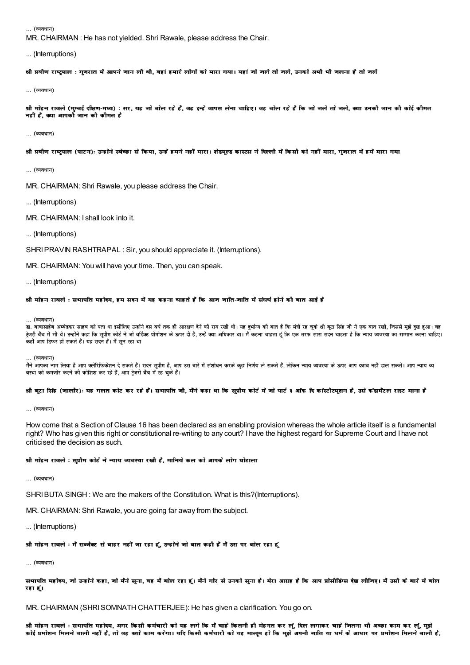... (व्यवधान)

MR. CHAIRMAN: He has not vielded. Shri Rawale, please address the Chair.

... (Interruptions)

श्री प्रवीण राष्ट्रपाल : गजरात में आपने जान ली थी, वहां हमारे लोगों को मारा गया। यहां जो जले तो जले, उनको अभी भी जलना है तो जलें

... (व्यवधान)

श्री मोहन रावले (मुम्बई दक्षिण-मध्य) : सर, यह जो बोल रहे हैं, वह इन्हें वापस लेना चाहिए। वह बोल रहे हैं कि जो जले तो जले, क्या उनकी जान की कोई कौमत नहीं हैं, क्या आपको जान की कीमत है

... (व्यवधान)

श्री प्रवीण राष्ट्रपाल (पाटन): उन्होंने स्वेच्छा से किया, उन्हें हमने नहीं मारा। शेडयल्ड कास्टस ने दिल्ली में किसी को नहीं मारा, गुजरात में हमें मारा गया

... (व्यवधान)

MR. CHAIRMAN: Shri Rawale, you please address the Chair.

... (Interruptions)

MR. CHAIRMAN: I shall look into it.

... (Interruptions)

SHRI PRAVIN RASHTRAPAL: Sir. you should appreciate it. (Interruptions).

MR, CHAIRMAN: You will have your time. Then, you can speak.

... (Interruptions)

#### श्री मोहन रावले : सभापति महोदय. हम सदन में यह कहना चाहते हैं कि आन नाति-नाति में संघर्ष होने की बात आई है

... (व्यवधान)

डा. बाबासाहेब अम्बेडकर साहब को पता था इसीलिए उन्होंने दस वर्ष नंब को शारका हो की भी पर बड़ी थी। यह दुर्भाग को बात है कि मंत्री रह चुके श्री बूटा सिंह जी ने एक बात रखी, जिससे मुझे दुख हुआ। वह टेजरी बैंच में भी थे। उन्होंने कहा कि सप्रीम कोर्ट ने जो वॉर्डक्ट प्रोमोशन के ऊपर है, उन्हें कमा अधिकार था। मैं कहना चाहता है कि साल सदन चाहता है कि न्याय व्यवस्था का सम्मान करना चाहिए। ू<br>कहीं आप डिफर हो सकते हैं। यह सदन हैं। मैं सुन रहा था

(ਕਰਬਾਜ)

मैंने आपका नाम लिया है आप क्लेरिफिकेशन दे सकते हैं। सदन सुप्रीम है, आप उस बारे में संशोधन करके कुछ निर्णय ले सकते हैं, लेकिन न्याय व्यवस्था के ऊपर आप दबाव नहीं डाल सकते। आप न्याय व्य वस्था को कमजोर करने की कोशिश कर रहे हैं, आप ट्रेजरी बैंच में रह चुके हैं।

### श्री बुटा सिंह (जालौर): यह गलत कोट कर रहे हैं। सभापति जी, मैंने कहा था कि सुप्रीम कोर्ट में जो पार्ट ३ ऑफ दि कांस्टीटयुशन है, उसे फंडामैंटल राइट माना है

... (व्यवधान)

How come that a Section of Clause 16 has been declared as an enabling provision whereas the whole article itself is a fundamental right? Who has given this right or constitutional re-writing to any court? I have the highest regard for Supreme Court and I have not criticised the decision as such.

# श्रौ मोहन रावले : सुप्रौम कोर्ट ने न्याय व्यवस्था रखौ है, मानिये कल को आपके लोग घोटाला

... (व्यवधान)

SHRI BUTA SINGH: We are the makers of the Constitution. What is this?(Interruptions).

MR, CHAIRMAN: Shri Rawale, you are going far away from the subject.

... (Interruptions)

# श्री मोहन रावले : मैं सब्जैक्ट से बाहर नहीं जा रहा हूं, उन्होंने जो बात कही हैं मैं उस पर बोल रहा हूं

... (व्यवधान)

सभापति महोदय, जो उन्होंने कहा, जो मैंने सुना, वह मैं बोल रहा हूं। मैंने गौर से उनको सुना है। मेरा आग्राह है कि आप प्रोसीडिंग्स देख लीजिए। मैं उसी के बारे में बोल रहा हूं।

MR. CHAIRMAN (SHRI SOMNATH CHATTERJEE): He has given a clarification. You go on.

श्री मोहन रावले : सभापति महोदय, अगर किसी कर्मचारी को यह लगे कि मैं चाहे कितनी ही मेहनत कर लूं, दिल लगाकर चाहे नितना भी अच्छा काम कर लूं, मुझे कोई प्रमोशन मिलने वालौ नहीं है, तो वह क्यों काम करेगा। यदि किसी कर्मचारी को यह मालूम हो कि मुझे अपनी जाति या धर्म के आधार पर प्रमोशन मिलने वाली है,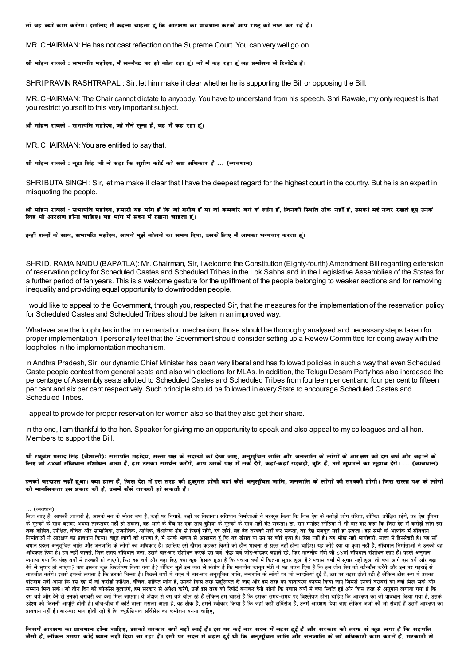#### तो वह क्यों काम करेगा। इसलिए मै कहना चाहता हूं कि आरक्षण का प्रावधान करके आप राष्ट्र को नष्ट कर रहे हैं।

MR. CHAIRMAN: He has not cast reflection on the Supreme Court. You can very well go on.

#### श्री मोहन रावले : सभापति महोदय, मैं सब्जैक्ट पर ही बोल रहा हूं। जो मैं कह रहा हूं वह प्रमोशन से रिलेटेड हैं।

SHRI PRAVIN RASHTRAPAL : Sir, let him make it clear whether he is supporting the Bill or opposing the Bill.

MR. CHAIRMAN: The Chair cannot dictate to anybody. You have to understand from his speech. Shri Rawale, my only request is that you restrict yourself to this very important subject.

#### श्री मोहन रावले : सभापति महोदय, जो मैंने सुना है, वह मैं कह रहा हूं।

MR. CHAIRMAN: You are entitled to say that.

#### श्री मोहन रावले : बूटा सिंह जौ ने कहा कि सूप्रीम कोर्ट को क्या अधिकार है ... (व्यवधान)

SHRI BUTA SINGH: Sir, let me make it clear that I have the deepest regard for the highest court in the country. But he is an expert in misquoting the people.

श्री मोहन रावले : सभापति महोदय, हमारी यह मांग है कि जो गरीब है या जो कमजोर वर्ग के लोग है, जिनकी स्थिति ठीक नहीं है, उसको मद्दे नजर रखते हुए उनके लिए भी आरक्षण होना चाहिए। यह मांग मैं सदन में रखना चाहता हूं।

#### इन्हीं शब्दों के साथ, सभापति महोदय, आपने मुझे बोलने का समय दिया, उसके लिए मैं आपका धन्यवाद करता हूं।

SHRI D. RAMA NAIDU (BAPATLA): Mr. Chairman, Sir, I welcome the Constitution (Eighty-fourth) Amendment Bill regarding extension of reservation policy for Scheduled Castes and Scheduled Tribes in the Lok Sabha and in the Legislative Assemblies of the States for a further period of ten years. This is a welcome gesture for the upliftment of the people belonging to weaker sections and for removing inequality and providing equal opportunity to downtrodden people.

I would like to appeal to the Government, through you, respected Sir, that the measures for the implementation of the reservation policy for Scheduled Castes and Scheduled Tribes should be taken in an improved way.

Whatever are the loopholes in the implementation mechanism, those should be thoroughly analysed and necessary steps taken for proper implementation. I personally feel that the Government should consider setting up a Review Committee for doing away with the loopholes in the implementation mechanism.

In Andhra Pradesh, Sir, our dynamic Chief Minister has been very liberal and has followed policies in such a way that even Scheduled Caste people contest from general seats and also win elections for MLAs. In addition, the Telugu Desam Party has also increased the percentage of Assembly seats allotted to Scheduled Castes and Scheduled Tribes from fourteen per cent and four per cent to fifteen per cent and six per cent respectively. Such principle should be followed in every State to encourage Scheduled Castes and Scheduled Tribes

I appeal to provide for proper reservation for women also so that they also get their share.

In the end, I am thankful to the hon. Speaker for giving me an opportunity to speak and also appeal to my colleagues and all hon. Members to support the Bill.

श्री रघवंश प्रसाद सिंह (वैशाली): समापति महोदय, सत्ता पक्ष के सदस्यों को देखा नाए, अनसचित नाति और जनजाति के लोगों के आरक्षण को दस वर्ष और बढाने के लिए जो ८४वां संविधान संशोधन आया है. हम उसका समर्थन करेंगे. आप उसके पक्ष में तर्क देंगे. कहां-कहां गडबडी. त्रटि है. उसे सधारने का सझाव देंगे। … (व्यवधान)

डनको बरदाश्त नहीं हआ। क्या हाल है, जिस देश में इस तरह की हकमत होगी वहां कैसे अनसचित जाति. जनजाति के लोगों की तरकही होगी। जिस सत्ता पक्ष के लोगों .<br>कौ मानसिकता इस प्रकार कौ है, उसमें कैसे तरककी हो सकती है।

#### (ਕਾਰਬਾਜ)

बिल लाए हैं, आपकी लाचारी है, आपके मन के भीतर क्या है, कहीं पर निगाहें, कहीं पर निशाना। संविधान निर्माताओं ने महसूस किया कि जिस देश के करोड़ों लोग वंचित, शोषित, उपेक्षित रहेंगे, वह देश दुनिया के मुल्कों के साथ बराबर अथवा ताकतवर नहीं हो सकता, वह आगे के बैच पर एक साथ दनिया के मुल्कों के साथ माना जा राम मनोहर लोहिया ने भी बार-बार कहा कि जिस देश में करोड़ों लोग इस .<br>तरह शोषित, उपेक्षित, वंचित और सामाजिक, राजनैतिक, आर्थिक, शैक्षणिक ढंग से पिछड़े रहेंगे, वह देश तरकमी नहीं कर सकता, वह देश मजबूत नहीं हो सकता। इस सभी के आलोक में संविभान निर्माताओं ने आरक्षण का प्रावधान किया। बहुत लोगों की धारणा है, मैं उनके भाषण से असहमत हूं कि यह अब कहा है। ऐसा नहीं है। यह भीख नहीं भागीदारी, सत्ता में हिस्सेदारी है। यह भीख नहीं भागीदारी, सत्ता में हिस्सेदारी है। यह सी वधान प्रदत्त अनुसूचित जाति और जनजाति के लोगों का अधिकार है। इसलिए इसे खैरात कहकर किसी को हीन भवना से प्रस्त नहीं होना चाहिए। यह कोई दया या कृपा नहीं है, संविधान निर्माताओं ने उनको यह अधिकार दिया है। हम नहीं जानते. जिस समय संविधान बना. उसमें बार-बार संशोधन करके दस वर्ष. पंजेड जोडकर बढाते रहे. फिर माननीय मंत्री जी ८४वां संविधान संशोधन लाए हैं। पहले अनमान लगाया गया कि पंद्रह वर्षों में तरक्की हो जाएगी, फिर दस वर्ष और बढ़ा दिए, क्या कुछ हिसाब हुआ है कि पचास वर्षों में 2018 रखा से सुधार नहीं हुआ तो क्या आगे दस वर्ष और बढ़ा देने से सुधार हो जाएगा? क्या इसका कुछ विश्लेषण किया गया है? लेकिन मुझे इस बात से संतोष है कि गमनीय कानून मंत्री ने यह वचन दिया है कि हम तीन दिन की कौन्फ्रैंस करेंगे और इस पर गहराई से .<br>बातचीत करेंगे। इससे हमको लगता है कि उनको चिन्ता है। पिछले वर्षो मे सदन मे बार-बार अनुसूचित जाति, जनजाति के लोगो पर जो ज्यातियां हुई है, उस पर बहस होती रही है लेकिन ठोस रूप में उसका परिणाम नहीं आया कि इस देश में जो करोड़ों उपेक्षित. वंचित. शोषित लोग हैं. उनको किस तरह सहलियत दी जाए और इस तरह का वातावरण कायम किया जाए जिससे उनको बराबरी का दर्जा मिल सके और सम्मान मिल सके। जो तीन दिन की कौन्फ्रैस बुलाएंगे, हम सरकार से अपेक्षा करेंगे, उन्हें इस तरह की रिपोर्ट बनाकर देनी पड़ेगी कि पचास वर्षों में क्या स्थिति हुई और किस तरह से अनुमान लगाया गया है कि दस वर्ष और देने से उनको बराबरी का दर्जा मिल जाएगा। ये अंदाज से दस वर्ष बोल रह है लेकिन हम चाह है कि इसका समय-समय पर विश्लेषण होना चाहिए कि आरक्षण का जो प्रावधान किया गया है, उसके .<br>उद्देश्य की कितनी आपति होती है। बीच-बीच में कोर्ट वाला मसला आता है. यह ठीक है. हमने स्वीकार किया कहीं सर्विसेज हैं. उनमें आरक्षण दिया जाए लेकिन जजों की जो सेवाएं हैं उसमें आरक्षण का प्रावधान नहीं है। बार-बार मांग होती रही है कि ज्युडीशियल सर्विसेस का कमीशन बनना चाहिए,

निसमें आरक्षण का प्रावधान होना चाहिए, उसको सरकार क्यों नहीं लाई है। इस पर कई बार सदन में बहस हुई है और सरकार कौ तरफ से कड़ लगा है कि सहमति जैसी है. लेकिन उसपर कोई ध्यान नहीं दिया जा रहा है। इसी पर सदन में बहस हुई थी कि अनसचित जाति और जनजाति के जो अधिकारी काम करते हैं. सरकारी से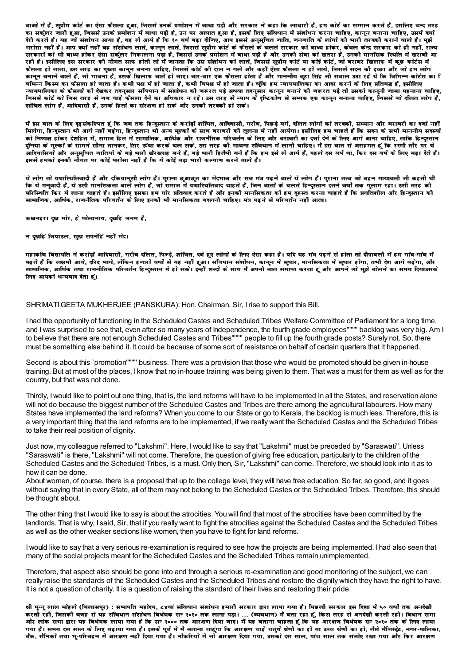वाओं में हैं, सप्रीम कोर्ट का ऐसा फैसला हुआ, निससे उनके प्रमोशन में बाधा पड़ी और सरकार ने कहा कि लाचारी है, हम कोर्ट का सम्मान करते हैं, इसलिए चन्द तरह का सर्कूलर जारी हुआ, जिससे उनके प्रमोशन में बाधा पड़ी है, उन पर आघात हुआ है, इसके लिए संविधान में संशोधन करना चाहिए, कानून बनाना चाहिए, उसमें क्यों देरी करते हैं। यह जो संशोधन आया है, वह ले आये हैं कि १० वर्ष बढा दीजिए, आप इससे अनुसुचित जाति, जनजाति के लोगों को मारी तरका कराने वाले हैं। मुझे भरोसा नहीं है। आप क्यों नहीं वह संशोधन लाते, कानून लाते, जिससे सुप्रीम कोर्ट के फैसले के चलते सरकार को बाध्य होकर, कवल केन्द्र सरकार को ही नहीं, राज्य सरकारों को भी बाध्य होकर ऐसा सर्कूलर निकालना पड़ा है, जिससे उनके प्रमोशन में बाधा पड़ी है और उनकी सेवा को खतरा है, उनकी मानसिक स्थिति में खराबी आ रही है। इसीलिए इस सरकार की नीयत साफ होती तो मैं जानता कि उस संशोधन को लाते, जिससे सुप्रीम कोर्ट या कोई कोर्ट, जो बराबर खिलाफ में कुछ कोर्टस में कानून बनाने वाले हैं, जो माबना है, उसके खिलाफ बाते हो जाए। बार-बार एक फैसला होता है और माननीय बटा सिंह जी सवाल उठा रहे थे कि विभिन्न कोर्टस का ि वर्मिन्न किस्म का फैसला हो जाता है। कभी पक्ष में हो जाता है, कभी विपक्ष में हो जाता है। चकि हम न्यायपालिका का आदर करने के लिए प्रतिबद्ध हैं, इसीलिए -यायपालिका के फैसलों को देखकर तदनुसार संविधान में संशोधन की जरूरत पड़े अथवा तदनुसार कानून बनाने की जरूरत पड़े तो उसको कानूनी जामा पहनाना चाहिए, जिससे कोर्ट को जिस तरह से नब चाहे फैसला देने का अधिकार न रहे। उस तरह से न्याय के दृष्टिकोण से सम्यक एक कानून बनाना चाहिए, जिससे नो दलित लोग हैं, शोषित लोग हैं, आदिवासी हैं, उनके हितों का संरक्षण हो सके और उनकी तरककी हो सके।

मैं इस बात के लिए दृढ़संकल्पित हूं कि जब तक हिन्दुस्तान के करोड़ों शोषित, आदिवासी, गरौब, पिछड़े वर्ग, दलित लोगों को तरककी, सम्मान और बराबरी का दर्जा नहीं मिलेगा, हिन्दस्तान भी आगे नहीं बढ़ेगा, हिन्दस्तान भी अन्य मल्कों के साथ बराबरी की तुलना में नहीं आयेगा। इसीलिए हम चाहते हैं कि सदन के सभी माननीय सदस्यों को निष्पक्ष होकर देशहित में समाज हित में सामाजिक, आर्थिक और राजनैतिक परिवर्तन के लिए और बराबरी का दर्जा देने के लिए आगे आना चाहिए. ताकि हिन्दस्तान दुनिया के मुल्कों के सामने सीना तानकर, सिर ऊंचा करके चल सके, उस तरह की भावना संविधान में लानी चाहिए। मैं इस बात से असहमत हूं कि रस्मी तौर पर ये .<br>आदिवासियों और अनुसूचित जातियों के बड़े भारी खैरख्वाह बने हैं, बड़े भारी हितैषी बने हैं कि हम इसे ले आये हैं, पहले दस वर्ष था, फिर दस वर्ष के लिए बढ़ा देते हैं। इससे हमको इनकी नौयत पर कोई भरोसा नहीं है कि ये कोई बड़ा भारी कल्याण करने वाले हैं।

ये लोग तो यथास्थितिवादी हैं और दकियानसी लोग हैं। पुराना छुआछत का भेदमाव और सब मंत्र पढ़ने वाले ये लोग हैं। पुराना तत्व जो बहन मायावती जी कहती थीं कि ये मनुवादी हैं, ये उसी मानसिकता वाले लोग हैं, जो समाज में यथास्थितिवाद चाहते हैं, जिन बातों के चलते हिन्दुस्तान इतने वर्षों तक गुलाम रहा। उसी तरह की परिस्थिति फिर ये लाना चाहते हैं। इसीलिए इसका हम घोर प्रतिवाद करते हैं और इनकी मानसिकता को हम दुरुस्त करना चाहते हैं कि प्रगतिशौल और हिन्दुस्तान की सामाजिक, आर्थिक, राजनैतिक परिवर्तन के लिए इनकौ भी मानसिकता बदलनौ चाहिए। मंत्र पढने से परिवर्तन नहीं आता।

कखनहरा दुख मोर, हे भोलानाथ, दुखहिं जनम है,

### न दखहिं जियाउल, सुख सपनोहिं नहीं भेद।

महाकवि विद्यापति ने करोड़ों आदिवासी, गरीब दलित, पिन्ड़े, शोषित, दबे हुए लोगों के लिए ऐसा कहा है। यदि यह मंत्र पढ़ने से होता तो दीपावली में हम गांव-गांव में पढते हैं कि लक्षमी आवे. दरिद्र मागे. लेकिन हजारों वर्षों से यह नहीं हआ। संविधान संशोधन, कानन में सधार, मानसिकता में सधार होगा. तभी देश आगे बढेगा. और सामाजिक, आर्थिक तथा राजनीतिक परिवर्तन हिन्दुस्तान में हो सक। इन्हीं शब्दों के साथ मैं अपनी बात समाप्त करता हूं और आपने जो मुझे बोलने का समय दियाउसके लिए आपको धन्यवाद देता हूं।

#### SHRIMATI GEETA MUKHERJEE (PANSKURA): Hon. Chairman, Sir, I rise to support this Bill.

I had the opportunity of functioning in the Scheduled Castes and Scheduled Tribes Welfare Committee of Parliament for a long time, and I was surprised to see that, even after so many years of Independence, the fourth grade employees""" backlog was very big. Am I to believe that there are not enough Scheduled Castes and Tribes"""" people to fill up the fourth grade posts? Surely not. So, there must be something else behind it. It could be because of some sort of resistance on behalf of certain quarters that it happened.

Second is about this `promotion"""" business. There was a provision that those who would be promoted should be given in-house training. But at most of the places, I know that no in-house training was being given to them. That was a must for them as well as for the country, but that was not done.

Thirdly, I would like to point out one thing, that is, the land reforms will have to be implemented in all the States, and reservation alone will not do because the biggest number of the Scheduled Castes and Tribes are there among the agricultural labourers. How many States have implemented the land reforms? When you come to our State or go to Kerala, the backlog is much less. Therefore, this is a very important thing that the land reforms are to be implemented, if we really want the Scheduled Castes and the Scheduled Tribes to take their real position of dignity.

Just now, my colleague referred to "Lakshmi". Here, I would like to say that "Lakshmi" must be preceded by "Saraswati". Unless "Saraswati" is there, "Lakshmi" will not come. Therefore, the question of giving free education, particularly to the children of the Scheduled Castes and the Scheduled Tribes, is a must. Only then, Sir. "Lakshmi" can come. Therefore, we should look into it as to how it can be done.

About women, of course, there is a proposal that up to the college level, they will have free education. So far, so good, and it goes without saying that in every State, all of them may not belong to the Scheduled Castes or the Scheduled Tribes. Therefore, this should be thought about.

The other thing that I would like to say is about the atrocities. You will find that most of the atrocities have been committed by the landlords. That is why, I said, Sir, that if you really want to fight the atrocities against the Scheduled Castes and the Scheduled Tribes as well as the other weaker sections like women, then you have to fight for land reforms.

I would like to say that a very serious re-examination is required to see how the projects are being implemented. I had also seen that many of the social projects meant for the Scheduled Castes and the Scheduled Tribes remain unimplemented.

Therefore, that aspect also should be gone into and through a serious re-examination and good monitoring of the subject, we can really raise the standards of the Scheduled Castes and the Scheduled Tribes and restore the dignity which they have the right to have. It is not a question of charity. It is a question of raising the standard of their lives and restoring their pride.

श्री पून्नू लाल मोहले (बिलासपुर) : समापति महोदय, ८४वां संविधान संशोधन हमारी सरकार द्वारा लाया गया है। पिछली सरकार इस दिशा में ५० वर्षों तक अनदेखी करती रही, निसकी वनह से यह संविधान संशोधन विधेयक सन २०१० तक लाना पड़ा। … (व्यवधान) में बता रहा हूं, किस तरह से अनदेखी करती रही। विधान सभा गया है। समय दस साल के लिए बढ़ाया गया है। इसके पूर्व में मैं बताना चाहूंगा कि आरक्षण चाहे चतुर्थ श्रेणी का हो जो का हो, जैसे मैजिस्ट्रेट, नगर-पालिका, बैंक, सैनिकों तथा म-परिवहन में आरक्षण नहीं दिया गया है। नौकरियों में जो आरक्षण दिया गया, उसको दस साल, पांच साल तक संजोए रखा गया और फिर आरक्षण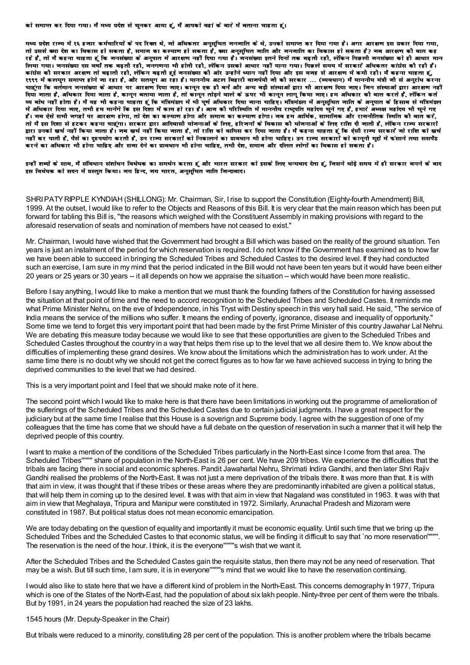मध्य प्रदेश राज्य में १६ हजार कर्मचारियों के पद रिक्त थे, जो अधिकतर अनुसूचित जनजाति के थे, उनको समाप्त कर दिया गया है। अगर आरक्षण इस प्रकार दिया गया, तो उससे क्या देश का विकास हो सकता है, समाज का कल्याण हो सकता है, क्या अनुसूचित जाति और जनजाति का विकास हो सकता है? जब आरक्षण की बात कह रहे हैं. तो मैं कहना चाहता हूं कि जनसंख्या के अनपात में आरक्षण नहीं दिया गया है। जनसंख्या इतने दिनों तक बढती रही. लेकिन पिछली जनसंख्या को ही आधार मान लिया गया। जनसंख्या दस बर्षों तक बढ़ती रही, जनगणना भी होती रही, लेकिन उसको आधार नहीं माना गया। पिछले समय में सरकारे अधिकतर कांग्रेस कौ रही हैं। कांग्रेस की सरकार अरक्षण तो बढ़ाती रही, लेकिन बढ़ती हुई जनसंख्या की ओर उन्होंने ध्यान नहीं दिया और इस वजह से आरक्षण में कमी रही। मैं कहना चाहता हुं, १९९९ में कलयुग समाप्त होने जा रहा है, और सतयुग आ रहा है। माननीय अटल बिहारी वाजपेयी जी की सरकार … (व्यवधान) मैं माननीय मंत्री जी से अनुरोध करना चाहूंगा कि वर्तमान ननसंख्या के आधार पर आरक्षण दिया नाए। कानून एक हौ बनें और अन्य बड़ी संस्थाओं द्वारा भी आरक्षण लगाए। निन संस्थाओं द्वारा आरक्षण नहीं दिया जाता है, अधिकार दिया जाता है, कानून बताया जाता है, तो कानून तोड़ने वाले के ऊपर भी कानून लागू किया जाए। हम अधिकार कौ बात करते हैं, लेकिन कर्त व्य बोध नहीं होता है। मैं यह भी कहना चाहता हूं कि मंत्रिमंडल में भी पूर्ण अधिकार दिया जाना चाहिए। मंत्रिमंडल में अनुसूचित जाति के अनुपात के हिसाब से मंत्रिमंडल में अधिकार दिया जाए. तभी हम मानेंगे कि इस दिशा में काम हो रहा है। आज की परिस्थिति में माननीय राष्ट्रपति महोदय चुने गए हैं, हमारे अध्यक्ष महोदय भी चुने गए हैं। जब ऐसे सभी जगहों पर आरक्षण होगा, तो देश का कल्याण होगा और समाज का कल्याण होगा। जब हम आर्थिक, सामाजिक और राजनीतिक स्थिति कौ बात करें, तो मैं इस दिशा से हटकर कहना चाहूंगा। सरकार द्वारा आदिवासी योजनाओं के लिए, हरिजनों के बिकास कौ योजनाओं के लिए राशि दी जाती है, लेकिन राज्य सरकारों द्वारा उनको खर्च नहीं किया जाता है। जब खर्च नहीं किया जाता है, तो राशि को वापिस कर दिया जाता है। मैं कहना चाहता हूं कि ऐसी राज्य सरकारे जो राशि को खर्च नहीं कर पाती हैं. पैसे का दरुपयोग करती हैं. उन राज्य सरकारों को निकालने का प्रावधान भी होना चाहिए। उन राज्य सरकारों को काननी मद्दों में फंसाने तथा ससपैंड करने का अधिकार भी होना चाहिए और सजा देने का प्रावधान भी होना चाहिए, तभी देश, समाज और दलित लोगों का विकास हो सकता है।

इन्हीं शब्दों के साथ. मैं संविधान संशोधन विधेयक का समर्थन करता हूं और भारत सरकार को इसके लिए धन्यवाद देता हूं. जिसने थोड़े समय में ही सरकार बनने के बाद इस विधेयक को सदन में प्रस्तुत किया। जय हिन्द, जय भारत, अनुसूचित जाति जिन्दाबाद।

SHRI PATY RIPPLE KYNDIAH (SHILLONG): Mr. Chairman, Sir, I rise to support the Constitution (Eighty-fourth Amendment) Bill, 1999. At the outset, I would like to refer to the Objects and Reasons of this Bill. It is very clear that the main reason which has been put forward for tabling this Bill is, "the reasons which weighed with the Constituent Assembly in making provisions with regard to the aforesaid reservation of seats and nomination of members have not ceased to exist."

Mr. Chairman, I would have wished that the Government had brought a Bill which was based on the reality of the ground situation. Ten years is just an instalment of the period for which reservation is required. I do not know if the Government has examined as to how far we have been able to succeed in bringing the Scheduled Tribes and Scheduled Castes to the desired level. If they had conducted such an exercise, I am sure in my mind that the period indicated in the Bill would not have been ten years but it would have been either 20 years or 25 years or 30 years -- it all depends on how we appraise the situation -- which would have been more realistic.

Before I say anything, I would like to make a mention that we must thank the founding fathers of the Constitution for having assessed the situation at that point of time and the need to accord recognition to the Scheduled Tribes and Scheduled Castes. It reminds me what Prime Minister Nehru, on the eve of Independence, in his Tryst with Destiny speech in this very hall said. He said, "The service of India means the service of the millions who suffer. It means the ending of poverty, ignorance, disease and inequality of opportunity." Some time we tend to forget this very important point that had been made by the first Prime Minister of this country Jawahar Lal Nehru. We are debating this measure today because we would like to see that these opportunities are given to the Scheduled Tribes and Scheduled Castes throughout the country in a way that helps them rise up to the level that we all desire them to. We know about the difficulties of implementing these grand desires. We know about the limitations which the administration has to work under. At the same time there is no doubt why we should not get the correct figures as to how far we have achieved success in trying to bring the deprived communities to the level that we had desired.

This is a very important point and I feel that we should make note of it here.

The second point which I would like to make here is that there have been limitations in working out the programme of amelioration of the suflerings of the Scheduled Tribes and the Scheduled Castes due to certain judicial judgments. I have a great respect for the judiciary but at the same time I realise that this House is a soverign and Supreme body. I agree with the suggestion of one of my colleagues that the time has come that we should have a full debate on the question of reservation in such a manner that it will help the deprived people of this country.

I want to make a mention of the conditions of the Scheduled Tribes particularly in the North-East since I come from that area. The Scheduled Tribes"""" share of population in the North-East is 26 per cent. We have 209 tribes. We experience the difficulties that the tribals are facing there in social and economic spheres. Pandit Jawaharlal Nehru, Shrimati Indira Gandhi, and then later Shri Rajiv Gandhi realised the problems of the North-East. It was not just a mere deprivation of the tribals there. It was more than that. It is with that aim in view, it was thought that if these tribes or these areas where they are predominantly inhabited are given a political status, that will help them in coming up to the desired level. It was with that aim in view that Nagaland was constituted in 1963. It was with that aim in view that Meghalaya, Tripura and Manipur were constituted in 1972. Similarly, Arunachal Pradesh and Mizoram were constituted in 1987. But political status does not mean economic emancipation.

We are today debating on the question of equality and importantly it must be economic equality. Until such time that we bring up the Scheduled Tribes and the Scheduled Castes to that economic status, we will be finding it difficult to say that `no more reservation"""". The reservation is the need of the hour. I think, it is the everyone"""'s wish that we want it.

After the Scheduled Tribes and the Scheduled Castes gain the requisite status, then there may not be any need of reservation. That may be a wish. But till such time, I am sure, it is in everyone""""s mind that we would like to have the reservation continuing.

I would also like to state here that we have a different kind of problem in the North-East. This concerns demography In 1977, Tripura which is one of the States of the North-East, had the population of about six lakh people. Ninty-three per cent of them were the tribals. But by 1991, in 24 years the population had reached the size of 23 lakhs.

1545 hours (Mr. Deputy-Speaker in the Chair)

But tribals were reduced to a minority, constituting 28 per cent of the population. This is another problem where the tribals became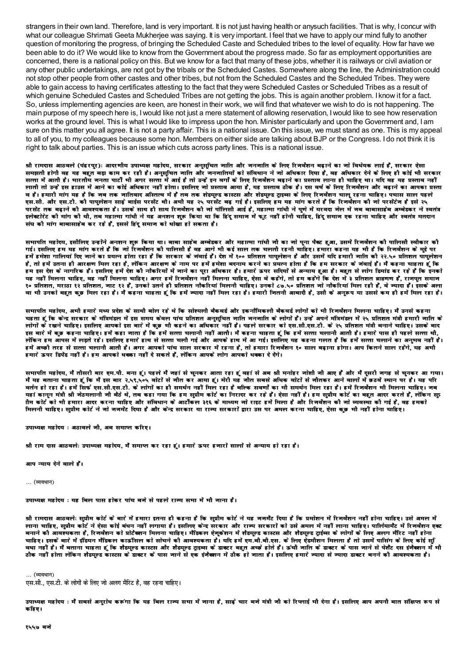strangers in their own land. Therefore, land is very important. It is not just having health or anysuch facilities. That is why, I concur with what our colleague Shrimati Geeta Mukherjee was saying. It is very important. I feel that we have to apply our mind fully to another question of monitoring the progress, of bringing the Scheduled Caste and Scheduled tribes to the level of equality. How far have we been able to do it? We would like to know from the Government about the progress made. So far as employment opportunities are concerned, there is a national policy on this. But we know for a fact that many of these jobs, whether it is railways or civil aviation or any other public undertakings, are not got by the tribals or the Scheduled Castes. Somewhere along the line, the Administration could not stop other people from other castes and other tribes, but not from the Scheduled Castes and the Scheduled Tribes. They were able to gain access to having certificates attesting to the fact that they were Scheduled Castes or Scheduled Tribes as a result of which genuine Scheduled Castes and Scheduled Tribes are not getting the jobs. This is again another problem. I know it for a fact. So, unless implementing agencies are keen, are honest in their work, we will find that whatever we wish to do is not happening. The main purpose of my speech here is, Iwould like not just a mere statement of allowing reservation, Iwould like to see how reservation works at the ground level. This is what Iwould like to impress upon the hon. Minister particularly and upon the Government and, I am sure on this matter you all agree. It is not a party affair. This is a national issue. On this issue, we must stand as one. This is my appeal to all of you, to my colleagues because some hon. Members on either side are talking about BJP or the Congress. I do not think it is right to talk about parties. This is an issue which cuts across party lines. This is a national issue.

श्री रामदास आठवले (पंढरपुर): आदरणीय उपाध्यक्ष महोदय, सरकार अनुसूचित जाति और जनजाति के लिए रिजर्वेशन बढ़ाने का जो विधेयक लाई हैं, सरकार ऐसा समझती होगी वह यह बहुत बड़ा काम कर रही है। अनुसुचित जाति और जनजातियों को संविधान ने जो अधिकार दिया है, वह अधिकार देने के लिए ही कोई भी सरकार सत्ता में आती हैं। भारतीय जनता पार्टी भी अगर सत्ता में आई है तो उन्हें इन बगो के लिए रिजर्बेशन बढाने का प्रस्ताव लाना ही चाहिए था। यदि वह यह प्रस्ताव नहीं लाती तो उन्हें इस हाउस में आने का कोई अधिकार नहीं होता। इसलिए जो प्रस्ताव आया है. यह प्रस्ताव ठीक है। दस वर्ष के लिए रिजर्वेशन और बढ़ाने का आपका प्रस्ता व है। हमारी मांग यह है कि जब तक जातिवाद अस्तित्व में हैं तब तक शेडयूल्ड कास्टस और शेडयूल्ड ट्राइस्स के लिए रिजर्वेशन चालू रहना चाहिए। पचास साल पहले एस.सी. और एस.टी. की पापुलेशन साढ़े बाईस परसेंट थी। अभी यह २५ परसेंट बढ़ गई है। इसलिए हम यह मांग करते हैं कि रिजर्वेशन की जो परसेंटेज है इसे २५ परसेंट तक बढाने की आवश्यकता है। उसके साथ ही साथ रिजर्वेशन की जो पॉलिसी आई है. महात्मा गांधी ने पणे में यरवदा जेल में जब बाबासाहेब अम्बेडकर ने स्वतंत्र इलेक्टोरेट की मांग की थी, तब महात्मा गांधी ने यह अनशन शुरू किया था कि हिंदू समान में फूट नहीं होनी चाहिए, हिंदू समान एक रहना चाहिए और स्वतंत्र मतदान संघ कौ मांग बाबासाहेब कर रहे हैं, इससे हिंदू समाज को धोखा हो सकता है।

सभापति महोदय, इसौलिए उन्होंने अनशन शुरू किया था। बाबा साहेब अम्बेडकर और महात्मा गांधी जी का जो पूना पैक्ट हुआ, उसमें रिजर्वेशन की पालिसी स्वीकार की गई। इसलिए हम यह मांग करते हैं कि जो रिजर्वेशन कौ पालिसी है वह आगे भी कई साल तक चलती रहनी चाहिए। हमारा कहना यह भी है कि रिजर्वेशन के महे पर हमें हमेशा गालियां दिए जाने का प्रयत्न होता रहा है कि सरकार के जंबाई हैं। देश में १०० प्रतिशत पपूलोशन है और उसमें यदि हमारौ जाति कौ २२.५० प्रतिशत पापूलोशन है, तो हमें उतना ही आरक्षण मिल रहा है, लेकिन आरक्षण के नाम पर हमें हमेशा बदनाम करने का प्रयत्न होता है कि हम सरकार के जंवाई हैं। मैं कहना चाहता हूँ कि हम इस देश के नागरिक हैं। इसलिए हमें देश की नौकरियों में जाने का पूरा अधिकार है। हमारे ऊपर सदियों से अन्याय हुआ है। बहुत से लोग डिमांड कर रहे हैं कि इनको यह नहीं मिलना चाहिए, वह नहीं मिलना चाहिए। अगर हमें रिजर्वेशन नहीं मिलना चाहिए, ऐसा वे कहरेंगे, तो हम कहेंगे कि देश में ३ प्रतिशत ब्राहणण हैं, राजपुत समाज १० प्रतिशत, मराठा १२ प्रतिशत, नाट १२ हैं, उनको उतने ही प्रतिशत नौकरियां मिलनी चाहिए। उनको ८७.५० प्रतिशत नो नौकरियां मिल रही हैं, वे न्यादा हैं। इसके अला वा भी उनको बहुत कुछ मिल रहा है। मैं कहना चाहता हूं कि हमें ज्यादा नहीं मिल रहा है। हमारी जितनी आबादी है, उसी के अनुरूप या उससे कम हौ हमें मिल रहा है।

सभापति महोदय, अभी हमारे मध्य प्रदेश के साथी बोल रहे थे कि सोश्यली बैकवर्ड और इकनोमिकली बैकवर्ड लोगों को भी रिजर्वेशन मिलना चाहिए। मैं उनसे कहना चहता हूं कि केन्द्र सरकार के मंत्रिमंडल में इस समय केवल पांच प्रतिशत अनुसूचित जाति जनजाति के लोगों हैं। उन्हें अपने मंत्रिमंडल में २५ प्रतिशत मंत्री हमारी जाति के लोगों के रखने चाहिए। इसलिए आपको इस बारे में कुछ भी कहने का अधिकार नहीं है। पहले सरकार को एस.सी.एस.टी. के २५ प्रतिशत मंत्री बनाने चाहिए। उसके बाद इस बारे में कड़ कहना चाहिए। हमें कहा जाता है कि हमें सत्ता चलानी नहीं आती। मैं कहना चाहता हूं कि हमें सत्ता चलानी आती है। हमारे पास ही पहले सत्ता थी, .<br>लेकिन हम अँगस में लड़ते रहे। इसलिए हमारे हाथ से सत्ता चली गई और आपके हाथ में आ गई। इसलिए यह कहना गलत है कि हमें सत्ता चलाने का अनुभव नहीं है। हमें अच्छौ तरह से सत्ता चलानी आती है। अगर आपको पांच साल सरकार में रहना है, तो हमारा रिजर्वेशन १० साल बढ़ाना होगा। आप कितने साल रहेंगे, यह अभी हमारे ऊपर डिपेंड नहीं है। हम आपको धक्का नहीं दे सकते हैं, लेकिन आपके लोग आपको धक्का दे देंगे।

सभापति महोदय, मैं तौसरी बार एम.पी. बना हूं। पहले मैं जहां से चुनकर आता रहा हूं वहां से अब श्री मनोहर जोशी जी आए हैं और मैं दूसरी जगह से चुनकर आ गया। मैं यह बताना चाहता हूं कि मैं इस बार २,५९,५०५ वोटों से नौत कर आया हूं। मेरी यह नौत सबसे अधिक वोटों से नौतकर आने वालों में छठवें स्थान पर है। यह परि वर्तन हो रहा है। हमें सिर्फ एस.सी.एस.टी. के लोगों का ही समर्थन नहीं मिल रहा है बल्कि सवर्णों का भी समर्थन मिल रहा है। हमें रिजर्वेशन भी मिलना चाहिए। जब यहां कानन मंत्री श्री नेठमलानी नौ बैठे थे. तब कहा गया कि हम सप्रीम कोर्ट का निरादर कर रहे हैं। ऐसा नहीं है। हम सप्रीम कोर्ट का बहत आदर करते हैं. लेकिन स¤ ाीम कोर्ट को भी हमारा आदर करना चाहिए और संविधान के आर्टीकल ३१६ के माध्यम जो राइट हमें मिला है और रिजर्वशन की जो व्यवस्था की गई है, वह हमको भिलनी चाहिए। सुप्रीम कोर्ट ने जो जजमेंट दिया है और केन्द्र सरकार या राज्य सरकारों द्वारा उस पर अमल करना चाहिए, ऐसा कुछ भी नहीं होना चाहिए।

उपाध्यक्ष महोदय: अठावले जौ, अब समाप्त करिए।

श्री राम दास आठवले: उपाध्यक्ष महोदय, मैं समाप्त कर रहा हूं। हमारे ऊपर हजारों सालों से अन्याय हो रहा है।

आप न्याय देने वाले हैं।

... (व्यवधान)

उपाध्यक्ष महोदय : यह बिल पास होकर पांच बने से पहले राज्य सभा में भी नाना है।

श्री रामदास आठवले: सुप्रीम कोर्ट के बारे में हमारा इतना है। कहना है कि सुप्रीम कोर्ट ने यह जनमैट दिया है कि प्रमोशन में रिजर्वेशन नहीं होना चाहिए। उसे अमल में साना चाहिए. सप्रीम कोर्ट ने ऐसा कोई बंधन नहीं लगाया है। इसलिए केन्द्र सरकार और राज्य सरकारों को उसे अमल में नहीं लाना चाहिए। पार्लियामैंट में रिजर्वशन एक्ट बनाने की आवश्यकता है, रिजर्वेशन को प्रोटैक्शन मिलना चाहिए। मैडिकल ऐनुकेशन में शैडयुल्ड कास्टस और शैडयुल्ड ट्रईब्स के लोगों के लिए अलग मैरिट नहीं होना चाहिए। इसके बारे में इंडियन मैडिकल काऊंसिल को सोचने की आवश्यकता है। यदि हमें एम.बी.बी.एस. के लिए ऐडमीशन मिलता है तो उसमें पासिंग के लिए कोई सु वधा नहीं है। मैं बताना चाहता हूं कि शैडयुल्ड कास्टस और शैडयुल्ड ट्राइब्स के डाक्टर बहुत अच्छे होते हैं। ऊंची जाति के डाक्टर के पास जाने से पेशैंट दस इंजैक्शन में भी ठौक नहीं होता लेकिन शैडयल्ड कास्टस के डाक्टर के पास जाने से एक इंजैक्शन में ठीक हो जाता है। इसलिए हमारे ज्यादा से ज्यादा डाक्टर बनने की आवश्यकता है।

... (व्यवधान)

एस.सी., एस.टी. के लोगों के लिए जो अलग मैरिट है, वह रहना चाहिए।

उपाध्यक्ष महोदय : मैं सबसे अनुरोध करूंगा कि यह बिल राज्य सभा में जाना है, साढ़े चार बजे मंत्री जी को रिप्लाई भी देना है। इसलिए आप अपनी बात संक्षिप्त रूप से कहिए।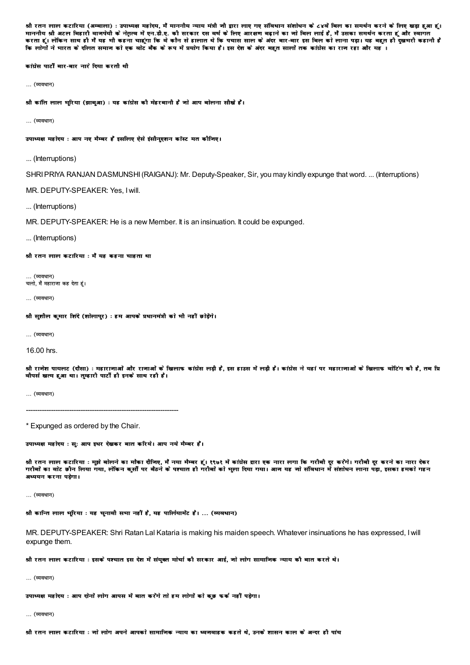श्री रतन लाल कटारिया (अम्बाला) : उपाध्यक्ष महोदय, मैं माननीय न्याय मंत्री जी द्वारा लाए गए संविधान संशोधन के ८४वें बिल का समर्थन करने के लिए खड़ा हुआ हूं। माननीय श्री अटल बिहारी वाजपेयी के नेतृत्व में एन.डी.ए. की सरकार दस वर्ष के लिए आरक्षण बढ़ाने का जो बिल लाई है, मैं उसका समर्थन करता हूं और स्वागत .<br>करता हूं। लेकिन साथ ही मैं यह भी कहना चाहगा कि वे कौन से हालात थे कि पचास साल के अंदर बार-बार उस बिल को लाना पडा। यह बहत ही दखमरी कहानी है कि लोगों ने भारत के दलित समाज को एक बोट बैंक के रूप में प्रयोग किया है। इस देश के अंदर बहुत सालों तक कांग्रेस का राज रहा और यह ।

कांग्रेस पार्टी बार-बार नारे दिया करती थी

... (व्यवधान)

श्री कांति लाल भरिया (झाबआ) : यह कांग्रेस कौ मेहरबानी है जो आप बोलना सौखे हैं।

... (व्यवधान)

उपाध्यक्ष महोदय : आप नए मैम्बर हैं इसलिए ऐसे इंसौनुएशन कॉस्ट मत कीजिए।

... (Interruptions)

SHRI PRIYA RANJAN DASMUNSHI (RAIGANJ): Mr. Deputy-Speaker, Sir, you may kindly expunge that word. ... (Interruptions)

MR. DEPUTY-SPEAKER: Yes. I will.

... (Interruptions)

MR. DEPUTY-SPEAKER: He is a new Member. It is an insinuation. It could be expunged.

... (Interruptions)

श्री रतन लाल कटारिया : मैं यह कहना चाहता था

... (व्यवधान) चलो, मैं महाराजा कह देता हूं।

... (व्यवधान)

श्री सुशील कुमार शिंदे (शोलापुर) : हम आपके प्रधानमंत्री को भी नहीं छोड़ेंगे।

... (व्यवधान)

16.00 hrs.

श्री राजेश पायलट (दौसा) : महाराजाओं और राजाओं के खिलाफ कांग्रेस लड़ी है, इस हाउस में लड़ी है। कांग्रेस ने यहां पर महाराजाओं के खिलाफ वोटिंग की है, तब प्रि .<br>वीपर्स खत्म हुआ था। तम्हारी पार्टी ही इनके साथ रही है।

... (व्यवधान)

\* Expunged as ordered by the Chair.

उपाध्यक्ष महोदय : सु: आप इधर देखकर बात करिये। आप नये मैम्बर हैं।

श्री रतन लाल कटारिया : मझे बोलने का मौका दीनिए. मैं नया मैम्बर हूँ। १९७१ में कांग्रेस द्वारा एक नारा लगा कि गरीबी दर करेंगे। गरीबी दर करने का नारा देकर गरीबों का वोट छौन लिया गया, लेकिन कुर्सी पर बैठने के पश्चात ही गरीबों को भूला दिया गया। आज यह जो संविधान में संशोधन लाना पड़ा, इसका हमको गहन अध्ययन करना पड़ेगा।

... (व्यवधान)

श्री कान्ति लाल भरिया : यह चनावी सभा नहीं है, यह पार्लियामेंट है। ... (व्यवधान)

MR. DEPUTY-SPEAKER: Shri Ratan Lal Kataria is making his maiden speech. Whatever insinuations he has expressed. I will expunge them.

श्री रतन लाल कटारिया : इसके पश्चात इस देश में संयुक्त मोर्चा की सरकार आई, जो लोग सामाजिक न्याय की बात करते थे।

(ਕਾਰਬਾਜ)

उपाध्यक्ष महोदय: आप दोनों लोग आपस में बात करेंगे तो हम लोगों को कुछ फर्क नहीं पड़ेगा।

... (व्यवधान)

श्री रतन लाल कटारिया : जो लोग अपने आपको सामाजिक न्याय का ध्वजवाहक कहते थे. उनके शासन काल के अन्दर ही पांच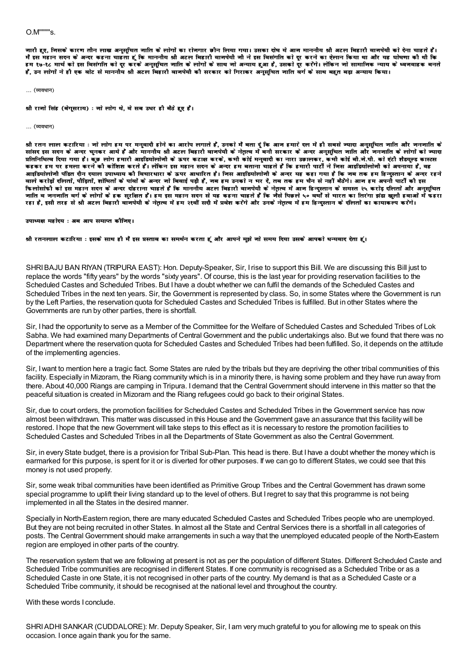जारी हए. जिसके कारण तीन लाख अनुसचित जाति के लोगों का रोजगार छीन लिया गया। उसका दोष ये आज माननौय श्री अटल बिहारी बाजपेयी को देना चाहते हैं। मैं इस महान सदन के अन्दर कहना चाहता हूं कि माननीय श्री अटल बिहारी वाजपेयी जी ने इस विसंगति को दूर करने का ऐलान किया था और यह घोषणा की थी कि इम १७-१८ मार्च को इस विसंगति को दर करके अनुसूचित जाति के लोगों के साथ जो अन्याय हुआ है, उसको दर करेंगे। लेकिन जो सामाजिक न्याय के ध्वजवाहक बनते .<br>है, उन लोगों ने ही एक बोट से माननीय श्री अटल बिहारी वानपेयी की सरकार को गिराकर अनुसूचित नाति बर्ग के साथ बहुत बड़ा अन्याय किया।

#### ... (व्यवधान)

श्री राजो सिंह (बेगूसराय) : जो लोग थे, वे सब उधर ही बैठे हुए हैं।

#### … (व्यवधान)

श्री रतन लाल कटारिया : नो लोग हम पर मनवादी होने का आरोप लगाते हैं. उनको मैं बता दं कि आन हमारे दल में ही सबसे ज्यादा अनसचित जाति और नननाति के सांसद इस सदन के अन्दर चुनकर आये हैं और माननीय श्री अटल बिहारी वाजपेयी के नेतृत्व में बनी सरकार के अन्दर अनुसूचित जाति और जनजाति के लोगों को ज्यादा प्रतिनिधित्व दिया गया है। कुछ लोग हमारी आइडियोलोनी के ऊपर कटाक्ष करके, कभी कोई मनुवादी का नारा उछालकर, कभी कोई बी.ने.पी. को एंटी शैडयूल्ड कास्टस कहकर हम पर हमला करने कौ कोशिश करते हैं। लेकिन इस महान सदन के अन्दर हम बताना चाहते हैं कि हमारी पार्टी ने निस आइडियोलोजी को अपनाया है, वह आडडियोलोनी पंडित दीन दयाल उपाध्याय को विचारधारा के ऊपर आधारित है। निस आडडियोलोनी के अन्दर यह कहा गया है कि नब तक हम हिन्दस्तान के अन्दर रहने वाले करोड़ों दलितों, पौड़ितों, शोषितों के पांवों के अन्दर जो बिवाई पड़ी हैं, जब हम उनको न भर दें, तब तक हम चैन से नहीं बैठेंगे। आज हम अपनी पार्टी की इस फिलोसोफी को इस महान सदन के अन्दर दोहराना चाहते हैं कि माननौय अटल बिहारी वाजपेयी के नेतृत्व में आज हिन्दुस्तान के समस्त २५ करोड़ दलितों और अनुसूचित जाति व जनजाति वर्ग के लोगों के इक सुरक्षित हैं। इस इस महान सदन से यह कहना चाहते हैं कि जैसे पिछले ५० वर्षों से भारत का तिरंगा झंडा खुली हवाओं में फहरा रहा है, इसी तरह से श्री अटल बिहारी वाजपेयी के नेतृत्व में हम २१वीं सदी में प्रवेश करेंगे और उनके नेतृत्व में हम हिन्दुस्तान के दलितों का कायाकल्प करेंगे।

उपाध्यक्ष महोदय : अब आप समाप्त कौजिए।

श्री रतनलाल कटारिया : इसके साथ हौ मैं इस प्रस्ताव का समर्थन करता हूं और आपने मुझे नो समय दिया उसके आपको धन्यवाद देता हूं।

SHRI BAJU BAN RIYAN (TRIPURA EAST): Hon. Deputy-Speaker, Sir, I rise to support this Bill. We are discussing this Bill just to replace the words "fifty years" by the words "sixty years". Of course, this is the last year for providing reservation facilities to the Scheduled Castes and Scheduled Tribes. But I have a doubt whether we can fulfil the demands of the Scheduled Castes and Scheduled Tribes in the next ten years. Sir, the Government is represented by class. So, in some States where the Government is run by the Left Parties, the reservation quota for Scheduled Castes and Scheduled Tribes is fulfilled. But in other States where the Governments are run by other parties, there is shortfall.

Sir, I had the opportunity to serve as a Member of the Committee for the Welfare of Scheduled Castes and Scheduled Tribes of Lok Sabha. We had examined many Departments of Central Government and the public undertakings also. But we found that there was no Department where the reservation quota for Scheduled Castes and Scheduled Tribes had been fulfilled. So, it depends on the attitude of the implementing agencies.

Sir, I want to mention here a tragic fact. Some States are ruled by the tribals but they are depriving the other tribal communities of this facility. Especially in Mizoram, the Riang community which is in a minority there, is having some problem and they have run away from there. About 40,000 Riangs are camping in Tripura. I demand that the Central Government should intervene in this matter so that the peaceful situation is created in Mizoram and the Riang refugees could go back to their original States.

Sir, due to court orders, the promotion facilities for Scheduled Castes and Scheduled Tribes in the Government service has now almost been withdrawn. This matter was discussed in this House and the Government gave an assurance that this facility will be restored. I hope that the new Government will take steps to this effect as it is necessary to restore the promotion facilities to Scheduled Castes and Scheduled Tribes in all the Departments of State Government as also the Central Government.

Sir, in every State budget, there is a provision for Tribal Sub-Plan. This head is there. But I have a doubt whether the money which is earmarked for this purpose, is spent for it or is diverted for other purposes. If we can go to different States, we could see that this money is not used properly.

Sir, some weak tribal communities have been identified as Primitive Group Tribes and the Central Government has drawn some special programme to uplift their living standard up to the level of others. But I regret to say that this programme is not being implemented in all the States in the desired manner.

Specially in North-Eastern region, there are many educated Scheduled Castes and Scheduled Tribes people who are unemployed. But they are not being recruited in other States. In almost all the State and Central Services there is a shortfall in all categories of posts. The Central Government should make arrangements in such a way that the unemployed educated people of the North-Eastern region are employed in other parts of the country.

The reservation system that we are following at present is not as per the population of different States. Different Scheduled Caste and Scheduled Tribe communities are recognised in different States. If one community is recognised as a Scheduled Tribe or as a Scheduled Caste in one State, it is not recognised in other parts of the country. My demand is that as a Scheduled Caste or a Scheduled Tribe community, it should be recognised at the national level and throughout the country.

With these words I conclude.

SHRI ADHI SANKAR (CUDDALORE): Mr. Deputy Speaker, Sir, I am very much grateful to you for allowing me to speak on this occasion. I once again thank you for the same.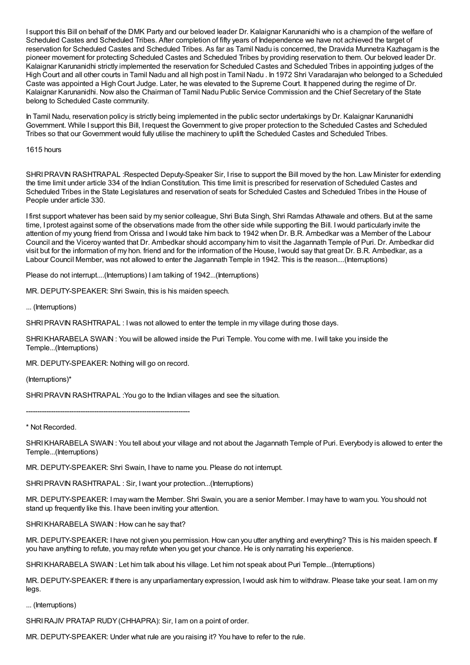I support this Bill on behalf of the DMK Party and our beloved leader Dr. Kalaignar Karunanidhi who is a champion of the welfare of Scheduled Castes and Scheduled Tribes. After completion of fifty years of Independence we have not achieved the target of reservation for Scheduled Castes and Scheduled Tribes. As far as Tamil Nadu is concerned, the Dravida Munnetra Kazhagam is the pioneer movement for protecting Scheduled Castes and Scheduled Tribes by providing reservation to them. Our beloved leader Dr. Kalaignar Karunanidhi strictly implemented the reservation for Scheduled Castes and Scheduled Tribes in appointing judges of the High Court and all other courts in Tamil Nadu and all high post in Tamil Nadu . In 1972 Shri Varadarajan who belonged to a Scheduled Caste was appointed a High Court Judge. Later, he was elevated to the Supreme Court. It happened during the regime of Dr. Kalaignar Karunanidhi. Now also the Chairman of Tamil Nadu Public Service Commission and the Chief Secretary of the State belong to Scheduled Caste community.

In Tamil Nadu, reservation policy is strictly being implemented in the public sector undertakings by Dr. Kalaignar Karunanidhi Government. While I support this Bill, Irequest the Government to give proper protection to the Scheduled Castes and Scheduled Tribes so that our Government would fully utilise the machinery to uplift the Scheduled Castes and Scheduled Tribes.

1615 hours

SHRIPRAVIN RASHTRAPAL :Respected Deputy-Speaker Sir, I rise to support the Bill moved by the hon. Law Minister for extending the time limit under article 334 of the Indian Constitution. This time limit is prescribed for reservation of Scheduled Castes and Scheduled Tribes in the State Legislatures and reservation of seats for Scheduled Castes and Scheduled Tribes in the House of People under article 330.

I first support whatever has been said by my senior colleague, Shri Buta Singh, Shri Ramdas Athawale and others. But at the same time, I protest against some of the observations made from the other side while supporting the Bill. I would particularly invite the attention of my young friend from Orissa and Iwould take him back to 1942 when Dr. B.R. Ambedkar was a Member of the Labour Council and the Viceroy wanted that Dr. Ambedkar should accompany him to visit the Jagannath Temple of Puri. Dr. Ambedkar did visit but for the information of my hon. friend and for the information of the House, Iwould say that great Dr. B.R. Ambedkar, as a Labour Council Member, was not allowed to enter the Jagannath Temple in 1942. This is the reason....(Interruptions)

Please do not interrupt....(Interruptions) I am talking of 1942...(Interruptions)

MR. DEPUTY-SPEAKER: Shri Swain, this is his maiden speech.

... (Interruptions)

SHRI PRAVIN RASHTRAPAL : I was not allowed to enter the temple in my village during those days.

SHRIKHARABELA SWAIN : You will be allowed inside the Puri Temple. You come with me. Iwill take you inside the Temple...(Interruptions)

MR. DEPUTY-SPEAKER: Nothing will go on record.

(Interruptions)\*

SHRI PRAVIN RASHTRAPAL : You go to the Indian villages and see the situation.

------------------------------------------------------------------------

\* Not Recorded.

SHRIKHARABELA SWAIN : You tell about your village and not about the Jagannath Temple of Puri. Everybody is allowed to enter the Temple...(Interruptions)

MR. DEPUTY-SPEAKER: Shri Swain, I have to name you. Please do not interrupt.

SHRIPRAVIN RASHTRAPAL : Sir, Iwant your protection...(Interruptions)

MR. DEPUTY-SPEAKER: Imay warn the Member. Shri Swain, you are a senior Member. Imay have to warn you. You should not stand up frequently like this. I have been inviting your attention.

SHRIKHARABELA SWAIN : How can he say that?

MR. DEPUTY-SPEAKER: I have not given you permission. How can you utter anything and everything? This is his maiden speech. If you have anything to refute, you may refute when you get your chance. He is only narrating his experience.

SHRIKHARABELA SWAIN : Let him talk about his village. Let him not speak about Puri Temple...(Interruptions)

MR. DEPUTY-SPEAKER: If there is any unparliamentary expression, Iwould ask him to withdraw. Please take your seat. I am on my legs.

... (Interruptions)

SHRIRAJIV PRATAP RUDY (CHHAPRA): Sir, I am on a point of order.

MR. DEPUTY-SPEAKER: Under what rule are you raising it? You have to refer to the rule.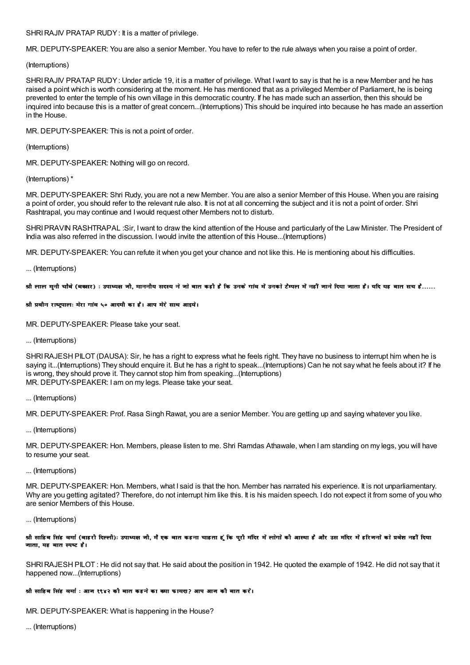## SHRI RAJIV PRATAP RUDY: It is a matter of privilege.

MR. DEPUTY-SPEAKER: You are also a senior Member. You have to refer to the rule always when you raise a point of order.

## (Interruptions)

SHRI RAJIV PRATAP RUDY: Under article 19, it is a matter of privilege. What I want to say is that he is a new Member and he has raised a point which is worth considering at the moment. He has mentioned that as a privileged Member of Parliament, he is being prevented to enter the temple of his own village in this democratic country. If he has made such an assertion, then this should be inguired into because this is a matter of great concern...(Interruptions) This should be inguired into because he has made an assertion in the House.

MR. DEPUTY-SPEAKER: This is not a point of order.

## (Interruptions)

MR. DEPUTY-SPEAKER: Nothing will go on record.

## (Interruptions)\*

MR. DEPUTY-SPEAKER: Shri Rudy, you are not a new Member. You are also a senior Member of this House. When you are raising a point of order, you should refer to the relevant rule also. It is not at all concerning the subject and it is not a point of order. Shri Rashtrapal, you may continue and I would request other Members not to disturb.

SHRI PRAVIN RASHTRAPAL :Sir, I want to draw the kind attention of the House and particularly of the Law Minister. The President of India was also referred in the discussion. I would invite the attention of this House...(Interruptions)

MR. DEPUTY-SPEAKER: You can refute it when you get your chance and not like this. He is mentioning about his difficulties.

## ... (Interruptions)

श्री लाल मनी चौबे (बक्सर) : उपाध्यक्ष जी, माननीय सदस्य ने जो बात कही है कि उनके गांव में उनको टैम्पल में नहीं जाने दिया जाता है। यदि यह बात सच है……

## श्री प्रवीन राष्ट्रपालः मेरा गांव ५० आदमी का है। आप मेरे साथ आइये।

MR. DEPUTY-SPEAKER: Please take your seat.

... (Interruptions)

SHRI RAJESH PILOT (DAUSA): Sir, he has a right to express what he feels right. They have no business to interrupt him when he is saying it...(Interruptions) They should enquire it. But he has a right to speak...(Interruptions) Can he not say what he feels about it? If he is wrong, they should prove it. They cannot stop him from speaking...(Interruptions) MR. DEPUTY-SPEAKER: I am on my legs. Please take your seat.

## ... (Interruptions)

MR. DEPUTY-SPEAKER: Prof. Rasa Singh Rawat, you are a senior Member. You are getting up and saying whatever you like.

... (Interruptions)

MR. DEPUTY-SPEAKER: Hon. Members, please listen to me. Shri Ramdas Athawale, when I am standing on my legs, you will have to resume your seat.

## ... (Interruptions)

MR. DEPUTY-SPEAKER: Hon. Members, what I said is that the hon. Member has narrated his experience. It is not unparliamentary. Why are you getting agitated? Therefore, do not interrupt him like this. It is his maiden speech. I do not expect it from some of you who are senior Members of this House.

## ... (Interruptions)

## श्री साहिब सिंह बर्मा (बाहरी दिल्ली): उपाध्यक्ष जी, मैं एक बात कहना चाहता हूं कि पुरी मंदिर में लोगों को आस्था है और उस मंदिर में हरिजनों को प्रबेश नहीं दिया जाता, यह बात स्पष्ट है।

SHRI RAJESH PILOT: He did not say that. He said about the position in 1942. He quoted the example of 1942. He did not say that it happened now...(Interruptions)

## श्रौ साहिब सिंह वर्मा : आज १९४२ की बात कहने का क्या फायदा? आप आज कौ बात करें।

MR. DEPUTY-SPEAKER: What is happening in the House?

... (Interruptions)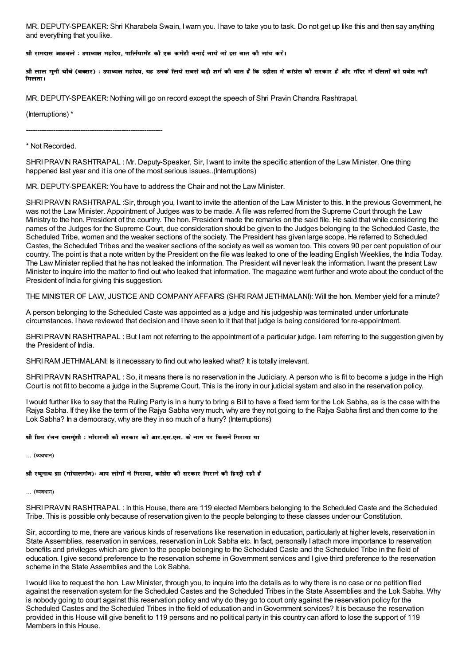MR. DEPUTY-SPEAKER: Shri Kharabela Swain, Iwarn you. I have to take you to task. Do not get up like this and then say anything and everything that you like.

## श्री रामदास आठवले : उपाध्यक्ष महोदय, पार्लियामेंट कौ एक कमेटी बनाई जाये जो इस बात कौ जांच करें।

श्री लाल मुनी चौबे (बक्सर) : उपाध्यक्ष महोदय, यह उनके लिये सबसे बड़ी शर्म की बात है कि उड़ीसा में कांग्रेस की सरकार है और मंदिर में दलितों को प्रवेश नहीं <u>ਸਿਕਾਰਾ ।</u>

MR. DEPUTY-SPEAKER: Nothing will go on record except the speech of Shri Pravin Chandra Rashtrapal.

(Interruptions) \*

------------------------------------------------------------

\* Not Recorded.

SHRIPRAVIN RASHTRAPAL : Mr. Deputy-Speaker, Sir, Iwant to invite the specific attention of the Law Minister. One thing happened last year and it is one of the most serious issues..(Interruptions)

MR. DEPUTY-SPEAKER: You have to address the Chair and not the Law Minister.

SHRI PRAVIN RASHTRAPAL :Sir, through you, I want to invite the attention of the Law Minister to this. In the previous Government, he was not the Law Minister. Appointment of Judges was to be made. A file was referred from the Supreme Court through the Law Ministry to the hon. President of the country. The hon. President made the remarks on the said file. He said that while considering the names of the Judges for the Supreme Court, due consideration should be given to the Judges belonging to the Scheduled Caste, the Scheduled Tribe, women and the weaker sections of the society. The President has given large scope. He referred to Scheduled Castes, the Scheduled Tribes and the weaker sections of the society as well as women too. This covers 90 per cent population of our country. The point is that a note written by the President on the file was leaked to one of the leading English Weeklies, the India Today. The Law Minister replied that he has not leaked the information. The President will never leak the information. Iwant the present Law Minister to inquire into the matter to find out who leaked that information. The magazine went further and wrote about the conduct of the President of India for giving this suggestion.

THE MINISTER OF LAW, JUSTICE AND COMPANY AFFAIRS (SHRI RAM JETHMALANI): Will the hon. Member yield for a minute?

A person belonging to the Scheduled Caste was appointed as a judge and his judgeship was terminated under unfortunate circumstances. I have reviewed that decision and I have seen to it that that judge is being considered for re-appointment.

SHRIPRAVIN RASHTRAPAL : But I am not referring to the appointment of a particular judge. I am referring to the suggestion given by the President of India.

SHRI RAM JETHMALANI: Is it necessary to find out who leaked what? It is totally irrelevant.

SHRIPRAVIN RASHTRAPAL : So, it means there is no reservation in the Judiciary. A person who is fit to become a judge in the High Court is not fit to become a judge in the Supreme Court. This is the irony in our judicial system and also in the reservation policy.

Iwould further like to say that the Ruling Party is in a hurry to bring a Bill to have a fixed term for the Lok Sabha, as is the case with the Rajya Sabha. If they like the term of the Rajya Sabha very much, why are they not going to the Rajya Sabha first and then come to the Lok Sabha? In a democracy, why are they in so much of a hurry? (Interruptions)

#### श्री प्रिय रंजन दासमुंशी : मोरारजी की सरकार को आर.एस.एस. के नाम पर किसने गिराया था

 $\ldots$  (व्यवधान)

श्री रघनाथ झा (गोपालगंज): आप लोगों ने गिराया, कांग्रेस की सरकार गिराने की हिस्टी रही है

... (व्यवधान)

SHRIPRAVIN RASHTRAPAL : In this House, there are 119 elected Members belonging to the Scheduled Caste and the Scheduled Tribe. This is possible only because of reservation given to the people belonging to these classes under our Constitution.

Sir, according to me, there are various kinds of reservations like reservation in education, particularly at higher levels, reservation in State Assemblies, reservation in services, reservation in Lok Sabha etc. In fact, personally I attach more importance to reservation benefits and privileges which are given to the people belonging to the Scheduled Caste and the Scheduled Tribe in the field of education. I give second preference to the reservation scheme inGovernment services and I give third preference to the reservation scheme in the State Assemblies and the Lok Sabha.

Iwould like to request the hon. Law Minister, through you, to inquire into the details as to why there is no case or no petition filed against the reservation system for the Scheduled Castes and the Scheduled Tribes in the State Assemblies and the Lok Sabha. Why is nobody going to court against this reservation policy and why do they go to court only against the reservation policy for the Scheduled Castes and the Scheduled Tribes in the field of education and in Government services? It is because the reservation provided in this House will give benefit to 119 persons and no political party in this country can afford to lose the support of 119 Members in this House.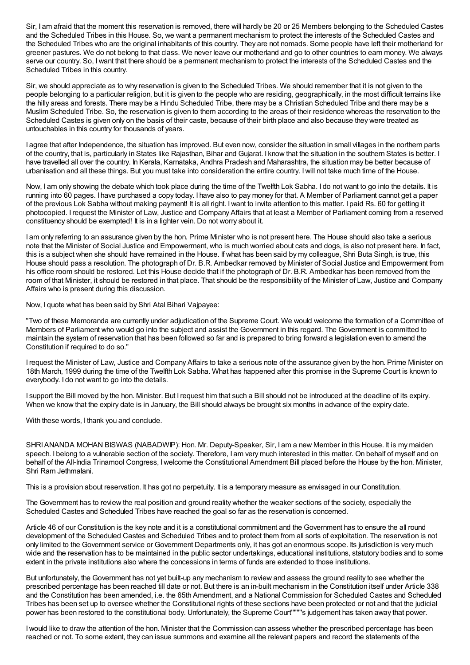Sir, I am afraid that the moment this reservation is removed, there will hardly be 20 or 25 Members belonging to the Scheduled Castes and the Scheduled Tribes in this House. So, we want a permanent mechanism to protect the interests of the Scheduled Castes and the Scheduled Tribes who are the original inhabitants of this country. They are not nomads. Some people have left their motherland for greener pastures. We do not belong to that class. We never leave our motherland and go to other countries to earn money. We always serve our country. So, Iwant that there should be a permanent mechanism to protect the interests of the Scheduled Castes and the Scheduled Tribes in this country.

Sir, we should appreciate as to why reservation is given to the Scheduled Tribes. We should remember that it is not given to the people belonging to a particular religion, but it is given to the people who are residing, geographically, in the most difficult terrains like the hilly areas and forests. There may be a Hindu Scheduled Tribe, there may be a Christian Scheduled Tribe and there may be a Muslim Scheduled Tribe. So, the reservation is given to them according to the areas of their residence whereas the reservation to the Scheduled Castes is given only on the basis of their caste, because of their birth place and also because they were treated as untouchables in this country for thousands of years.

I agree that after Independence, the situation has improved. But even now, consider the situation in small villages in the northern parts of the country, that is, particularly in States like Rajasthan, Bihar and Gujarat. I know that the situation in the southern States is better. I have travelled all over the country. In Kerala, Karnataka, Andhra Pradesh and Maharashtra, the situation may be better because of urbanisation and all these things. But you must take into consideration the entire country. Iwill not take much time of the House.

Now, I am only showing the debate which took place during the time of the Twelfth Lok Sabha. I do not want to go into the details. It is running into 60 pages. I have purchased a copy today. I have also to pay money for that. A Member of Parliament cannot get a paper of the previous Lok Sabha without making payment! It is all right. Iwant to invite attention to this matter. I paid Rs. 60 for getting it photocopied. Irequest the Minister of Law, Justice and Company Affairs that at least a Member of Parliament coming from a reserved constituency should be exempted! It is in a lighter vein. Do not worry about it.

I am only referring to an assurance given by the hon. Prime Minister who is not present here. The House should also take a serious note that the Minister of Social Justice and Empowerment, who is much worried about cats and dogs, is also not present here. In fact, this is a subject when she should have remained in the House. If what has been said by my colleague, Shri Buta Singh, is true, this House should pass a resolution. The photograph of Dr. B.R. Ambedkar removed by Minister of Social Justice and Empowerment from his office room should be restored. Let this House decide that if the photograph of Dr. B.R. Ambedkar has been removed from the room of that Minister, it should be restored in that place. That should be the responsibility of the Minister of Law, Justice and Company Affairs who is present during this discussion.

Now, I quote what has been said by Shri Atal Bihari Vajpayee:

"Two of these Memoranda are currently under adjudication of the Supreme Court. We would welcome the formation of a Committee of Members of Parliament who would go into the subject and assist the Government in this regard. The Government is committed to maintain the system of reservation that has been followed so far and is prepared to bring forward a legislation even to amend the Constitution if required to do so."

Irequest the Minister of Law, Justice and Company Affairs to take a serious note of the assurance given by the hon. Prime Minister on 18th March, 1999 during the time of the Twelfth Lok Sabha. What has happened after this promise in the Supreme Court is known to everybody. I do not want to go into the details.

I support the Bill moved by the hon. Minister. But Irequest him that such a Bill should not be introduced at the deadline of its expiry. When we know that the expiry date is in January, the Bill should always be brought six months in advance of the expiry date.

With these words, I thank you and conclude.

SHRI ANANDA MOHAN BISWAS (NABADWIP): Hon. Mr. Deputy-Speaker, Sir, I am a new Member in this House. It is my maiden speech. I belong to a vulnerable section of the society. Therefore, I am very much interested in this matter. On behalf of myself and on behalf of the All-India Trinamool Congress, I welcome the Constitutional Amendment Bill placed before the House by the hon. Minister, Shri Ram Jethmalani.

This is a provision about reservation. It has got no perpetuity. It is a temporary measure as envisaged in our Constitution.

The Government has to review the real position and ground reality whether the weaker sections of the society, especially the Scheduled Castes and Scheduled Tribes have reached the goal so far as the reservation is concerned.

Article 46 of our Constitution is the key note and it is a constitutional commitment and the Government has to ensure the all round development of the Scheduled Castes and Scheduled Tribes and to protect them from all sorts of exploitation. The reservation is not only limited to the Government service or Government Departments only, it has got an enormous scope. Its jurisdiction is very much wide and the reservation has to be maintained in the public sector undertakings, educational institutions, statutory bodies and to some extent in the private institutions also where the concessions in terms of funds are extended to those institutions.

But unfortunately, the Government has not yet built-up any mechanism to review and assess the ground reality to see whether the prescribed percentage has been reached till date or not. But there is an in-built mechanism in the Constitution itself under Article 338 and the Constitution has been amended, i.e. the 65th Amendment, and a National Commission for Scheduled Castes and Scheduled Tribes has been set up to oversee whether the Constitutional rights of these sections have been protected or not and that the judicial power has been restored to the constitutional body. Unfortunately, the Supreme Court''''''''s judgement has taken away that power.

Iwould like to draw the attention of the hon. Minister that the Commission can assess whether the prescribed percentage has been reached or not. To some extent, they can issue summons and examine all the relevant papers and record the statements of the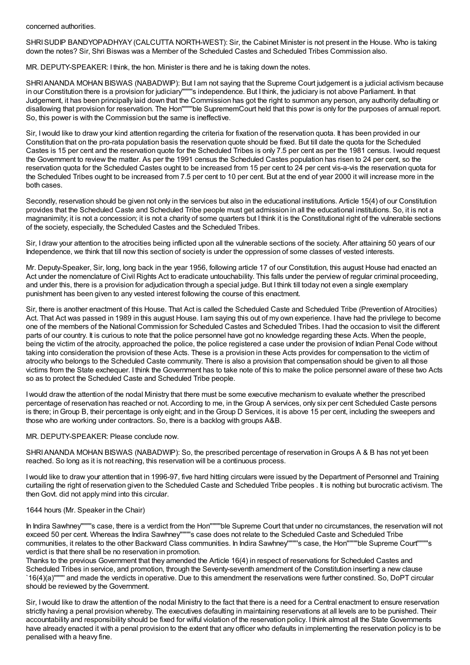## concerned authorities.

SHRISUDIP BANDYOPADHYAY(CALCUTTA NORTH-WEST): Sir, the Cabinet Minister is not present in the House. Who is taking down the notes? Sir, Shri Biswas was a Member of the Scheduled Castes and Scheduled Tribes Commission also.

MR. DEPUTY-SPEAKER: I think, the hon. Minister is there and he is taking down the notes.

SHRI ANANDA MOHAN BISWAS (NABADWIP): But I am not saying that the Supreme Court judgement is a judicial activism because in our Constitution there is a provision for judiciary''''''''s independence. But I think, the judiciary is not above Parliament. In that Judgement, it has been principally laid down that the Commission has got the right to summon any person, any authority defaulting or disallowing that provision for reservation. The Hon''''''''ble SuprememCourt held that this powr is only for the purposes of annual report. So, this power is with the Commission but the same is ineffective.

Sir, Iwould like to draw your kind attention regarding the criteria for fixation of the reservation quota. It has been provided in our Constitution that on the pro-rata population basis the reservation quote should be fixed. But till date the quota for the Scheduled Castes is 15 per cent and the reservation quote for the Scheduled Tribes is only 7.5 per cent as per the 1981 census. Iwould request the Government to review the matter. As per the 1991 census the Scheduled Castes population has risen to 24 per cent, so the reservation quota for the Scheduled Castes ought to be increased from 15 per cent to 24 per cent vis-a-vis the reservation quota for the Scheduled Tribes ought to be increased from 7.5 per cent to 10 per cent. But at the end of year 2000 it will increase more in the both cases.

Secondly, reservation should be given not only in the services but also in the educational institutions. Article 15(4) of our Constitution provides that the Scheduled Caste and Scheduled Tribe people must get admission in all the educational institutions. So, it is not a magnanimity; it is not a concession; it is not a charity of some quarters but I think it is the Constitutional right of the vulnerable sections of the society, especially, the Scheduled Castes and the Scheduled Tribes.

Sir, I draw your attention to the atrocities being inflicted upon all the vulnerable sections of the society. After attaining 50 years of our Independence, we think that till now this section of society is under the oppression of some classes of vested interests.

Mr. Deputy-Speaker, Sir, long, long back in the year 1956, following article 17 of our Constitution, this august House had enacted an Act under the nomenclature of Civil Rights Act to eradicate untouchability. This falls under the perview of regular criminal proceeding, and under this, there is a provision for adjudication through a special judge. But I think till today not even a single exemplary punishment has been given to any vested interest following the course of this enactment.

Sir, there is another enactment of this House. That Act is called the Scheduled Caste and Scheduled Tribe (Prevention of Atrocities) Act. That Act was passed in 1989 in this august House. I am saying this out of my own experience. I have had the privilege to become one of the members of the National Commission for Scheduled Castes and Scheduled Tribes. I had the occasion to visit the different parts of our country. It is curious to note that the police personnel have got no knowledge regarding these Acts. When the people, being the victim of the atrocity, approached the police, the police registered a case under the provision of Indian Penal Code without taking into consideration the provision of these Acts. These is a provision in these Acts provides for compensation to the victim of atrocity who belongs to the Scheduled Caste community. There is also a provision that compensation should be given to all those victims from the State exchequer. I think the Government has to take note of this to make the police personnel aware of these two Acts so as to protect the Scheduled Caste and Scheduled Tribe people.

Iwould draw the attention of the nodal Ministry that there must be some executive mechanism to evaluate whether the prescribed percentage of reservation has reached or not. According to me, in the Group A services, only six per cent Scheduled Caste persons is there; inGroup B, their percentage is only eight; and in the Group D Services, it is above 15 per cent, including the sweepers and those who are working under contractors. So, there is a backlog with groups A&B.

# MR. DEPUTY-SPEAKER: Please conclude now.

SHRI ANANDA MOHAN BISWAS (NABADWIP): So, the prescribed percentage of reservation in Groups A & B has not yet been reached. So long as it is not reaching, this reservation will be a continuous process.

Iwould like to draw your attention that in 1996-97, five hard hitting circulars were issued by the Department of Personnel and Training curtailing the right of reservation given to the Scheduled Caste and Scheduled Tribe peoples . It is nothing but burocratic activism. The then Govt. did not apply mind into this circular.

## 1644 hours (Mr. Speaker in the Chair)

In Indira Sawhney''''''''s case, there is a verdict from the Hon''''''''ble Supreme Court that under no circumstances, the reservation will not exceed 50 per cent. Whereas the Indira Sawhney''''''''s case does not relate to the Scheduled Caste and Scheduled Tribe communities, it relates to the other Backward Class communities. In Indira Sawhney''''''''s case, the Hon''''''''ble Supreme Court''''''''s verdict is that there shall be no reservation in promotion.

Thanks to the previous Government that they amended the Article 16(4) in respect of reservations for Scheduled Castes and Scheduled Tribes in service, and promotion, through the Seventy-seventh amendment of the Constitution inserting a new clause `16(4)(a)'''''''' and made the verdicts in operative. Due to this amendment the reservations were further constined. So, DoPT circular should be reviewed by the Government.

Sir, Iwould like to draw the attention of the nodal Ministry to the fact that there is a need for a Central enactment to ensure reservation strictly having a penal provision whereby. The executives defaulting in maintaining reservations at all levels are to be punished. Their accountability and responsibility should be fixed for wilful violation of the reservation policy. I think almost all the State Governments have already enacted it with a penal provision to the extent that any officer who defaults in implementing the reservation policy is to be penalised with a heavy fine.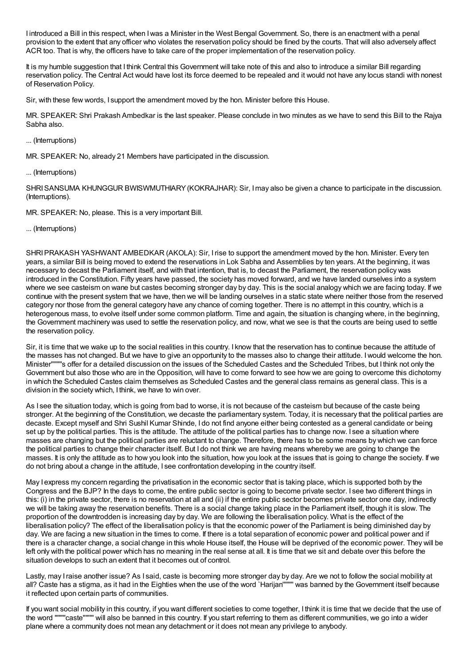I introduced a Bill in this respect, when Iwas a Minister in the West Bengal Government. So, there is an enactment with a penal provision to the extent that any officer who violates the reservation policy should be fined by the courts. That will also adversely affect ACR too. That is why, the officers have to take care of the proper implementation of the reservation policy.

It is my humble suggestion that I think Central this Government will take note of this and also to introduce a similar Bill regarding reservation policy. The Central Act would have lost its force deemed to be repealed and it would not have any locus standi with nonest of Reservation Policy.

Sir, with these few words, I support the amendment moved by the hon. Minister before this House.

MR. SPEAKER: Shri Prakash Ambedkar is the last speaker. Please conclude in two minutes as we have to send this Bill to the Rajya Sabha also.

... (Interruptions)

MR. SPEAKER: No, already 21 Members have participated in the discussion.

## ... (Interruptions)

SHRISANSUMA KHUNGGUR BWISWMUTHIARY(KOKRAJHAR): Sir, Imay also be given a chance to participate in the discussion. (Interruptions).

MR. SPEAKER: No, please. This is a very important Bill.

# ... (Interruptions)

SHRIPRAKASH YASHWANT AMBEDKAR (AKOLA): Sir, Irise to support the amendment moved by the hon. Minister. Every ten years, a similar Bill is being moved to extend the reservations in Lok Sabha and Assemblies by ten years. At the beginning, it was necessary to decast the Parliament itself, and with that intention, that is, to decast the Parliament, the reservation policy was introduced in the Constitution. Fifty years have passed, the society has moved forward, and we have landed ourselves into a system where we see casteism on wane but castes becoming stronger day by day. This is the social analogy which we are facing today. If we continue with the present system that we have, then we will be landing ourselves in a static state where neither those from the reserved category nor those from the general category have any chance of coming together. There is no attempt in this country, which is a heterogenous mass, to evolve itself under some common platform. Time and again, the situation is changing where, in the beginning, the Government machinery was used to settle the reservation policy, and now, what we see is that the courts are being used to settle the reservation policy.

Sir, it is time that we wake up to the social realities in this country. I know that the reservation has to continue because the attitude of the masses has not changed. But we have to give an opportunity to the masses also to change their attitude. Iwould welcome the hon. Minister''''''''s offer for a detailed discussion on the issues of the Scheduled Castes and the Scheduled Tribes, but I think not only the Government but also those who are in the Opposition, will have to come forward to see how we are going to overcome this dichotomy in which the Scheduled Castes claim themselves as Scheduled Castes and the general class remains as general class. This is a division in the society which, I think, we have to win over.

As I see the situation today, which is going from bad to worse, it is not because of the casteism but because of the caste being stronger. At the beginning of the Constitution, we decaste the parliamentary system. Today, it is necessary that the political parties are decaste. Except myself and Shri Sushil Kumar Shinde, I do not find anyone either being contested as a general candidate or being set up by the political parties. This is the attitude. The attitude of the political parties has to change now. I see a situation where masses are changing but the political parties are reluctant to change. Therefore, there has to be some means by which we can force the political parties to change their character itself. But I do not think we are having means whereby we are going to change the masses. It is only the attitude as to how you look into the situation, how you look at the issues that is going to change the society. If we do not bring about a change in the attitude, I see confrontation developing in the country itself.

May I express my concern regarding the privatisation in the economic sector that is taking place, which is supported both by the Congress and the BJP? In the days to come, the entire public sector is going to become private sector. I see two different things in this: (i) in the private sector, there is no reservation at all and (ii) if the entire public sector becomes private sector one day, indirectly we will be taking away the reservation benefits. There is a social change taking place in the Parliament itself, though it is slow. The proportion of the downtrodden is increasing day by day. We are following the liberalisation policy. What is the effect of the liberalisation policy? The effect of the liberalisation policy is that the economic power of the Parliament is being diminished day by day. We are facing a new situation in the times to come. If there is a total separation of economic power and political power and if there is a character change, a social change in this whole House itself, the House will be deprived of the economic power. They will be left only with the political power which has no meaning in the real sense at all. It is time that we sit and debate over this before the situation develops to such an extent that it becomes out of control.

Lastly, may I raise another issue? As I said, caste is becoming more stronger day by day. Are we not to follow the social mobility at all? Caste has a stigma, as it had in the Eighties when the use of the word `Harijan'''''''' was banned by the Government itself because it reflected upon certain parts of communities.

If you want social mobility in this country, if you want different societies to come together, I think it is time that we decide that the use of the word ''''''''caste'''''''' will also be banned in this country. If you start referring to them as different communities, we go into a wider plane where a community does not mean any detachment or it does not mean any privilege to anybody.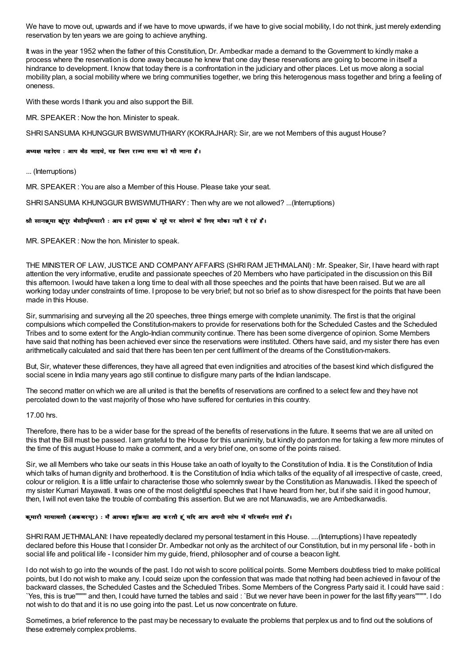We have to move out, upwards and if we have to move upwards, if we have to give social mobility. I do not think, just merely extending reservation by ten years we are going to achieve anything.

It was in the year 1952 when the father of this Constitution. Dr. Ambedkar made a demand to the Government to kindly make a process where the reservation is done away because he knew that one day these reservations are going to become in itself a hindrance to development. I know that today there is a confrontation in the judiciary and other places. Let us move along a social mobility plan, a social mobility where we bring communities together, we bring this heterogenous mass together and bring a feeling of oneness.

With these words I thank you and also support the Bill.

MR. SPEAKER: Now the hon. Minister to speak.

SHRI SANSUMA KHUNGGUR BWISWMUTHIARY (KOKRAJHAR): Sir, are we not Members of this august House?

अध्यक्ष महोदय : आप बैठ जाइये, यह बिल राज्य सभा को भी जाना है।

... (Interruptions)

MR. SPEAKER: You are also a Member of this House. Please take your seat.

SHRI SANSUMA KHUNGGUR BWISWMUTHIARY: Then why are we not allowed? ...(Interruptions)

### श्री सानछुमा खुंगुर बैसीमुथियारी : आप हमें ट्राइब्स के मुद्दे पर बोलने के लिए मौका नहीं दे रहे हैं।

MR. SPEAKER: Now the hon. Minister to speak.

THE MINISTER OF LAW, JUSTICE AND COMPANY AFFAIRS (SHRI RAM JETHMALANI): Mr. Speaker, Sir, I have heard with rapt attention the very informative, erudite and passionate speeches of 20 Members who have participated in the discussion on this Bill this afternoon. I would have taken a long time to deal with all those speeches and the points that have been raised. But we are all working today under constraints of time. I propose to be very brief: but not so brief as to show disrespect for the points that have been made in this House

Sir, summarising and surveying all the 20 speeches, three things emerge with complete unanimity. The first is that the original compulsions which compelled the Constitution-makers to provide for reservations both for the Scheduled Castes and the Scheduled Tribes and to some extent for the Anglo-Indian community continue. There has been some divergence of opinion. Some Members have said that nothing has been achieved ever since the reservations were instituted. Others have said, and my sister there has even arithmetically calculated and said that there has been ten per cent fulfilment of the dreams of the Constitution-makers.

But, Sir, whatever these differences, they have all agreed that even indignities and atrocities of the basest kind which disfigured the social scene in India many years ago still continue to disfigure many parts of the Indian landscape.

The second matter on which we are all united is that the benefits of reservations are confined to a select few and they have not percolated down to the vast majority of those who have suffered for centuries in this country.

#### 17.00 hrs

Therefore, there has to be a wider base for the spread of the benefits of reservations in the future. It seems that we are all united on this that the Bill must be passed. I am grateful to the House for this unanimity, but kindly do pardon me for taking a few more minutes of the time of this august House to make a comment, and a very brief one, on some of the points raised.

Sir, we all Members who take our seats in this House take an oath of loyalty to the Constitution of India. It is the Constitution of India which talks of human dignity and brotherhood. It is the Constitution of India which talks of the equality of all irrespective of caste, creed. colour or religion. It is a little unfair to characterise those who solemnly swear by the Constitution as Manuwadis. I liked the speech of my sister Kumari Mayawati. It was one of the most delightful speeches that I have heard from her, but if she said it in good humour. then. I will not even take the trouble of combating this assertion. But we are not Manuwadis, we are Ambedkarwadis,

#### कुमारी मायावती (अकबरपुर) : मैं आपका शुक्रिया अदा करती हूं यदि आप अपनी सोच में परिवर्तन लाते हैं।

SHRI RAM JETHMALANI: I have repeatedly declared my personal testament in this House. ....(Interruptions) I have repeatedly declared before this House that I consider Dr. Ambedkar not only as the architect of our Constitution, but in my personal life - both in social life and political life - I consider him my quide, friend, philosopher and of course a beacon light.

I do not wish to go into the wounds of the past. I do not wish to score political points. Some Members doubtless tried to make political points, but I do not wish to make any, I could seize upon the confession that was made that nothing had been achieved in fayour of the backward classes, the Scheduled Castes and the Scheduled Tribes. Some Members of the Congress Party said it. I could have said: Yes, this is true"""" and then, I could have turned the tables and said: `But we never have been in power for the last fifty years"""". I do not wish to do that and it is no use going into the past. Let us now concentrate on future.

Sometimes, a brief reference to the past may be necessary to evaluate the problems that perplex us and to find out the solutions of these extremely complex problems.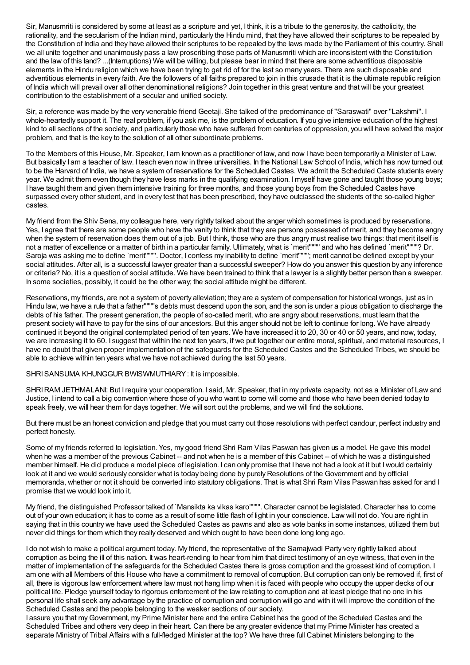Sir, Manusmriti is considered by some at least as a scripture and yet, I think, it is a tribute to the generosity, the catholicity, the rationality, and the secularism of the Indian mind, particularly the Hindu mind, that they have allowed their scriptures to be repealed by the Constitution of India and they have allowed their scriptures to be repealed by the laws made by the Parliament of this country. Shall we all unite together and unanimously pass a law proscribing those parts of Manusmriti which are inconsistent with the Constitution and the law of this land? ...(Interruptions) We will be willing, but please bear in mind that there are some adventitious disposable elements in the Hindu religion which we have been trying to get rid of for the last so many years. There are such disposable and adventitious elements in every faith. Are the followers of all faiths prepared to join in this crusade that it is the ultimate republic religion of India which will prevail over all other denominational religions? Join together in this great venture and that will be your greatest contribution to the establishment of a secular and unified society.

Sir, a reference was made by the very venerable friend Geetaji. She talked of the predominance of "Saraswati" over "Lakshmi". I whole-heartedly support it. The real problem, if you ask me, is the problem of education. If you give intensive education of the highest kind to all sections of the society, and particularly those who have suffered from centuries of oppression, you will have solved the major problem, and that is the key to the solution of all other subordinate problems.

To the Members of this House, Mr. Speaker, I am known as a practitioner of law, and now I have been temporarily a Minister of Law. But basically I am a teacher of law. I teach even now in three universities. In the National Law School of India, which has now turned out to be the Harvard of India, we have a system of reservations for the Scheduled Castes. We admit the Scheduled Caste students every year. We admit them even though they have less marks in the qualifying examination. Imyself have gone and taught those young boys; I have taught them and given them intensive training for three months, and those young boys from the Scheduled Castes have surpassed every other student, and in every test that has been prescribed, they have outclassed the students of the so-called higher castes.

My friend from the Shiv Sena, my colleague here, very rightly talked about the anger which sometimes is produced by reservations. Yes, I agree that there are some people who have the vanity to think that they are persons possessed of merit, and they become angry when the system of reservation does them out of a job. But I think, those who are thus angry must realise two things: that merit itself is not a matter of excellence or a matter of birth in a particular family. Ultimately, what is `merit'''''''' and who has defined `merit''''''''? Dr. Saroja was asking me to define `merit''''''''. Doctor, I confess my inability to define `merit''''''''; merit cannot be defined except by your social attitudes. After all, is a successful lawyer greater than a successful sweeper? How do you answer this question by any inference or criteria? No, it is a question of social attitude. We have been trained to think that a lawyer is a slightly better person than a sweeper. In some societies, possibly, it could be the other way; the social attitude might be different.

Reservations, my friends, are not a system of poverty alleviation; they are a system of compensation for historical wrongs, just as in Hindu law, we have a rule that a father''''''''s debts must descend upon the son, and the son is under a pious obligation to discharge the debts of his father. The present generation, the people of so-called merit, who are angry about reservations, must learn that the present society will have to pay for the sins of our ancestors. But this anger should not be left to continue for long. We have already continued it beyond the original contemplated period of ten years. We have increased it to 20, 30 or 40 or 50 years, and now, today, we are increasing it to 60. I suggest that within the next ten years, if we put together our entire moral, spiritual, and material resources, I have no doubt that given proper implementation of the safeguards for the Scheduled Castes and the Scheduled Tribes, we should be able to achieve within ten years what we have not achieved during the last 50 years.

SHRISANSUMA KHUNGGUR BWISWMUTHIARY: It is impossible.

SHRIRAM JETHMALANI: But Irequire your cooperation. I said, Mr. Speaker, that in my private capacity, not as a Minister of Law and Justice, I intend to call a big convention where those of you who want to come will come and those who have been denied today to speak freely, we will hear them for days together. We will sort out the problems, and we will find the solutions.

But there must be an honest conviction and pledge that you must carry out those resolutions with perfect candour, perfect industry and perfect honesty.

Some of my friends referred to legislation. Yes, my good friend Shri Ram Vilas Paswan has given us a model. He gave this model when he was a member of the previous Cabinet -- and not when he is a member of this Cabinet -- of which he was a distinguished member himself. He did produce a model piece of legislation. I can only promise that I have not had a look at it but Iwould certainly look at it and we would seriously consider what is today being done by purely Resolutions of the Government and by official memoranda, whether or not it should be converted into statutory obligations. That is what Shri Ram Vilas Paswan has asked for and I promise that we would look into it.

My friend, the distinguished Professor talked of `Mansikta ka vikas karo''''''''. Character cannot be legislated. Character has to come out of your own education; it has to come as a result of some little flash of light in your conscience. Law will not do. You are right in saying that in this country we have used the Scheduled Castes as pawns and also as vote banks in some instances, utilized them but never did things for them which they really deserved and which ought to have been done long long ago.

I do not wish to make a political argument today. My friend, the representative of the Samajwadi Party very rightly talked about corruption as being the ill of this nation. It was heart-rending to hear from him that direct testimony of an eye witness, that even in the matter of implementation of the safeguards for the Scheduled Castes there is gross corruption and the grossest kind of corruption. I am one with all Members of this House who have a commitment to removal of corruption. But corruption can only be removed if, first of all, there is vigorous law enforcement where law must not hang limp when it is faced with people who occupy the upper decks of our political life. Pledge yourself today to rigorous enforcement of the law relating to corruption and at least pledge that no one in his personal life shall seek any advantage by the practice of corruption and corruption will go and with it will improve the condition of the Scheduled Castes and the people belonging to the weaker sections of our society.

I assure you that myGovernment, my Prime Minister here and the entire Cabinet has the good of the Scheduled Castes and the Scheduled Tribes and others very deep in their heart. Can there be any greater evidence that my Prime Minister has created a separate Ministry of Tribal Affairs with a full-fledged Minister at the top? We have three full Cabinet Ministers belonging to the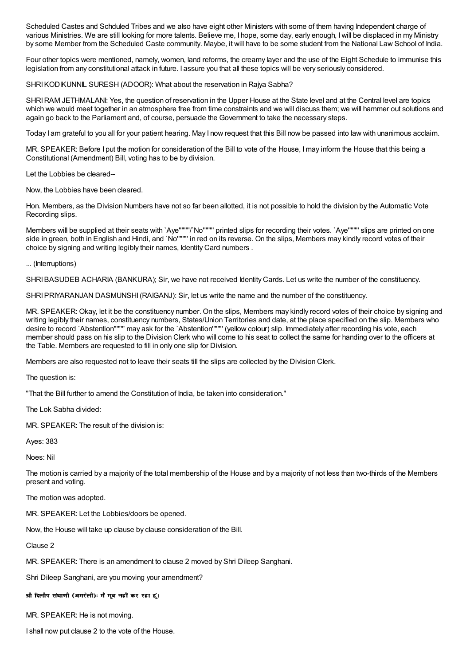Scheduled Castes and Schduled Tribes and we also have eight other Ministers with some of them having Independent charge of various Ministries. We are still looking for more talents. Believe me, I hope, some day, early enough, Iwill be displaced in my Ministry by some Member from the Scheduled Caste community. Maybe, it will have to be some student from the National Law School of India.

Four other topics were mentioned, namely, women, land reforms, the creamy layer and the use of the Eight Schedule to immunise this legislation from any constitutional attack in future. I assure you that all these topics will be very seriously considered.

SHRI KODIKUNNIL SURESH (ADOOR): What about the reservation in Raiva Sabha?

SHRIRAM JETHMALANI: Yes, the question of reservation in the Upper House at the State level and at the Central level are topics which we would meet together in an atmosphere free from time constraints and we will discuss them; we will hammer out solutions and again go back to the Parliament and, of course, persuade the Government to take the necessary steps.

Today I am grateful to you all for your patient hearing. May I now request that this Bill now be passed into law with unanimous acclaim.

MR. SPEAKER: Before I put the motion for consideration of the Bill to vote of the House, Imay inform the House that this being a Constitutional (Amendment) Bill, voting has to be by division.

Let the Lobbies be cleared--

Now, the Lobbies have been cleared.

Hon. Members, as the Division Numbers have not so far been allotted, it is not possible to hold the division by the Automatic Vote Recording slips.

Members will be supplied at their seats with `Aye''''''''/'No'''''''' printed slips for recording their votes. `Aye'''''''' slips are printed on one side in green, both in English and Hindi, and `No'''''''' in red on its reverse. On the slips, Members may kindly record votes of their choice by signing and writing legibly their names, Identity Card numbers .

... (Interruptions)

SHRIBASUDEB ACHARIA (BANKURA); Sir, we have not received Identity Cards. Let us write the number of the constituency.

SHRIPRIYARANJAN DASMUNSHI(RAIGANJ): Sir, let us write the name and the number of the constituency.

MR. SPEAKER: Okay, let it be the constituency number. On the slips, Members may kindly record votes of their choice by signing and writing legibly their names, constituency numbers, States/Union Territories and date, at the place specified on the slip. Members who desire to record `Abstention'''''''' may ask for the `Abstention'''''''' (yellow colour) slip. Immediately after recording his vote, each member should pass on his slip to the Division Clerk who will come to his seat to collect the same for handing over to the officers at the Table. Members are requested to fill in only one slip for Division.

Members are also requested not to leave their seats till the slips are collected by the Division Clerk.

The question is:

"That the Bill further to amend the Constitution of India, be taken into consideration."

The Lok Sabha divided:

MR. SPEAKER: The result of the division is:

Ayes: 383

Noes: Nil

The motion is carried by a majority of the total membership of the House and by a majority of not less than two-thirds of the Members present and voting.

The motion was adopted.

MR. SPEAKER: Let the Lobbies/doors be opened.

Now, the House will take up clause by clause consideration of the Bill.

Clause 2

MR. SPEAKER: There is an amendment to clause 2 moved by Shri Dileep Sanghani.

Shri Dileep Sanghani, are you moving your amendment?

श्री दिलीप संघाणी (अमरेली): मैं मूव नहीं कर रहा हूं।

MR. SPEAKER: He is not moving.

I shall now put clause 2 to the vote of the House.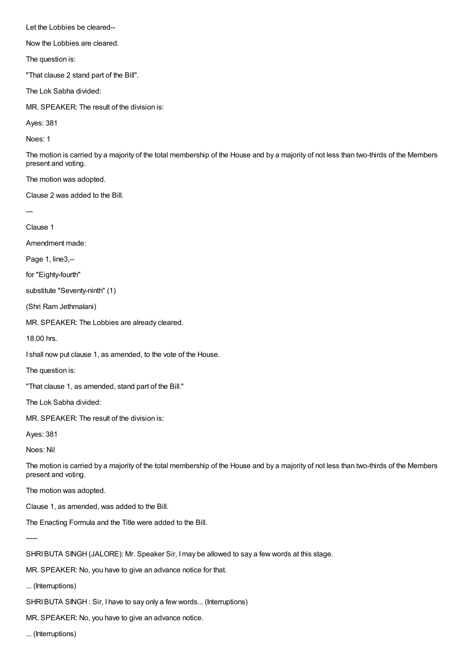Let the Lobbies be cleared--

Now the Lobbies are cleared.

The question is:

"That clause 2 stand part of the Bill".

The Lok Sabha divided:

MR. SPEAKER: The result of the division is:

Ayes: 381

Noes: 1

The motion is carried by a majority of the total membership of the House and by a majority of not less than two-thirds of the Members present and voting.

The motion was adopted.

Clause 2 was added to the Bill.

---

Clause 1

Amendment made:

Page 1, line3,--

for "Eighty-fourth"

substitute "Seventy-ninth" (1)

(Shri Ram Jethmalani)

MR. SPEAKER: The Lobbies are already cleared.

18.00 hrs.

I shall now put clause 1, as amended, to the vote of the House.

The question is:

"That clause 1, as amended, stand part of the Bill."

The Lok Sabha divided:

MR. SPEAKER: The result of the division is:

Ayes: 381

Noes: Nil

The motion is carried by a majority of the total membership of the House and by a majority of not less than two-thirds of the Members present and voting.

The motion was adopted.

Clause 1, as amended, was added to the Bill.

The Enacting Formula and the Title were added to the Bill.

-----

SHRIBUTA SINGH (JALORE): Mr. Speaker Sir, Imay be allowed to say a few words at this stage.

MR. SPEAKER: No, you have to give an advance notice for that.

... (Interruptions)

SHRI BUTA SINGH : Sir, I have to say only a few words... (Interruptions)

MR. SPEAKER: No, you have to give an advance notice.

... (Interruptions)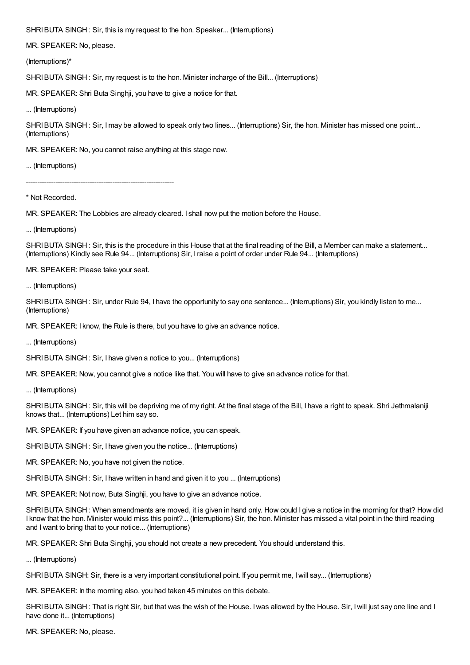SHRI BUTA SINGH : Sir, this is my request to the hon. Speaker... (Interruptions)

MR. SPEAKER: No, please.

(Interruptions)\*

SHRIBUTA SINGH : Sir, my request is to the hon. Minister incharge of the Bill... (Interruptions)

MR. SPEAKER: Shri Buta Singhji, you have to give a notice for that.

... (Interruptions)

SHRI BUTA SINGH : Sir, I may be allowed to speak only two lines... (Interruptions) Sir, the hon. Minister has missed one point... (Interruptions)

MR. SPEAKER: No, you cannot raise anything at this stage now.

... (Interruptions)

-----------------------------------------------------------------

\* Not Recorded.

MR. SPEAKER: The Lobbies are already cleared. I shall now put the motion before the House.

... (Interruptions)

SHRI BUTA SINGH: Sir, this is the procedure in this House that at the final reading of the Bill, a Member can make a statement... (Interruptions) Kindly see Rule 94... (Interruptions) Sir, Iraise a point of order under Rule 94... (Interruptions)

MR. SPEAKER: Please take your seat.

... (Interruptions)

SHRI BUTA SINGH: Sir, under Rule 94, I have the opportunity to say one sentence... (Interruptions) Sir, you kindly listen to me... (Interruptions)

MR. SPEAKER: I know, the Rule is there, but you have to give an advance notice.

... (Interruptions)

SHRI BUTA SINGH : Sir, I have given a notice to you... (Interruptions)

MR. SPEAKER: Now, you cannot give a notice like that. You will have to give an advance notice for that.

... (Interruptions)

SHRI BUTA SINGH: Sir, this will be depriving me of my right. At the final stage of the Bill, I have a right to speak. Shri Jethmalaniji knows that... (Interruptions) Let him say so.

MR. SPEAKER: If you have given an advance notice, you can speak.

SHRI BUTA SINGH : Sir, I have given you the notice... (Interruptions)

MR. SPEAKER: No, you have not given the notice.

SHRI BUTA SINGH : Sir, I have written in hand and given it to you ... (Interruptions)

MR. SPEAKER: Not now, Buta Singhji, you have to give an advance notice.

SHRIBUTA SINGH : When amendments are moved, it is given in hand only. How could I give a notice in the morning for that? How did I know that the hon. Minister would miss this point?... (Interruptions) Sir, the hon. Minister has missed a vital point in the third reading and Iwant to bring that to your notice... (Interruptions)

MR. SPEAKER: Shri Buta Singhji, you should not create a new precedent. You should understand this.

... (Interruptions)

SHRIBUTA SINGH: Sir, there is a very important constitutional point. If you permit me, Iwill say... (Interruptions)

MR. SPEAKER: In the morning also, you had taken 45 minutes on this debate.

SHRIBUTA SINGH : That is right Sir, but that was the wish of the House. Iwas allowed by the House. Sir, Iwill just say one line and I have done it... (Interruptions)

MR. SPEAKER: No, please.